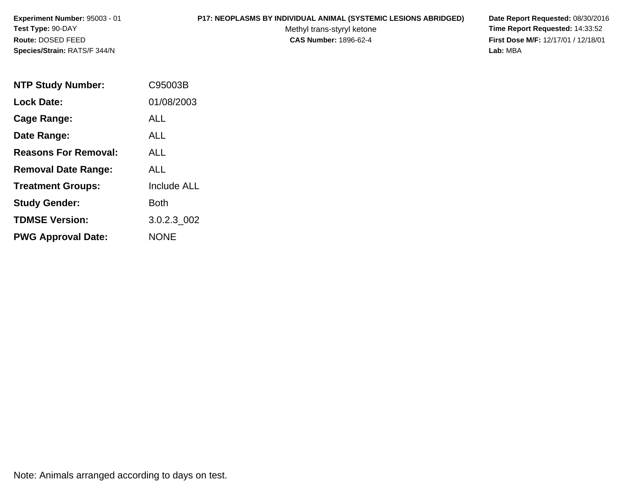### **P17: NEOPLASMS BY INDIVIDUAL ANIMAL (SYSTEMIC LESIONS ABRIDGED) Date Report Requested:** 08/30/2016

Methyl trans-styryl ketone<br>CAS Number: 1896-62-4

| <b>NTP Study Number:</b>    | C95003B            |
|-----------------------------|--------------------|
| <b>Lock Date:</b>           | 01/08/2003         |
| Cage Range:                 | ALL                |
| Date Range:                 | AI I               |
| <b>Reasons For Removal:</b> | AI I               |
| <b>Removal Date Range:</b>  | AI I               |
| <b>Treatment Groups:</b>    | <b>Include ALL</b> |
| <b>Study Gender:</b>        | Both               |
| <b>TDMSE Version:</b>       | 3.0.2.3 002        |
| <b>PWG Approval Date:</b>   | <b>NONE</b>        |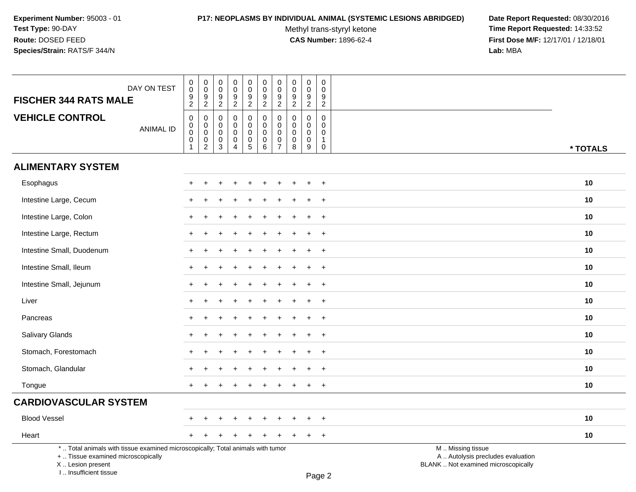# **P17: NEOPLASMS BY INDIVIDUAL ANIMAL (SYSTEMIC LESIONS ABRIDGED) Date Report Requested:** 08/30/2016

Methyl trans-styryl ketone<br>CAS Number: 1896-62-4

| DAY ON TEST<br><b>FISCHER 344 RATS MALE</b>                                                                                                                         | $\begin{smallmatrix} 0\\0 \end{smallmatrix}$<br>$\frac{9}{2}$                                     | $\pmb{0}$<br>$\mathbf 0$<br>$\frac{9}{2}$                              | $\pmb{0}$<br>$\mathbf 0$<br>$\boldsymbol{9}$<br>$\sqrt{2}$     | $\pmb{0}$<br>$\mathbf 0$<br>$\frac{9}{2}$                                | 0<br>$\mathbf 0$<br>$\frac{9}{2}$                | $\pmb{0}$<br>$\mathbf 0$<br>$\frac{9}{2}$                              | $\pmb{0}$<br>$\pmb{0}$<br>$\boldsymbol{9}$<br>$\overline{2}$           | $\pmb{0}$<br>$\boldsymbol{0}$<br>$\frac{9}{2}$                        | $\mathsf 0$<br>$\mathbf 0$<br>$\frac{9}{2}$                   | $\pmb{0}$<br>$\Omega$<br>9<br>$\overline{2}$                           |                                                                                               |          |
|---------------------------------------------------------------------------------------------------------------------------------------------------------------------|---------------------------------------------------------------------------------------------------|------------------------------------------------------------------------|----------------------------------------------------------------|--------------------------------------------------------------------------|--------------------------------------------------|------------------------------------------------------------------------|------------------------------------------------------------------------|-----------------------------------------------------------------------|---------------------------------------------------------------|------------------------------------------------------------------------|-----------------------------------------------------------------------------------------------|----------|
| <b>VEHICLE CONTROL</b><br><b>ANIMAL ID</b>                                                                                                                          | $\boldsymbol{0}$<br>$\begin{smallmatrix} 0\\0 \end{smallmatrix}$<br>$\mathbf 0$<br>$\overline{1}$ | $\mathbf 0$<br>$\mathsf 0$<br>$\mathbf 0$<br>$\mathbf 0$<br>$\sqrt{2}$ | $\mathbf 0$<br>$\mathbf 0$<br>$\mathbf 0$<br>0<br>$\mathbf{3}$ | $\mathbf 0$<br>$\mathbf 0$<br>$\mathbf 0$<br>$\pmb{0}$<br>$\overline{4}$ | 0<br>$\mathbf 0$<br>$\mathbf 0$<br>$\frac{0}{5}$ | 0<br>$\mathbf 0$<br>$\mathsf{O}\xspace$<br>$\pmb{0}$<br>$\overline{6}$ | $\mathbf 0$<br>$\pmb{0}$<br>$\mathbf 0$<br>$\pmb{0}$<br>$\overline{7}$ | $\mathbf 0$<br>$\mathbf 0$<br>$\mathbf 0$<br>$\mathsf{O}\xspace$<br>8 | $\mathbf 0$<br>$\mathbf 0$<br>$\mathbf 0$<br>$\mathbf 0$<br>9 | $\mathbf 0$<br>$\mathbf 0$<br>$\mathbf 0$<br>$\mathbf{1}$<br>$\pmb{0}$ |                                                                                               | * TOTALS |
| <b>ALIMENTARY SYSTEM</b>                                                                                                                                            |                                                                                                   |                                                                        |                                                                |                                                                          |                                                  |                                                                        |                                                                        |                                                                       |                                                               |                                                                        |                                                                                               |          |
| Esophagus                                                                                                                                                           |                                                                                                   |                                                                        |                                                                |                                                                          |                                                  |                                                                        |                                                                        |                                                                       |                                                               | $\overline{+}$                                                         |                                                                                               | 10       |
| Intestine Large, Cecum                                                                                                                                              |                                                                                                   |                                                                        |                                                                |                                                                          |                                                  |                                                                        |                                                                        |                                                                       |                                                               | $\ddot{}$                                                              |                                                                                               | 10       |
| Intestine Large, Colon                                                                                                                                              |                                                                                                   |                                                                        |                                                                |                                                                          |                                                  |                                                                        |                                                                        |                                                                       |                                                               | $\ddot{}$                                                              |                                                                                               | 10       |
| Intestine Large, Rectum                                                                                                                                             |                                                                                                   |                                                                        |                                                                |                                                                          |                                                  |                                                                        |                                                                        |                                                                       |                                                               | $\overline{+}$                                                         |                                                                                               | 10       |
| Intestine Small, Duodenum                                                                                                                                           | $+$                                                                                               |                                                                        |                                                                |                                                                          |                                                  |                                                                        |                                                                        |                                                                       | ÷.                                                            | $+$                                                                    |                                                                                               | 10       |
| Intestine Small, Ileum                                                                                                                                              | $\pm$                                                                                             |                                                                        |                                                                |                                                                          |                                                  |                                                                        |                                                                        |                                                                       |                                                               | $\overline{+}$                                                         |                                                                                               | 10       |
| Intestine Small, Jejunum                                                                                                                                            |                                                                                                   |                                                                        |                                                                |                                                                          |                                                  |                                                                        |                                                                        |                                                                       | ٠                                                             | $+$                                                                    |                                                                                               | 10       |
| Liver                                                                                                                                                               |                                                                                                   |                                                                        |                                                                |                                                                          |                                                  |                                                                        |                                                                        |                                                                       |                                                               | $\ddot{}$                                                              |                                                                                               | 10       |
| Pancreas                                                                                                                                                            |                                                                                                   |                                                                        |                                                                |                                                                          |                                                  |                                                                        |                                                                        |                                                                       |                                                               | $\ddot{}$                                                              |                                                                                               | 10       |
| Salivary Glands                                                                                                                                                     |                                                                                                   |                                                                        |                                                                |                                                                          |                                                  |                                                                        |                                                                        |                                                                       |                                                               | $\overline{+}$                                                         |                                                                                               | 10       |
| Stomach, Forestomach                                                                                                                                                |                                                                                                   |                                                                        |                                                                |                                                                          |                                                  |                                                                        |                                                                        |                                                                       |                                                               | $+$                                                                    |                                                                                               | 10       |
| Stomach, Glandular                                                                                                                                                  |                                                                                                   |                                                                        |                                                                |                                                                          |                                                  |                                                                        |                                                                        |                                                                       | $\ddot{}$                                                     | $+$                                                                    |                                                                                               | 10       |
| Tongue                                                                                                                                                              | $+$                                                                                               |                                                                        |                                                                |                                                                          |                                                  |                                                                        |                                                                        |                                                                       | ÷.                                                            | $+$                                                                    |                                                                                               | 10       |
| <b>CARDIOVASCULAR SYSTEM</b>                                                                                                                                        |                                                                                                   |                                                                        |                                                                |                                                                          |                                                  |                                                                        |                                                                        |                                                                       |                                                               |                                                                        |                                                                                               |          |
| <b>Blood Vessel</b>                                                                                                                                                 |                                                                                                   |                                                                        |                                                                |                                                                          |                                                  |                                                                        |                                                                        |                                                                       |                                                               | $\ddot{}$                                                              |                                                                                               | 10       |
| Heart                                                                                                                                                               | $\pm$                                                                                             | $\pm$                                                                  |                                                                |                                                                          |                                                  |                                                                        |                                                                        |                                                                       | $\ddot{}$                                                     | $+$                                                                    |                                                                                               | 10       |
| *  Total animals with tissue examined microscopically; Total animals with tumor<br>+  Tissue examined microscopically<br>X  Lesion present<br>I Insufficient tissue |                                                                                                   |                                                                        |                                                                |                                                                          |                                                  |                                                                        |                                                                        |                                                                       |                                                               | $D_{200}$                                                              | M  Missing tissue<br>A  Autolysis precludes evaluation<br>BLANK  Not examined microscopically |          |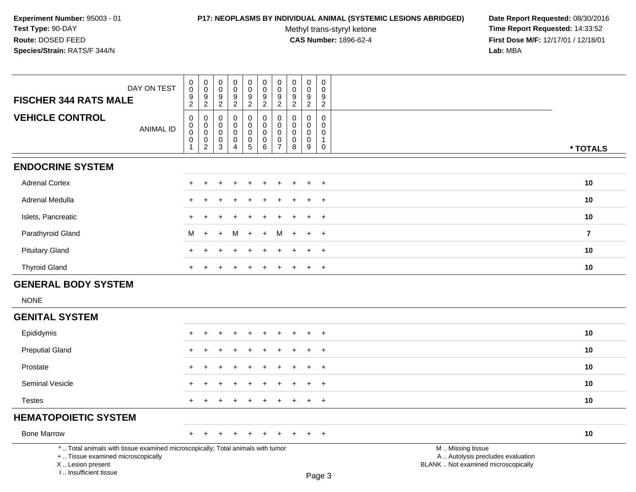### **P17: NEOPLASMS BY INDIVIDUAL ANIMAL (SYSTEMIC LESIONS ABRIDGED) Date Report Requested:** 08/30/2016

Methyl trans-styryl ketone<br>CAS Number: 1896-62-4

| DAY ON TEST<br><b>FISCHER 344 RATS MALE</b>                                                                                                                         | 0<br>$\pmb{0}$<br>9                                       | 0<br>$\ddot{\mathbf{0}}$<br>$9\,$                                                           | 0<br>$\ddot{\mathbf{0}}$<br>9                                          | 0<br>$\ddot{\mathbf{0}}$<br>$\frac{9}{2}$                                | $\begin{matrix} 0 \\ 0 \end{matrix}$<br>9                                            | 0<br>$\ddot{\mathbf{0}}$<br>$\frac{9}{2}$                      | $\begin{matrix} 0 \\ 0 \end{matrix}$<br>$\frac{9}{2}$                    | 0<br>$\pmb{0}$<br>9                                                   | 0<br>$\mathbf 0$<br>9                                                         | 0<br>$\boldsymbol{0}$<br>9                                                             |                                                                                               |                 |
|---------------------------------------------------------------------------------------------------------------------------------------------------------------------|-----------------------------------------------------------|---------------------------------------------------------------------------------------------|------------------------------------------------------------------------|--------------------------------------------------------------------------|--------------------------------------------------------------------------------------|----------------------------------------------------------------|--------------------------------------------------------------------------|-----------------------------------------------------------------------|-------------------------------------------------------------------------------|----------------------------------------------------------------------------------------|-----------------------------------------------------------------------------------------------|-----------------|
| <b>VEHICLE CONTROL</b><br><b>ANIMAL ID</b>                                                                                                                          | $\overline{2}$<br>0<br>$\pmb{0}$<br>$\mathbf 0$<br>0<br>1 | $\overline{2}$<br>$\pmb{0}$<br>$\mathbf 0$<br>$\bf 0$<br>$\boldsymbol{0}$<br>$\overline{2}$ | $\overline{2}$<br>0<br>$\mathbf 0$<br>$\mathbf 0$<br>0<br>$\mathbf{3}$ | $\mathbf 0$<br>$\mathbf 0$<br>$\mathbf 0$<br>$\pmb{0}$<br>$\overline{4}$ | $\overline{2}$<br>$\mathsf 0$<br>0<br>$\mathbf 0$<br>$\mathsf{O}$<br>$5\phantom{.0}$ | $\mathbf 0$<br>$\mathbf 0$<br>$\overline{0}$<br>$\pmb{0}$<br>6 | $\pmb{0}$<br>$\mathbf 0$<br>$\mathbf 0$<br>$\mathbf 0$<br>$\overline{7}$ | $\overline{c}$<br>0<br>$\mathbf 0$<br>$\mathbf 0$<br>$\mathbf 0$<br>8 | $\overline{2}$<br>$\pmb{0}$<br>$\mathbf 0$<br>$\mathbf 0$<br>$\mathbf 0$<br>9 | $\overline{c}$<br>$\pmb{0}$<br>$\mathbf 0$<br>$\mathbf 0$<br>$\mathbf{1}$<br>$\pmb{0}$ |                                                                                               | * TOTALS        |
| <b>ENDOCRINE SYSTEM</b>                                                                                                                                             |                                                           |                                                                                             |                                                                        |                                                                          |                                                                                      |                                                                |                                                                          |                                                                       |                                                                               |                                                                                        |                                                                                               |                 |
| <b>Adrenal Cortex</b>                                                                                                                                               |                                                           |                                                                                             |                                                                        |                                                                          |                                                                                      |                                                                |                                                                          |                                                                       |                                                                               | $\ddot{}$                                                                              |                                                                                               | 10              |
| <b>Adrenal Medulla</b>                                                                                                                                              | $\div$                                                    |                                                                                             |                                                                        |                                                                          |                                                                                      |                                                                |                                                                          |                                                                       |                                                                               | $+$                                                                                    |                                                                                               | 10              |
| Islets, Pancreatic                                                                                                                                                  | $\div$                                                    |                                                                                             |                                                                        |                                                                          |                                                                                      |                                                                |                                                                          |                                                                       |                                                                               | $+$                                                                                    |                                                                                               | 10              |
| Parathyroid Gland                                                                                                                                                   | м                                                         | $\ddot{}$                                                                                   | $\ddot{}$                                                              | м                                                                        | $\ddot{}$                                                                            | $+$                                                            | м                                                                        | $+$                                                                   | $\ddot{}$                                                                     | $+$                                                                                    |                                                                                               | $\overline{7}$  |
| <b>Pituitary Gland</b>                                                                                                                                              |                                                           |                                                                                             |                                                                        |                                                                          |                                                                                      |                                                                |                                                                          |                                                                       |                                                                               | $\ddot{}$                                                                              |                                                                                               | 10 <sup>1</sup> |
| <b>Thyroid Gland</b>                                                                                                                                                |                                                           |                                                                                             |                                                                        |                                                                          |                                                                                      |                                                                |                                                                          |                                                                       | $\ddot{}$                                                                     | $+$                                                                                    |                                                                                               | 10              |
| <b>GENERAL BODY SYSTEM</b>                                                                                                                                          |                                                           |                                                                                             |                                                                        |                                                                          |                                                                                      |                                                                |                                                                          |                                                                       |                                                                               |                                                                                        |                                                                                               |                 |
| <b>NONE</b>                                                                                                                                                         |                                                           |                                                                                             |                                                                        |                                                                          |                                                                                      |                                                                |                                                                          |                                                                       |                                                                               |                                                                                        |                                                                                               |                 |
| <b>GENITAL SYSTEM</b>                                                                                                                                               |                                                           |                                                                                             |                                                                        |                                                                          |                                                                                      |                                                                |                                                                          |                                                                       |                                                                               |                                                                                        |                                                                                               |                 |
| Epididymis                                                                                                                                                          |                                                           |                                                                                             |                                                                        |                                                                          |                                                                                      |                                                                |                                                                          |                                                                       | ٠                                                                             | $+$                                                                                    |                                                                                               | 10              |
| <b>Preputial Gland</b>                                                                                                                                              | $\div$                                                    |                                                                                             |                                                                        |                                                                          |                                                                                      |                                                                |                                                                          |                                                                       | $\ddot{}$                                                                     | $+$                                                                                    |                                                                                               | 10              |
| Prostate                                                                                                                                                            | ÷.                                                        |                                                                                             |                                                                        |                                                                          |                                                                                      |                                                                |                                                                          |                                                                       |                                                                               | $\overline{+}$                                                                         |                                                                                               | 10              |
| <b>Seminal Vesicle</b>                                                                                                                                              |                                                           |                                                                                             |                                                                        |                                                                          |                                                                                      |                                                                |                                                                          |                                                                       |                                                                               | $\ddot{}$                                                                              |                                                                                               | 10              |
| <b>Testes</b>                                                                                                                                                       |                                                           |                                                                                             |                                                                        |                                                                          |                                                                                      |                                                                |                                                                          |                                                                       | $\ddot{}$                                                                     | $+$                                                                                    |                                                                                               | 10              |
| <b>HEMATOPOIETIC SYSTEM</b>                                                                                                                                         |                                                           |                                                                                             |                                                                        |                                                                          |                                                                                      |                                                                |                                                                          |                                                                       |                                                                               |                                                                                        |                                                                                               |                 |
| <b>Bone Marrow</b>                                                                                                                                                  | +                                                         |                                                                                             |                                                                        |                                                                          |                                                                                      |                                                                |                                                                          |                                                                       |                                                                               | $\overline{+}$                                                                         |                                                                                               | 10              |
| *  Total animals with tissue examined microscopically; Total animals with tumor<br>+  Tissue examined microscopically<br>X  Lesion present<br>I Insufficient tissue |                                                           |                                                                                             |                                                                        |                                                                          |                                                                                      |                                                                |                                                                          |                                                                       |                                                                               | Page 3                                                                                 | M  Missing tissue<br>A  Autolysis precludes evaluation<br>BLANK  Not examined microscopically |                 |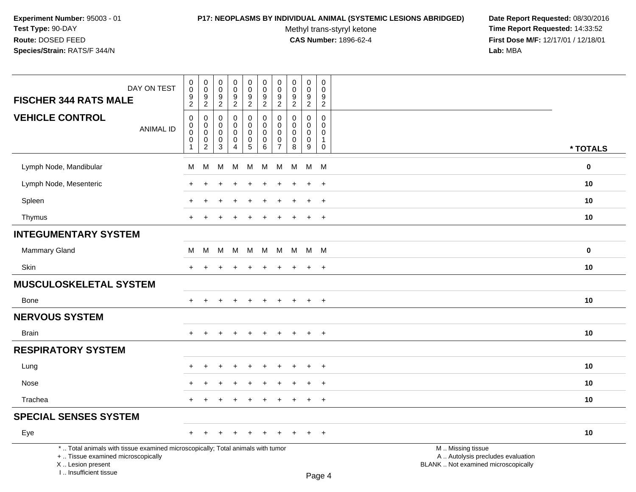# **P17: NEOPLASMS BY INDIVIDUAL ANIMAL (SYSTEMIC LESIONS ABRIDGED) Date Report Requested:** 08/30/2016

Methyl trans-styryl ketone<br>CAS Number: 1896-62-4

| DAY ON TEST<br><b>FISCHER 344 RATS MALE</b>                                                                                                                         | $\pmb{0}$<br>$\mathbf 0$                                                        | $\pmb{0}$<br>$\pmb{0}$                                         | $\pmb{0}$<br>$\mathbf 0$<br>$\boldsymbol{9}$ | $\pmb{0}$<br>$\pmb{0}$                                                       | $\pmb{0}$<br>$\mathbf 0$                                         | $\pmb{0}$<br>$\mathbf 0$                                      | $\pmb{0}$<br>$\mathbf 0$<br>9                          | $\pmb{0}$<br>$\pmb{0}$                                   | $\pmb{0}$<br>$\mathbf 0$<br>$\boldsymbol{9}$        | $\pmb{0}$<br>$\Omega$<br>9                                     |                                                                                               |  |
|---------------------------------------------------------------------------------------------------------------------------------------------------------------------|---------------------------------------------------------------------------------|----------------------------------------------------------------|----------------------------------------------|------------------------------------------------------------------------------|------------------------------------------------------------------|---------------------------------------------------------------|--------------------------------------------------------|----------------------------------------------------------|-----------------------------------------------------|----------------------------------------------------------------|-----------------------------------------------------------------------------------------------|--|
|                                                                                                                                                                     | $\frac{9}{2}$                                                                   | $\frac{9}{2}$                                                  | $\overline{2}$                               | $\frac{9}{2}$                                                                | $\frac{9}{2}$                                                    | $\frac{9}{2}$                                                 | $\overline{2}$                                         | $\frac{9}{2}$                                            | $\overline{2}$                                      | $\overline{2}$                                                 |                                                                                               |  |
| <b>VEHICLE CONTROL</b><br><b>ANIMAL ID</b>                                                                                                                          | $\mathbf 0$<br>$\mathbf 0$<br>$\mathbf 0$<br>$\boldsymbol{0}$<br>$\overline{1}$ | 0<br>$\mathbf 0$<br>$\mathbf 0$<br>$\pmb{0}$<br>$\overline{2}$ | $\mathbf 0$<br>0<br>$\mathbf 0$<br>0<br>3    | $\pmb{0}$<br>$\pmb{0}$<br>$\mathbf 0$<br>$\pmb{0}$<br>$\boldsymbol{\Lambda}$ | 0<br>$\mathbf 0$<br>$\mathbf 0$<br>$\mathsf 0$<br>$\overline{5}$ | $\mathbf 0$<br>$\mathbf 0$<br>$\mathbf 0$<br>$\mathsf 0$<br>6 | 0<br>$\mathbf 0$<br>$\mathbf 0$<br>0<br>$\overline{7}$ | $\Omega$<br>$\mathbf 0$<br>$\mathbf 0$<br>$\pmb{0}$<br>8 | $\mathbf 0$<br>$\mathbf 0$<br>0<br>$\mathbf 0$<br>9 | $\mathbf 0$<br>0<br>$\mathbf 0$<br>$\mathbf{1}$<br>$\mathsf 0$ | * TOTALS                                                                                      |  |
| Lymph Node, Mandibular                                                                                                                                              | M                                                                               | M                                                              | м                                            | М                                                                            | M                                                                | М                                                             | M                                                      | M                                                        | M                                                   | M                                                              | $\bf{0}$                                                                                      |  |
| Lymph Node, Mesenteric                                                                                                                                              |                                                                                 |                                                                |                                              |                                                                              |                                                                  |                                                               |                                                        |                                                          | $\ddot{}$                                           | $\overline{+}$                                                 | 10                                                                                            |  |
| Spleen                                                                                                                                                              |                                                                                 | $\ddot{}$                                                      |                                              |                                                                              |                                                                  |                                                               |                                                        |                                                          | $\ddot{}$                                           | $\ddot{}$                                                      | 10                                                                                            |  |
| Thymus                                                                                                                                                              | $+$                                                                             | $\overline{+}$                                                 | $\pm$                                        | $\div$                                                                       | $\pm$                                                            | $\pm$                                                         | ÷                                                      | <b>+</b>                                                 | $+$                                                 | $+$                                                            | 10                                                                                            |  |
| <b>INTEGUMENTARY SYSTEM</b>                                                                                                                                         |                                                                                 |                                                                |                                              |                                                                              |                                                                  |                                                               |                                                        |                                                          |                                                     |                                                                |                                                                                               |  |
| Mammary Gland                                                                                                                                                       | M                                                                               | M                                                              |                                              | M M M                                                                        |                                                                  | M                                                             |                                                        | M M                                                      | M M                                                 |                                                                | $\mathbf 0$                                                                                   |  |
| Skin                                                                                                                                                                | $+$                                                                             | $\ddot{}$                                                      |                                              | $\ddot{}$                                                                    | $\ddot{}$                                                        | $\ddot{}$                                                     | $\ddot{}$                                              | $\ddot{}$                                                | $+$                                                 | $+$                                                            | 10                                                                                            |  |
| <b>MUSCULOSKELETAL SYSTEM</b>                                                                                                                                       |                                                                                 |                                                                |                                              |                                                                              |                                                                  |                                                               |                                                        |                                                          |                                                     |                                                                |                                                                                               |  |
| Bone                                                                                                                                                                | $+$                                                                             | $\overline{+}$                                                 | $\pm$                                        | $\ddot{}$                                                                    | $\pm$                                                            | $+$                                                           | $+$                                                    | $\pm$                                                    | $+$                                                 | $+$                                                            | 10                                                                                            |  |
| <b>NERVOUS SYSTEM</b>                                                                                                                                               |                                                                                 |                                                                |                                              |                                                                              |                                                                  |                                                               |                                                        |                                                          |                                                     |                                                                |                                                                                               |  |
| <b>Brain</b>                                                                                                                                                        | $+$                                                                             |                                                                |                                              |                                                                              |                                                                  | ÷                                                             |                                                        |                                                          | $\pm$                                               | $\overline{+}$                                                 | 10                                                                                            |  |
| <b>RESPIRATORY SYSTEM</b>                                                                                                                                           |                                                                                 |                                                                |                                              |                                                                              |                                                                  |                                                               |                                                        |                                                          |                                                     |                                                                |                                                                                               |  |
| Lung                                                                                                                                                                |                                                                                 |                                                                |                                              |                                                                              |                                                                  |                                                               |                                                        |                                                          | $\ddot{}$                                           | $\ddot{}$                                                      | 10                                                                                            |  |
| Nose                                                                                                                                                                |                                                                                 |                                                                |                                              |                                                                              |                                                                  |                                                               |                                                        |                                                          | $\ddot{}$                                           | $\overline{+}$                                                 | 10                                                                                            |  |
| Trachea                                                                                                                                                             | $+$                                                                             | $\pm$                                                          | $\pm$                                        | $\overline{+}$                                                               | $\pm$                                                            | $\pm$                                                         | $\pm$                                                  | $\pm$                                                    | $+$                                                 | $+$                                                            | 10                                                                                            |  |
| <b>SPECIAL SENSES SYSTEM</b>                                                                                                                                        |                                                                                 |                                                                |                                              |                                                                              |                                                                  |                                                               |                                                        |                                                          |                                                     |                                                                |                                                                                               |  |
| Eye                                                                                                                                                                 | $+$                                                                             | $\pm$                                                          | $+$                                          | $\pm$                                                                        | $+$                                                              | $+$                                                           | $\pm$                                                  |                                                          | $+$                                                 | $+$                                                            | 10                                                                                            |  |
| *  Total animals with tissue examined microscopically; Total animals with tumor<br>+  Tissue examined microscopically<br>X  Lesion present<br>I Insufficient tissue |                                                                                 |                                                                |                                              |                                                                              |                                                                  |                                                               |                                                        |                                                          |                                                     | $D_{200}$ $\Lambda$                                            | M  Missing tissue<br>A  Autolysis precludes evaluation<br>BLANK  Not examined microscopically |  |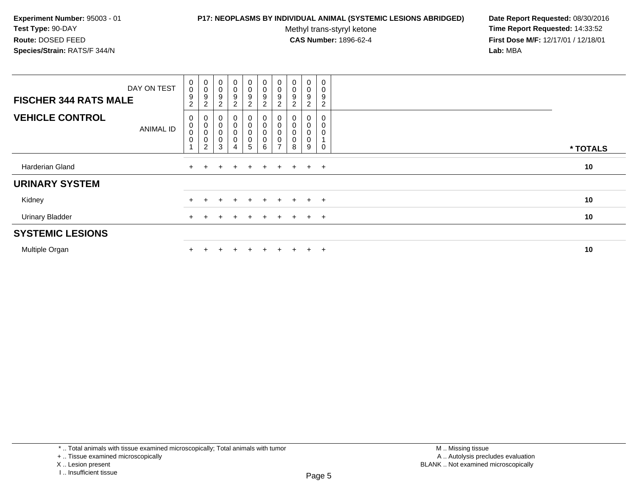### **P17: NEOPLASMS BY INDIVIDUAL ANIMAL (SYSTEMIC LESIONS ABRIDGED) Date Report Requested:** 08/30/2016

Methyl trans-styryl ketone<br>CAS Number: 1896-62-4

| DAY ON TEST<br><b>FISCHER 344 RATS MALE</b> | $\mathbf 0$<br>$\pmb{0}$<br>$9\,$<br>$\overline{2}$ | $_{\rm 0}^{\rm 0}$<br>$\boldsymbol{9}$<br>$\overline{2}$           | $\mathbf 0$<br>9<br>ົ      | $\overline{0}$<br>0<br>9<br>$\overline{c}$ | $\pmb{0}$<br>0<br>$\boldsymbol{9}$<br>$\overline{2}$    | $\begin{smallmatrix} 0\\0 \end{smallmatrix}$<br>$\boldsymbol{9}$<br>$\overline{c}$ | $\begin{smallmatrix} 0\\0 \end{smallmatrix}$<br>9<br>$\overline{2}$       | $\begin{smallmatrix} 0\\0 \end{smallmatrix}$<br>$\boldsymbol{9}$<br>$\overline{2}$ | 0<br>0<br>9<br>2              | $\mathbf 0$ |          |
|---------------------------------------------|-----------------------------------------------------|--------------------------------------------------------------------|----------------------------|--------------------------------------------|---------------------------------------------------------|------------------------------------------------------------------------------------|---------------------------------------------------------------------------|------------------------------------------------------------------------------------|-------------------------------|-------------|----------|
| <b>VEHICLE CONTROL</b><br><b>ANIMAL ID</b>  | 0<br>$\,0\,$<br>$\mathbf 0$<br>$\mathbf 0$          | $\begin{matrix}0\\0\\0\end{matrix}$<br>$\pmb{0}$<br>$\overline{c}$ | 0<br>$\mathbf 0$<br>0<br>3 | 0<br>0<br>0<br>0<br>4                      | $_0^0$<br>$\mathsf 0$<br>$\mathbf 0$<br>$5\phantom{.0}$ | 0<br>$\pmb{0}$<br>$\mbox{O}$<br>$\mathbf 0$<br>6                                   | $\begin{matrix} 0 \\ 0 \end{matrix}$<br>$\mathbf 0$<br>0<br>$\rightarrow$ | $\begin{matrix}0\\0\\0\end{matrix}$<br>8                                           | 0<br>$\pmb{0}$<br>0<br>0<br>9 |             | * TOTALS |
| Harderian Gland                             |                                                     |                                                                    | ÷                          |                                            | $+$                                                     | $+$                                                                                | $+$                                                                       | $+$                                                                                | $+$                           | $+$         | 10       |
| <b>URINARY SYSTEM</b>                       |                                                     |                                                                    |                            |                                            |                                                         |                                                                                    |                                                                           |                                                                                    |                               |             |          |
| Kidney                                      |                                                     |                                                                    |                            |                                            | ÷.                                                      | $\div$                                                                             | $\div$                                                                    | $+$                                                                                | $\ddot{}$                     | $+$         | 10       |
| <b>Urinary Bladder</b>                      |                                                     |                                                                    |                            |                                            | $\pm$                                                   | $\div$                                                                             |                                                                           | $+$                                                                                | $\pm$                         | $+$         | 10       |
| <b>SYSTEMIC LESIONS</b>                     |                                                     |                                                                    |                            |                                            |                                                         |                                                                                    |                                                                           |                                                                                    |                               |             |          |
| Multiple Organ                              |                                                     |                                                                    |                            |                                            |                                                         |                                                                                    |                                                                           |                                                                                    | $\pm$                         | $\div$      | 10       |

<sup>+ ..</sup> Tissue examined microscopically

X .. Lesion present

I .. Insufficient tissue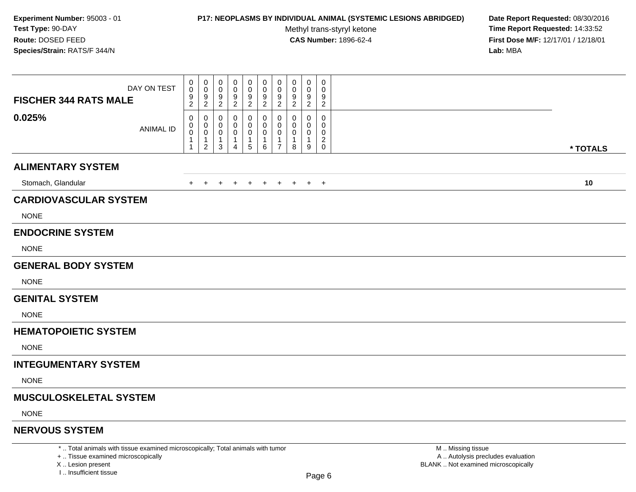## **P17: NEOPLASMS BY INDIVIDUAL ANIMAL (SYSTEMIC LESIONS ABRIDGED) Date Report Requested:** 08/30/2016

Methyl trans-styryl ketone<br>CAS Number: 1896-62-4

 **Time Report Requested:** 14:33:52 **First Dose M/F:** 12/17/01 / 12/18/01<br>**Lab:** MBA **Lab:** MBA

| DAY ON TEST<br><b>FISCHER 344 RATS MALE</b> | 0<br>0<br>9<br>$\overline{c}$ | $\pmb{0}$<br>0<br>$9\,$<br>$\sqrt{2}$                             | 0<br>0<br>9<br>2      | 0<br>0<br>9<br>$\overline{2}$                | 0<br>0<br>9<br>$\overline{2}$                                | 0<br>0<br>9<br>$\overline{2}$                    | 0<br>0<br>9<br>$\overline{2}$                                                 | $\mathbf 0$<br>0<br>9<br>$\overline{c}$ | 0<br>0<br>9<br>$\overline{2}$                        | $\pmb{0}$<br>0<br>9<br>$\overline{c}$ |          |
|---------------------------------------------|-------------------------------|-------------------------------------------------------------------|-----------------------|----------------------------------------------|--------------------------------------------------------------|--------------------------------------------------|-------------------------------------------------------------------------------|-----------------------------------------|------------------------------------------------------|---------------------------------------|----------|
| 0.025%<br><b>ANIMAL ID</b>                  | 0<br>0<br>0<br>1              | 0<br>$\mathbf 0$<br>$\mathbf 0$<br>$\mathbf{1}$<br>$\overline{2}$ | 0<br>0<br>0<br>1<br>3 | 0<br>0<br>0<br>$\mathbf 1$<br>$\overline{4}$ | $\Omega$<br>0<br>$\pmb{0}$<br>$\mathbf{1}$<br>$\overline{5}$ | 0<br>0<br>$\mathbf 0$<br>$\mathbf{1}$<br>$\,6\,$ | $\mathbf 0$<br>$\mathbf 0$<br>$\mathbf 0$<br>$\overline{1}$<br>$\overline{7}$ | 0<br>$\Omega$<br>0<br>-1<br>8           | $\mathbf 0$<br>0<br>$\mathbf 0$<br>$\mathbf{1}$<br>9 | 0<br>0<br>0<br>$^2_{\rm 0}$           | * TOTALS |
| <b>ALIMENTARY SYSTEM</b>                    |                               |                                                                   |                       |                                              |                                                              |                                                  |                                                                               |                                         |                                                      |                                       |          |
| Stomach, Glandular                          | $+$                           | $+$                                                               | $\ddot{}$             | $+$                                          | $+$                                                          | $+$                                              | $+$                                                                           |                                         | $+$ $+$ $+$                                          |                                       | 10       |
| <b>CARDIOVASCULAR SYSTEM</b><br><b>NONE</b> |                               |                                                                   |                       |                                              |                                                              |                                                  |                                                                               |                                         |                                                      |                                       |          |
| <b>ENDOCRINE SYSTEM</b><br><b>NONE</b>      |                               |                                                                   |                       |                                              |                                                              |                                                  |                                                                               |                                         |                                                      |                                       |          |
| <b>GENERAL BODY SYSTEM</b><br><b>NONE</b>   |                               |                                                                   |                       |                                              |                                                              |                                                  |                                                                               |                                         |                                                      |                                       |          |
| <b>GENITAL SYSTEM</b><br><b>NONE</b>        |                               |                                                                   |                       |                                              |                                                              |                                                  |                                                                               |                                         |                                                      |                                       |          |
| <b>HEMATOPOIETIC SYSTEM</b><br><b>NONE</b>  |                               |                                                                   |                       |                                              |                                                              |                                                  |                                                                               |                                         |                                                      |                                       |          |
| <b>INTEGUMENTARY SYSTEM</b>                 |                               |                                                                   |                       |                                              |                                                              |                                                  |                                                                               |                                         |                                                      |                                       |          |
| <b>NONE</b>                                 |                               |                                                                   |                       |                                              |                                                              |                                                  |                                                                               |                                         |                                                      |                                       |          |
| <b>MUSCULOSKELETAL SYSTEM</b>               |                               |                                                                   |                       |                                              |                                                              |                                                  |                                                                               |                                         |                                                      |                                       |          |
| <b>NONE</b>                                 |                               |                                                                   |                       |                                              |                                                              |                                                  |                                                                               |                                         |                                                      |                                       |          |
| <b>NERVOUS SYSTEM</b>                       |                               |                                                                   |                       |                                              |                                                              |                                                  |                                                                               |                                         |                                                      |                                       |          |

\* .. Total animals with tissue examined microscopically; Total animals with tumor

+ .. Tissue examined microscopically

X .. Lesion present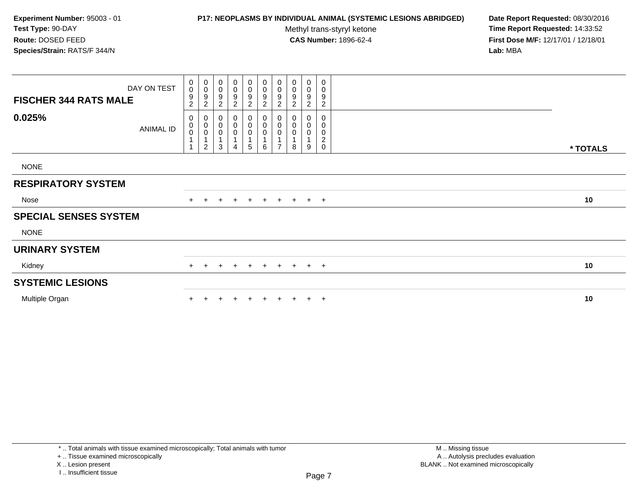## **P17: NEOPLASMS BY INDIVIDUAL ANIMAL (SYSTEMIC LESIONS ABRIDGED) Date Report Requested:** 08/30/2016

Methyl trans-styryl ketone<br>CAS Number: 1896-62-4

| <b>FISCHER 344 RATS MALE</b> | DAY ON TEST | 0<br>$\mathbf 0$<br>9<br>$\overline{2}$ | $\mathbf 0$<br>$\overline{0}$<br>$\boldsymbol{9}$<br>$\sqrt{2}$        | 0<br>$\pmb{0}$<br>$\boldsymbol{9}$<br>$\overline{c}$ | 0<br>0<br>$\boldsymbol{9}$<br>$\overline{c}$                                 | $\mathbf 0$<br>0<br>$\boldsymbol{9}$<br>$\overline{c}$ | $_{\rm 0}^{\rm 0}$<br>9<br>$\overline{c}$                          | 0<br>$\pmb{0}$<br>$\boldsymbol{9}$<br>$\overline{2}$      | 0<br>$\pmb{0}$<br>$\boldsymbol{9}$<br>$\overline{c}$ | 0<br>0<br>$\boldsymbol{9}$<br>$\overline{2}$ | 0<br>0<br>9<br>$\overline{c}$      |          |
|------------------------------|-------------|-----------------------------------------|------------------------------------------------------------------------|------------------------------------------------------|------------------------------------------------------------------------------|--------------------------------------------------------|--------------------------------------------------------------------|-----------------------------------------------------------|------------------------------------------------------|----------------------------------------------|------------------------------------|----------|
| 0.025%                       | ANIMAL ID   | 0<br>0<br>0                             | $\mathbf 0$<br>$\begin{matrix} 0 \\ 0 \\ 1 \end{matrix}$<br>$\sqrt{2}$ | 0<br>$\mathbf 0$<br>$\pmb{0}$<br>1<br>3              | $\boldsymbol{0}$<br>$\pmb{0}$<br>$\pmb{0}$<br>$\mathbf{1}$<br>$\overline{4}$ | 0<br>$\begin{matrix} 0 \\ 0 \end{matrix}$<br>5         | $\begin{smallmatrix}0\0\0\0\end{smallmatrix}$<br>$\mathbf{1}$<br>6 | $\mathbf 0$<br>$\mathbf 0$<br>$\pmb{0}$<br>$\overline{ }$ | 0<br>$\pmb{0}$<br>$\pmb{0}$<br>8                     | 0<br>$\pmb{0}$<br>0<br>$\mathbf{1}$<br>9     | 0<br>0<br>0<br>$\overline{c}$<br>0 | * TOTALS |
| <b>NONE</b>                  |             |                                         |                                                                        |                                                      |                                                                              |                                                        |                                                                    |                                                           |                                                      |                                              |                                    |          |
| <b>RESPIRATORY SYSTEM</b>    |             |                                         |                                                                        |                                                      |                                                                              |                                                        |                                                                    |                                                           |                                                      |                                              |                                    |          |
| Nose                         |             |                                         | $+$                                                                    | $+$                                                  |                                                                              | $+$ $+$                                                |                                                                    |                                                           | + + + + +                                            |                                              |                                    | 10       |
| <b>SPECIAL SENSES SYSTEM</b> |             |                                         |                                                                        |                                                      |                                                                              |                                                        |                                                                    |                                                           |                                                      |                                              |                                    |          |
| <b>NONE</b>                  |             |                                         |                                                                        |                                                      |                                                                              |                                                        |                                                                    |                                                           |                                                      |                                              |                                    |          |
| <b>URINARY SYSTEM</b>        |             |                                         |                                                                        |                                                      |                                                                              |                                                        |                                                                    |                                                           |                                                      |                                              |                                    |          |
| Kidney                       |             |                                         |                                                                        |                                                      | $+$                                                                          | $+$                                                    |                                                                    |                                                           | + + + + +                                            |                                              |                                    | 10       |
| <b>SYSTEMIC LESIONS</b>      |             |                                         |                                                                        |                                                      |                                                                              |                                                        |                                                                    |                                                           |                                                      |                                              |                                    |          |
| Multiple Organ               |             |                                         |                                                                        |                                                      |                                                                              |                                                        | $+$                                                                | $+$                                                       | $+$                                                  |                                              | $+$ $+$                            | 10       |

I .. Insufficient tissue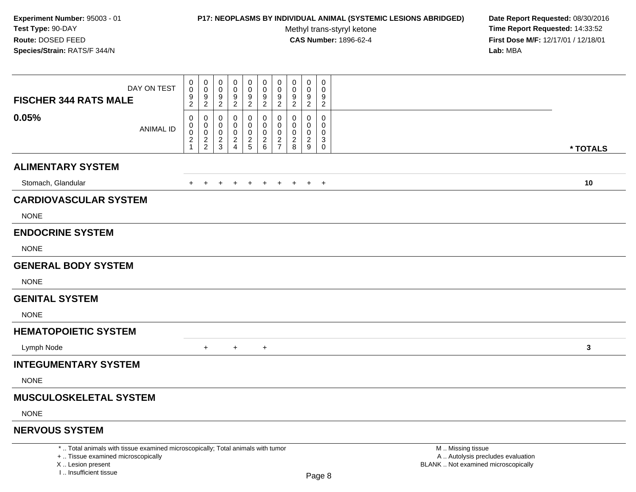## **P17: NEOPLASMS BY INDIVIDUAL ANIMAL (SYSTEMIC LESIONS ABRIDGED) Date Report Requested:** 08/30/2016

Methyl trans-styryl ketone<br>CAS Number: 1896-62-4

 **Time Report Requested:** 14:33:52 **First Dose M/F:** 12/17/01 / 12/18/01<br>Lab: MBA **Lab:** MBA

| <b>FISCHER 344 RATS MALE</b>                                                                                          | DAY ON TEST      | 0<br>$\mathbf 0$<br>9<br>$\overline{a}$                | 0<br>$\boldsymbol{0}$<br>$\boldsymbol{9}$<br>$\boldsymbol{2}$ | 0<br>0<br>9<br>$\overline{2}$ | 0<br>0<br>9<br>$\sqrt{2}$                                        | $\pmb{0}$<br>$\pmb{0}$<br>9<br>$\overline{2}$ | $\mathbf 0$<br>$\mathbf 0$<br>9<br>$\overline{c}$ | $\boldsymbol{0}$<br>$\boldsymbol{0}$<br>9<br>$\overline{2}$ | 0<br>0<br>9<br>$\boldsymbol{2}$                  | $\mathbf 0$<br>0<br>9<br>$\overline{c}$            | 0<br>0<br>9<br>$\overline{2}$                                   |                                                        |  |
|-----------------------------------------------------------------------------------------------------------------------|------------------|--------------------------------------------------------|---------------------------------------------------------------|-------------------------------|------------------------------------------------------------------|-----------------------------------------------|---------------------------------------------------|-------------------------------------------------------------|--------------------------------------------------|----------------------------------------------------|-----------------------------------------------------------------|--------------------------------------------------------|--|
| 0.05%                                                                                                                 | <b>ANIMAL ID</b> | 0<br>0<br>0<br>$\overline{\mathbf{c}}$<br>$\mathbf{1}$ | $\mathbf 0$<br>$\mathbf 0$<br>$\mathbf 0$<br>$\frac{2}{2}$    | 0<br>0<br>0<br>$\frac{2}{3}$  | 0<br>0<br>0<br>$\overline{\mathbf{c}}$<br>$\boldsymbol{\Lambda}$ | 0<br>0<br>0<br>$rac{2}{5}$                    | 0<br>$\overline{0}$<br>0<br>$\frac{2}{6}$         | 0<br>$\mathbf 0$<br>$\mathbf 0$<br>$\frac{2}{7}$            | 0<br>$\Omega$<br>$\Omega$<br>$\overline{c}$<br>8 | $\Omega$<br>$\Omega$<br>0<br>$\boldsymbol{2}$<br>9 | 0<br>$\mathbf 0$<br>0<br>$\ensuremath{\mathsf{3}}$<br>$\pmb{0}$ | * TOTALS                                               |  |
| <b>ALIMENTARY SYSTEM</b>                                                                                              |                  |                                                        |                                                               |                               |                                                                  |                                               |                                                   |                                                             |                                                  |                                                    |                                                                 |                                                        |  |
| Stomach, Glandular                                                                                                    |                  |                                                        |                                                               |                               |                                                                  | $\pm$                                         | $\ddot{}$                                         | $+$                                                         | $+$                                              |                                                    | $+$ $+$                                                         | 10                                                     |  |
| <b>CARDIOVASCULAR SYSTEM</b>                                                                                          |                  |                                                        |                                                               |                               |                                                                  |                                               |                                                   |                                                             |                                                  |                                                    |                                                                 |                                                        |  |
| <b>NONE</b>                                                                                                           |                  |                                                        |                                                               |                               |                                                                  |                                               |                                                   |                                                             |                                                  |                                                    |                                                                 |                                                        |  |
| <b>ENDOCRINE SYSTEM</b>                                                                                               |                  |                                                        |                                                               |                               |                                                                  |                                               |                                                   |                                                             |                                                  |                                                    |                                                                 |                                                        |  |
| <b>NONE</b>                                                                                                           |                  |                                                        |                                                               |                               |                                                                  |                                               |                                                   |                                                             |                                                  |                                                    |                                                                 |                                                        |  |
| <b>GENERAL BODY SYSTEM</b>                                                                                            |                  |                                                        |                                                               |                               |                                                                  |                                               |                                                   |                                                             |                                                  |                                                    |                                                                 |                                                        |  |
| <b>NONE</b>                                                                                                           |                  |                                                        |                                                               |                               |                                                                  |                                               |                                                   |                                                             |                                                  |                                                    |                                                                 |                                                        |  |
| <b>GENITAL SYSTEM</b>                                                                                                 |                  |                                                        |                                                               |                               |                                                                  |                                               |                                                   |                                                             |                                                  |                                                    |                                                                 |                                                        |  |
| <b>NONE</b>                                                                                                           |                  |                                                        |                                                               |                               |                                                                  |                                               |                                                   |                                                             |                                                  |                                                    |                                                                 |                                                        |  |
| <b>HEMATOPOIETIC SYSTEM</b>                                                                                           |                  |                                                        |                                                               |                               |                                                                  |                                               |                                                   |                                                             |                                                  |                                                    |                                                                 |                                                        |  |
| Lymph Node                                                                                                            |                  |                                                        | $+$                                                           |                               | $+$                                                              |                                               | $\ddot{}$                                         |                                                             |                                                  |                                                    |                                                                 | 3                                                      |  |
| <b>INTEGUMENTARY SYSTEM</b>                                                                                           |                  |                                                        |                                                               |                               |                                                                  |                                               |                                                   |                                                             |                                                  |                                                    |                                                                 |                                                        |  |
| <b>NONE</b>                                                                                                           |                  |                                                        |                                                               |                               |                                                                  |                                               |                                                   |                                                             |                                                  |                                                    |                                                                 |                                                        |  |
| <b>MUSCULOSKELETAL SYSTEM</b>                                                                                         |                  |                                                        |                                                               |                               |                                                                  |                                               |                                                   |                                                             |                                                  |                                                    |                                                                 |                                                        |  |
| <b>NONE</b>                                                                                                           |                  |                                                        |                                                               |                               |                                                                  |                                               |                                                   |                                                             |                                                  |                                                    |                                                                 |                                                        |  |
| <b>NERVOUS SYSTEM</b>                                                                                                 |                  |                                                        |                                                               |                               |                                                                  |                                               |                                                   |                                                             |                                                  |                                                    |                                                                 |                                                        |  |
| *  Total animals with tissue examined microscopically; Total animals with tumor<br>+  Tissue examined microscopically |                  |                                                        |                                                               |                               |                                                                  |                                               |                                                   |                                                             |                                                  |                                                    |                                                                 | M  Missing tissue<br>A  Autolysis precludes evaluation |  |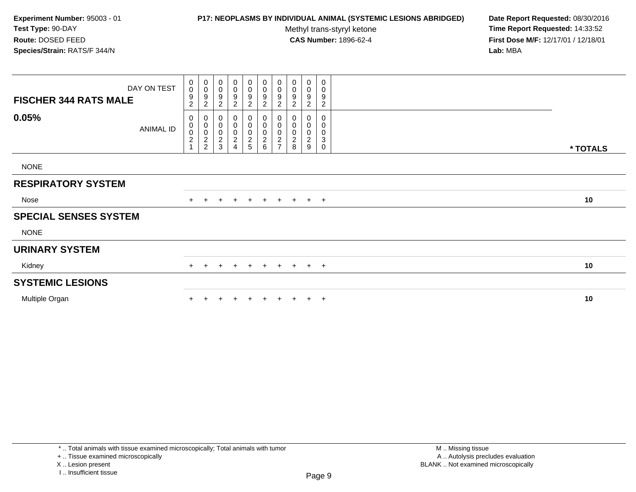## **P17: NEOPLASMS BY INDIVIDUAL ANIMAL (SYSTEMIC LESIONS ABRIDGED) Date Report Requested:** 08/30/2016

Methyl trans-styryl ketone<br>CAS Number: 1896-62-4

 **Time Report Requested:** 14:33:52 **First Dose M/F:** 12/17/01 / 12/18/01<br>**Lab:** MBA **Lab:** MBA

| <b>FISCHER 344 RATS MALE</b> | DAY ON TEST      | $\mathbf 0$<br>$\mathsf{O}\xspace$<br>$\boldsymbol{9}$<br>$\overline{c}$ | $\pmb{0}$<br>$\pmb{0}$<br>$\begin{array}{c} 9 \\ 2 \end{array}$ | 0<br>$\pmb{0}$<br>9<br>$\overline{2}$        | $\pmb{0}$<br>$\,0\,$<br>9<br>$\overline{\mathbf{c}}$ | 0<br>$\boldsymbol{0}$<br>9<br>$\overline{c}$ | 0<br>0<br>$\boldsymbol{9}$<br>$\boldsymbol{2}$ | 0<br>$\pmb{0}$<br>$\boldsymbol{9}$<br>$\overline{2}$         | 0<br>0<br>9<br>$\overline{c}$ | $\pmb{0}$<br>$\pmb{0}$<br>9<br>$\boldsymbol{2}$ | 0<br>0<br>9<br>$\overline{c}$                 |          |
|------------------------------|------------------|--------------------------------------------------------------------------|-----------------------------------------------------------------|----------------------------------------------|------------------------------------------------------|----------------------------------------------|------------------------------------------------|--------------------------------------------------------------|-------------------------------|-------------------------------------------------|-----------------------------------------------|----------|
| 0.05%                        | <b>ANIMAL ID</b> | 0<br>$\pmb{0}$<br>$\pmb{0}$<br>$\frac{2}{1}$                             | $\mathbf 0$<br>0002                                             | 0<br>$\pmb{0}$<br>$\pmb{0}$<br>$\frac{2}{3}$ | 0<br>$\,0\,$<br>$\pmb{0}$<br>$\boldsymbol{2}$<br>4   | 0<br>$\mathsf{O}\xspace$<br>$\frac{0}{2}$    | 0<br>$\ddot{\mathbf{0}}$<br>$\frac{0}{2}$      | 0<br>$\pmb{0}$<br>$\begin{array}{c} 0 \\ 2 \\ 7 \end{array}$ | 0<br>0<br>0<br>$_{\rm 8}^2$   | 0<br>0<br>0<br>$\sqrt{2}$<br>9                  | 0<br>0<br>0<br>$\ensuremath{\mathsf{3}}$<br>0 | * TOTALS |
| <b>NONE</b>                  |                  |                                                                          |                                                                 |                                              |                                                      |                                              |                                                |                                                              |                               |                                                 |                                               |          |
| <b>RESPIRATORY SYSTEM</b>    |                  |                                                                          |                                                                 |                                              |                                                      |                                              |                                                |                                                              |                               |                                                 |                                               |          |
| Nose                         |                  |                                                                          |                                                                 | $\ddot{}$                                    | $+$                                                  | $+$                                          | $+$                                            | $+$                                                          | $+$                           |                                                 | $+$ $+$                                       | 10       |
| <b>SPECIAL SENSES SYSTEM</b> |                  |                                                                          |                                                                 |                                              |                                                      |                                              |                                                |                                                              |                               |                                                 |                                               |          |
| <b>NONE</b>                  |                  |                                                                          |                                                                 |                                              |                                                      |                                              |                                                |                                                              |                               |                                                 |                                               |          |
| <b>URINARY SYSTEM</b>        |                  |                                                                          |                                                                 |                                              |                                                      |                                              |                                                |                                                              |                               |                                                 |                                               |          |
| Kidney                       |                  | $+$                                                                      | $+$                                                             | $\ddot{}$                                    | $\pm$                                                | $+$                                          | $+$                                            |                                                              | $+ + + +$                     |                                                 |                                               | 10       |
| <b>SYSTEMIC LESIONS</b>      |                  |                                                                          |                                                                 |                                              |                                                      |                                              |                                                |                                                              |                               |                                                 |                                               |          |
| Multiple Organ               |                  |                                                                          |                                                                 |                                              |                                                      |                                              | $+$                                            | $+$                                                          | $+$                           |                                                 | $+$ $+$                                       | 10       |

\* .. Total animals with tissue examined microscopically; Total animals with tumor

+ .. Tissue examined microscopically

X .. Lesion present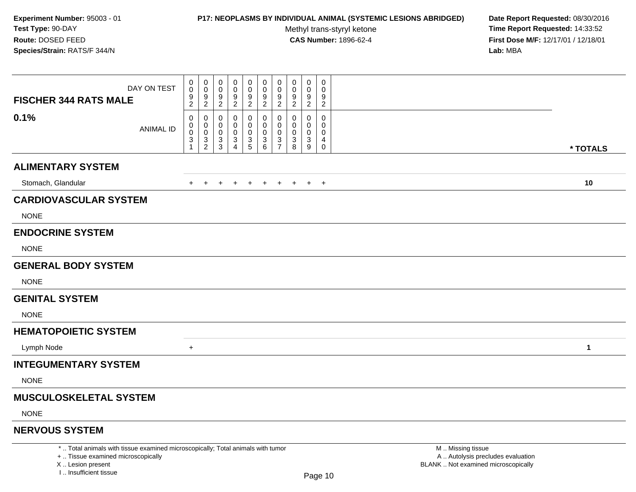### **P17: NEOPLASMS BY INDIVIDUAL ANIMAL (SYSTEMIC LESIONS ABRIDGED) Date Report Requested:** 08/30/2016

Methyl trans-styryl ketone<br>CAS Number: 1896-62-4

 **Time Report Requested:** 14:33:52 **First Dose M/F:** 12/17/01 / 12/18/01<br>**Lab:** MBA **Lab:** MBA

| DAY ON TEST<br><b>FISCHER 344 RATS MALE</b> | 0<br>$\pmb{0}$<br>$\boldsymbol{9}$<br>$\overline{2}$ | 0<br>0<br>9<br>$\sqrt{2}$                           | 0<br>0<br>9<br>$\overline{c}$      | 0<br>0<br>9<br>2                           | 0<br>0<br>$\frac{9}{2}$              | $\mathbf 0$<br>0<br>$\boldsymbol{9}$<br>$\overline{2}$  | 0<br>0<br>9<br>$\overline{2}$                                          | 0<br>0<br>9<br>$\overline{c}$ | 0<br>$\Omega$<br>9<br>2 | 0<br>0<br>9<br>$\overline{2}$   |              |  |
|---------------------------------------------|------------------------------------------------------|-----------------------------------------------------|------------------------------------|--------------------------------------------|--------------------------------------|---------------------------------------------------------|------------------------------------------------------------------------|-------------------------------|-------------------------|---------------------------------|--------------|--|
| 0.1%<br><b>ANIMAL ID</b>                    | 0<br>0<br>$\pmb{0}$<br>3<br>$\mathbf{1}$             | 0<br>0<br>$\pmb{0}$<br>$\sqrt{3}$<br>$\overline{2}$ | 0<br>0<br>0<br>3<br>$\mathfrak{S}$ | 0<br>0<br>0<br>3<br>$\boldsymbol{\Lambda}$ | 0<br>0<br>$\pmb{0}$<br>$\frac{3}{5}$ | 0<br>$\overline{0}$<br>$\mathbf 0$<br>$\mathbf{3}$<br>6 | 0<br>$\mathbf 0$<br>$\boldsymbol{0}$<br>$\mathbf{3}$<br>$\overline{7}$ | 0<br>0<br>0<br>3<br>8         | 0<br>0<br>0<br>3<br>9   | 0<br>0<br>0<br>4<br>$\mathbf 0$ | * TOTALS     |  |
| <b>ALIMENTARY SYSTEM</b>                    |                                                      |                                                     |                                    |                                            |                                      |                                                         |                                                                        |                               |                         |                                 |              |  |
| Stomach, Glandular                          | +                                                    | $+$                                                 |                                    | $\pm$                                      | $+$                                  | $+$                                                     | $+$                                                                    | $+$                           |                         | $+$ $+$                         | 10           |  |
| <b>CARDIOVASCULAR SYSTEM</b>                |                                                      |                                                     |                                    |                                            |                                      |                                                         |                                                                        |                               |                         |                                 |              |  |
| <b>NONE</b>                                 |                                                      |                                                     |                                    |                                            |                                      |                                                         |                                                                        |                               |                         |                                 |              |  |
| <b>ENDOCRINE SYSTEM</b>                     |                                                      |                                                     |                                    |                                            |                                      |                                                         |                                                                        |                               |                         |                                 |              |  |
| <b>NONE</b>                                 |                                                      |                                                     |                                    |                                            |                                      |                                                         |                                                                        |                               |                         |                                 |              |  |
| <b>GENERAL BODY SYSTEM</b>                  |                                                      |                                                     |                                    |                                            |                                      |                                                         |                                                                        |                               |                         |                                 |              |  |
| <b>NONE</b>                                 |                                                      |                                                     |                                    |                                            |                                      |                                                         |                                                                        |                               |                         |                                 |              |  |
| <b>GENITAL SYSTEM</b>                       |                                                      |                                                     |                                    |                                            |                                      |                                                         |                                                                        |                               |                         |                                 |              |  |
| <b>NONE</b>                                 |                                                      |                                                     |                                    |                                            |                                      |                                                         |                                                                        |                               |                         |                                 |              |  |
| <b>HEMATOPOIETIC SYSTEM</b>                 |                                                      |                                                     |                                    |                                            |                                      |                                                         |                                                                        |                               |                         |                                 |              |  |
| Lymph Node                                  | $\ddot{}$                                            |                                                     |                                    |                                            |                                      |                                                         |                                                                        |                               |                         |                                 | $\mathbf{1}$ |  |
| <b>INTEGUMENTARY SYSTEM</b>                 |                                                      |                                                     |                                    |                                            |                                      |                                                         |                                                                        |                               |                         |                                 |              |  |
| <b>NONE</b>                                 |                                                      |                                                     |                                    |                                            |                                      |                                                         |                                                                        |                               |                         |                                 |              |  |
| <b>MUSCULOSKELETAL SYSTEM</b>               |                                                      |                                                     |                                    |                                            |                                      |                                                         |                                                                        |                               |                         |                                 |              |  |
| <b>NONE</b>                                 |                                                      |                                                     |                                    |                                            |                                      |                                                         |                                                                        |                               |                         |                                 |              |  |
|                                             |                                                      |                                                     |                                    |                                            |                                      |                                                         |                                                                        |                               |                         |                                 |              |  |

## **NERVOUS SYSTEM**

\* .. Total animals with tissue examined microscopically; Total animals with tumor

+ .. Tissue examined microscopically

X .. Lesion present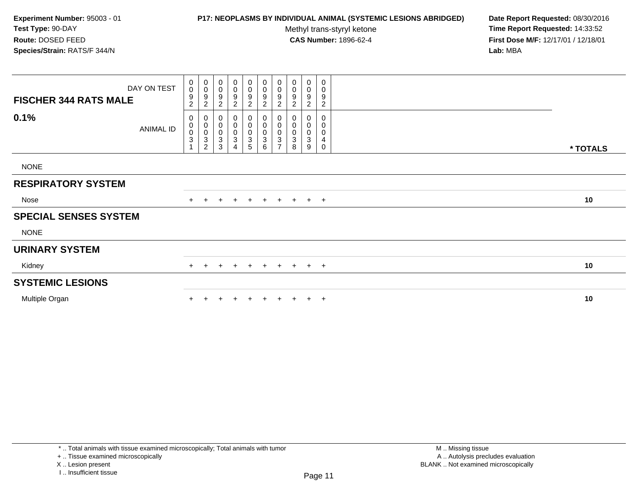### **P17: NEOPLASMS BY INDIVIDUAL ANIMAL (SYSTEMIC LESIONS ABRIDGED) Date Report Requested:** 08/30/2016

Methyl trans-styryl ketone<br>CAS Number: 1896-62-4

 **Time Report Requested:** 14:33:52 **First Dose M/F:** 12/17/01 / 12/18/01<br>**Lab:** MBA **Lab:** MBA

| $\begin{smallmatrix}0\0\0\end{smallmatrix}$<br>$\boldsymbol{9}$<br>$\overline{c}$ | 0<br>$\pmb{0}$<br>$\boldsymbol{9}$<br>$\sqrt{2}$   | 0<br>$\pmb{0}$<br>9<br>$\overline{c}$                    | $\boldsymbol{0}$<br>$\pmb{0}$<br>9<br>$\overline{c}$     | $_0^0$<br>9<br>$\overline{c}$ | 0<br>0<br>$\boldsymbol{9}$<br>$\overline{c}$ | 0<br>$\mathbf 0$<br>$\boldsymbol{9}$<br>$\overline{2}$          | 0<br>0<br>9<br>$\overline{c}$ | $\pmb{0}$<br>$\pmb{0}$<br>9<br>$\boldsymbol{2}$ | 0<br>0<br>9<br>$\overline{c}$ |                                      |          |
|-----------------------------------------------------------------------------------|----------------------------------------------------|----------------------------------------------------------|----------------------------------------------------------|-------------------------------|----------------------------------------------|-----------------------------------------------------------------|-------------------------------|-------------------------------------------------|-------------------------------|--------------------------------------|----------|
| 0<br>$\begin{matrix} 0 \\ 0 \\ 3 \end{matrix}$                                    | 0<br>$\begin{smallmatrix}0\\0\\3\end{smallmatrix}$ | 0<br>$\pmb{0}$<br>$\pmb{0}$<br>$\ensuremath{\mathsf{3}}$ | 0<br>$\pmb{0}$<br>$\pmb{0}$<br>$\ensuremath{\mathsf{3}}$ | 0<br>$\overline{0}$           | 0<br>0<br>$_{3}^{\rm 0}$                     | 0<br>$\pmb{0}$<br>$\pmb{0}$<br>$\overline{3}$<br>$\overline{ }$ | 0<br>0<br>0<br>$\mathbf{3}$   | 0<br>0<br>0<br>$\sqrt{3}$                       | 0<br>0<br>0<br>4              |                                      |          |
|                                                                                   |                                                    |                                                          |                                                          |                               |                                              |                                                                 |                               |                                                 |                               |                                      | * TOTALS |
|                                                                                   |                                                    |                                                          |                                                          |                               |                                              |                                                                 |                               |                                                 |                               |                                      |          |
|                                                                                   |                                                    |                                                          |                                                          |                               |                                              |                                                                 |                               |                                                 |                               |                                      |          |
|                                                                                   | $\ddot{}$                                          | $\ddot{}$                                                | $+$                                                      |                               |                                              |                                                                 |                               |                                                 |                               |                                      | 10       |
|                                                                                   |                                                    |                                                          |                                                          |                               |                                              |                                                                 |                               |                                                 |                               |                                      |          |
|                                                                                   |                                                    |                                                          |                                                          |                               |                                              |                                                                 |                               |                                                 |                               |                                      |          |
|                                                                                   |                                                    |                                                          |                                                          |                               |                                              |                                                                 |                               |                                                 |                               |                                      |          |
| $+$                                                                               | $+$                                                | $+$                                                      | $+$                                                      | $+$                           | $+$                                          |                                                                 |                               |                                                 |                               |                                      | 10       |
|                                                                                   |                                                    |                                                          |                                                          |                               |                                              |                                                                 |                               |                                                 |                               |                                      |          |
|                                                                                   |                                                    |                                                          |                                                          | $\div$                        | $+$                                          | $+$                                                             | $+$                           |                                                 |                               |                                      | 10       |
| DAY ON TEST<br><b>ANIMAL ID</b>                                                   |                                                    | $\overline{2}$                                           | 3                                                        | 4                             | $\frac{0}{3}$<br>$+$                         | 6<br>$+$                                                        |                               | 8                                               | 9                             | 0<br>+ + + +<br>$+ + + +$<br>$+$ $+$ |          |

\* .. Total animals with tissue examined microscopically; Total animals with tumor

+ .. Tissue examined microscopically

X .. Lesion present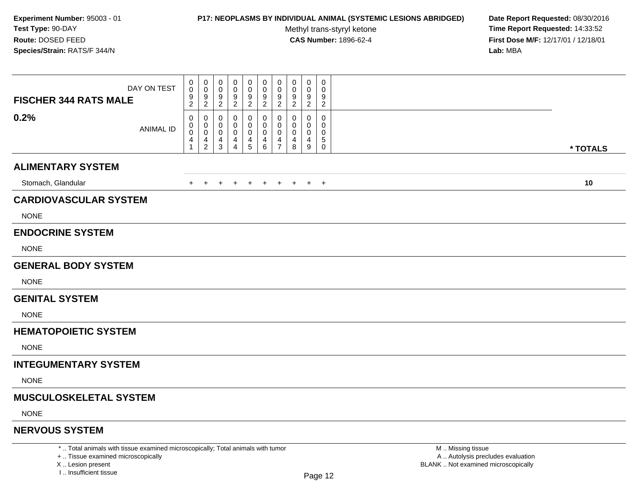### **P17: NEOPLASMS BY INDIVIDUAL ANIMAL (SYSTEMIC LESIONS ABRIDGED) Date Report Requested:** 08/30/2016

Methyl trans-styryl ketone<br>CAS Number: 1896-62-4

 **Time Report Requested:** 14:33:52 **First Dose M/F:** 12/17/01 / 12/18/01<br>**Lab:** MBA **Lab:** MBA

| DAY ON TEST<br><b>FISCHER 344 RATS MALE</b> | 0<br>0<br>$\boldsymbol{9}$<br>$\overline{c}$ | 0<br>$\mathbf 0$<br>9<br>$\overline{2}$ | 0<br>0<br>9<br>$\overline{2}$                 | 0<br>0<br>9<br>$\overline{c}$ | 0<br>0<br>$\boldsymbol{9}$<br>$\overline{c}$ | 0<br>0<br>9<br>$\overline{c}$                    | 0<br>0<br>9<br>$\overline{2}$                | 0<br>0<br>9<br>$\overline{c}$ | $\mathbf 0$<br>0<br>9<br>$\overline{c}$ | 0<br>0<br>9<br>$\overline{c}$   |          |
|---------------------------------------------|----------------------------------------------|-----------------------------------------|-----------------------------------------------|-------------------------------|----------------------------------------------|--------------------------------------------------|----------------------------------------------|-------------------------------|-----------------------------------------|---------------------------------|----------|
| 0.2%<br><b>ANIMAL ID</b>                    | 0<br>0<br>0<br>4<br>$\mathbf{1}$             | 0<br>0<br>$\pmb{0}$<br>$\frac{4}{2}$    | 0<br>0<br>0<br>4<br>$\ensuremath{\mathsf{3}}$ | 0<br>0<br>4<br>$\overline{4}$ | 0<br>0<br>0<br>$\frac{4}{5}$                 | $\mathbf{0}$<br>0<br>$\mathbf 0$<br>4<br>$\,6\,$ | $\mathbf 0$<br>0<br>0<br>4<br>$\overline{7}$ | $\Omega$<br>0<br>4<br>$\bf8$  | 0<br>0<br>0<br>4<br>9                   | 0<br>0<br>0<br>5<br>$\mathbf 0$ | * TOTALS |
| <b>ALIMENTARY SYSTEM</b>                    |                                              |                                         |                                               |                               |                                              |                                                  |                                              |                               |                                         |                                 |          |
| Stomach, Glandular                          | $+$                                          | $+$                                     | $+$                                           | $+$                           | $+$                                          | $+$                                              | $+$                                          |                               | $+$ $+$ $+$                             |                                 | 10       |
| <b>CARDIOVASCULAR SYSTEM</b>                |                                              |                                         |                                               |                               |                                              |                                                  |                                              |                               |                                         |                                 |          |
| <b>NONE</b>                                 |                                              |                                         |                                               |                               |                                              |                                                  |                                              |                               |                                         |                                 |          |
| <b>ENDOCRINE SYSTEM</b>                     |                                              |                                         |                                               |                               |                                              |                                                  |                                              |                               |                                         |                                 |          |
| <b>NONE</b>                                 |                                              |                                         |                                               |                               |                                              |                                                  |                                              |                               |                                         |                                 |          |
| <b>GENERAL BODY SYSTEM</b>                  |                                              |                                         |                                               |                               |                                              |                                                  |                                              |                               |                                         |                                 |          |
| <b>NONE</b>                                 |                                              |                                         |                                               |                               |                                              |                                                  |                                              |                               |                                         |                                 |          |
| <b>GENITAL SYSTEM</b>                       |                                              |                                         |                                               |                               |                                              |                                                  |                                              |                               |                                         |                                 |          |
| <b>NONE</b>                                 |                                              |                                         |                                               |                               |                                              |                                                  |                                              |                               |                                         |                                 |          |
| <b>HEMATOPOIETIC SYSTEM</b>                 |                                              |                                         |                                               |                               |                                              |                                                  |                                              |                               |                                         |                                 |          |
| <b>NONE</b>                                 |                                              |                                         |                                               |                               |                                              |                                                  |                                              |                               |                                         |                                 |          |
| <b>INTEGUMENTARY SYSTEM</b>                 |                                              |                                         |                                               |                               |                                              |                                                  |                                              |                               |                                         |                                 |          |
| <b>NONE</b>                                 |                                              |                                         |                                               |                               |                                              |                                                  |                                              |                               |                                         |                                 |          |
| MUSCULOSKELETAL SYSTEM                      |                                              |                                         |                                               |                               |                                              |                                                  |                                              |                               |                                         |                                 |          |
| <b>NONE</b>                                 |                                              |                                         |                                               |                               |                                              |                                                  |                                              |                               |                                         |                                 |          |
| <b>NERVOUS SYSTEM</b>                       |                                              |                                         |                                               |                               |                                              |                                                  |                                              |                               |                                         |                                 |          |

\* .. Total animals with tissue examined microscopically; Total animals with tumor

X .. Lesion present

I .. Insufficient tissue

 M .. Missing tissuey the contract of the contract of the contract of the contract of the contract of  $\mathsf A$  . Autolysis precludes evaluation Lesion present BLANK .. Not examined microscopically

<sup>+ ..</sup> Tissue examined microscopically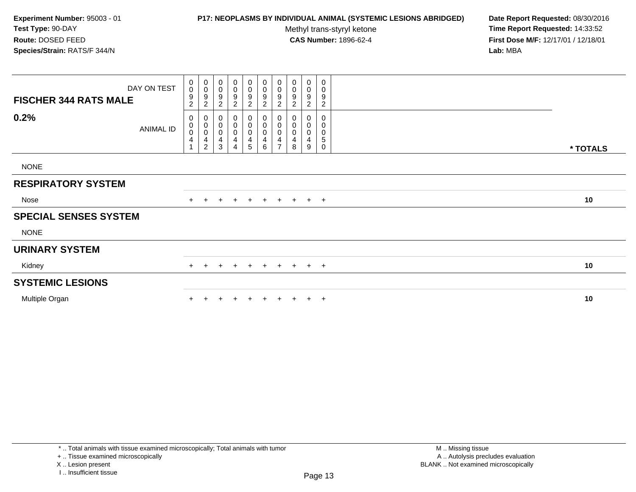### **P17: NEOPLASMS BY INDIVIDUAL ANIMAL (SYSTEMIC LESIONS ABRIDGED) Date Report Requested:** 08/30/2016

Methyl trans-styryl ketone<br>CAS Number: 1896-62-4

 **Time Report Requested:** 14:33:52 **First Dose M/F:** 12/17/01 / 12/18/01<br>**Lab:** MBA **Lab:** MBA

| <b>FISCHER 344 RATS MALE</b> | DAY ON TEST | 0<br>$\mathbf 0$<br>9<br>$\overline{a}$ | $\mathbf 0$<br>$\overline{0}$<br>$\boldsymbol{9}$<br>$\sqrt{2}$ | 0<br>$\,0\,$<br>$\boldsymbol{9}$<br>$\overline{c}$ | 0<br>0<br>$\boldsymbol{9}$<br>$\overline{c}$                                                   | $\mathbf 0$<br>0<br>$\boldsymbol{9}$<br>$\overline{c}$ | $_{\rm 0}^{\rm 0}$<br>9<br>$\overline{c}$                         | 0<br>$\pmb{0}$<br>$\boldsymbol{9}$<br>$\overline{2}$         | 0<br>$\pmb{0}$<br>$\boldsymbol{9}$<br>$\overline{c}$        | 0<br>0<br>$\boldsymbol{9}$<br>$\overline{2}$                | 0<br>0<br>9<br>$\overline{c}$ |          |
|------------------------------|-------------|-----------------------------------------|-----------------------------------------------------------------|----------------------------------------------------|------------------------------------------------------------------------------------------------|--------------------------------------------------------|-------------------------------------------------------------------|--------------------------------------------------------------|-------------------------------------------------------------|-------------------------------------------------------------|-------------------------------|----------|
| 0.2%                         | ANIMAL ID   | 0<br>0<br>0<br>$\overline{\mathbf{4}}$  | $\mathbf 0$<br>$_{\rm 0}^{\rm 0}$<br>$\frac{4}{2}$              | 0<br>$\mathbf 0$<br>$\pmb{0}$<br>4<br>3            | $\boldsymbol{0}$<br>$\boldsymbol{0}$<br>$\pmb{0}$<br>$\overline{\mathbf{4}}$<br>$\overline{4}$ | 0<br>$\pmb{0}$<br>0<br>$\frac{4}{5}$                   | $_{\rm 0}^{\rm 0}$<br>$\begin{bmatrix} 0 \\ 4 \\ 6 \end{bmatrix}$ | $\mathbf 0$<br>$\pmb{0}$<br>$\pmb{0}$<br>4<br>$\overline{ }$ | 0<br>$\pmb{0}$<br>$\pmb{0}$<br>$\overline{\mathbf{4}}$<br>8 | 0<br>$\pmb{0}$<br>$\pmb{0}$<br>$\overline{\mathbf{4}}$<br>9 | 0<br>0<br>0<br>5<br>0         | * TOTALS |
| <b>NONE</b>                  |             |                                         |                                                                 |                                                    |                                                                                                |                                                        |                                                                   |                                                              |                                                             |                                                             |                               |          |
| <b>RESPIRATORY SYSTEM</b>    |             |                                         |                                                                 |                                                    |                                                                                                |                                                        |                                                                   |                                                              |                                                             |                                                             |                               |          |
| Nose                         |             |                                         | $+$                                                             | $\overline{+}$                                     | $+$                                                                                            | $+$                                                    |                                                                   |                                                              | + + + + +                                                   |                                                             |                               | 10       |
| <b>SPECIAL SENSES SYSTEM</b> |             |                                         |                                                                 |                                                    |                                                                                                |                                                        |                                                                   |                                                              |                                                             |                                                             |                               |          |
| <b>NONE</b>                  |             |                                         |                                                                 |                                                    |                                                                                                |                                                        |                                                                   |                                                              |                                                             |                                                             |                               |          |
| <b>URINARY SYSTEM</b>        |             |                                         |                                                                 |                                                    |                                                                                                |                                                        |                                                                   |                                                              |                                                             |                                                             |                               |          |
| Kidney                       |             |                                         |                                                                 |                                                    | $+$                                                                                            | $+$                                                    | $+$                                                               |                                                              | + + + +                                                     |                                                             |                               | 10       |
| <b>SYSTEMIC LESIONS</b>      |             |                                         |                                                                 |                                                    |                                                                                                |                                                        |                                                                   |                                                              |                                                             |                                                             |                               |          |
| Multiple Organ               |             |                                         |                                                                 |                                                    |                                                                                                |                                                        | $+$                                                               | $\pm$                                                        | $+$                                                         |                                                             | $+$ $+$                       | 10       |

+ .. Tissue examined microscopically

X .. Lesion present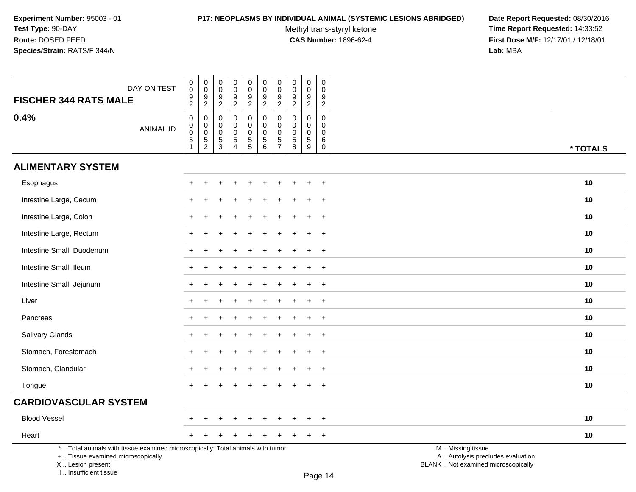# **P17: NEOPLASMS BY INDIVIDUAL ANIMAL (SYSTEMIC LESIONS ABRIDGED) Date Report Requested:** 08/30/2016

Methyl trans-styryl ketone<br>CAS Number: 1896-62-4

| DAY ON TEST<br><b>FISCHER 344 RATS MALE</b>                                                                                                                         | $\mathsf 0$<br>$\pmb{0}$<br>$\frac{9}{2}$                                             | $_{\rm 0}^{\rm 0}$<br>$\frac{9}{2}$                         | $\mathbf 0$<br>$\mathbf 0$<br>$\boldsymbol{9}$<br>$\overline{2}$ | $\pmb{0}$<br>$\mathbf 0$<br>$\boldsymbol{9}$<br>$\overline{2}$            | $\pmb{0}$<br>$\mathbf 0$<br>$\frac{9}{2}$      | $\pmb{0}$<br>$\mathbf 0$<br>9<br>$\overline{2}$  | $\pmb{0}$<br>$\pmb{0}$<br>$\frac{9}{2}$                    | $\mathbf 0$<br>$\mathbf 0$<br>$\frac{9}{2}$                 | $\pmb{0}$<br>$\pmb{0}$<br>$\boldsymbol{9}$<br>$\overline{2}$ | $\pmb{0}$<br>$\mathbf{0}$<br>9<br>$\overline{2}$              |                                                                                               |  |
|---------------------------------------------------------------------------------------------------------------------------------------------------------------------|---------------------------------------------------------------------------------------|-------------------------------------------------------------|------------------------------------------------------------------|---------------------------------------------------------------------------|------------------------------------------------|--------------------------------------------------|------------------------------------------------------------|-------------------------------------------------------------|--------------------------------------------------------------|---------------------------------------------------------------|-----------------------------------------------------------------------------------------------|--|
| 0.4%<br><b>ANIMAL ID</b>                                                                                                                                            | $\pmb{0}$<br>$\boldsymbol{0}$<br>$\mathsf{O}\xspace$<br>$\,$ 5 $\,$<br>$\overline{1}$ | $\boldsymbol{0}$<br>$\pmb{0}$<br>$\pmb{0}$<br>$\frac{5}{2}$ | $\mathbf 0$<br>$\mathbf 0$<br>$\mathbf 0$<br>$\frac{5}{3}$       | $\mathbf 0$<br>$\mathbf 0$<br>$\mathbf 0$<br>$\sqrt{5}$<br>$\overline{4}$ | 0<br>$\mathbf 0$<br>$\pmb{0}$<br>$\frac{5}{5}$ | 0<br>$\mathbf 0$<br>$\mathbf 0$<br>$\frac{5}{6}$ | $\mathbf 0$<br>$\mathbf 0$<br>$\mathbf 0$<br>$\frac{5}{7}$ | $\mathbf{0}$<br>$\mathbf 0$<br>$\mathbf 0$<br>$\frac{5}{8}$ | $\mathbf 0$<br>$\mathbf 0$<br>0<br>$\sqrt{5}$<br>9           | $\mathbf 0$<br>$\mathbf 0$<br>$\mathbf 0$<br>6<br>$\mathbf 0$ | * TOTALS                                                                                      |  |
| <b>ALIMENTARY SYSTEM</b>                                                                                                                                            |                                                                                       |                                                             |                                                                  |                                                                           |                                                |                                                  |                                                            |                                                             |                                                              |                                                               |                                                                                               |  |
| Esophagus                                                                                                                                                           |                                                                                       |                                                             |                                                                  |                                                                           |                                                |                                                  |                                                            |                                                             |                                                              | $\overline{+}$                                                | 10                                                                                            |  |
| Intestine Large, Cecum                                                                                                                                              |                                                                                       |                                                             |                                                                  |                                                                           |                                                |                                                  |                                                            |                                                             |                                                              | $\overline{1}$                                                | 10                                                                                            |  |
| Intestine Large, Colon                                                                                                                                              |                                                                                       |                                                             |                                                                  |                                                                           |                                                |                                                  |                                                            |                                                             |                                                              | $\ddot{}$                                                     | 10                                                                                            |  |
| Intestine Large, Rectum                                                                                                                                             |                                                                                       |                                                             |                                                                  |                                                                           |                                                |                                                  |                                                            |                                                             |                                                              | $\overline{+}$                                                | 10                                                                                            |  |
| Intestine Small, Duodenum                                                                                                                                           | $\pm$                                                                                 |                                                             |                                                                  |                                                                           |                                                |                                                  |                                                            |                                                             | $\ddot{}$                                                    | $+$                                                           | 10                                                                                            |  |
| Intestine Small, Ileum                                                                                                                                              |                                                                                       |                                                             |                                                                  |                                                                           |                                                |                                                  |                                                            |                                                             | $\div$                                                       | $\overline{+}$                                                | 10                                                                                            |  |
| Intestine Small, Jejunum                                                                                                                                            |                                                                                       |                                                             |                                                                  |                                                                           |                                                |                                                  |                                                            |                                                             | $\div$                                                       | $\ddot{}$                                                     | 10                                                                                            |  |
| Liver                                                                                                                                                               |                                                                                       |                                                             |                                                                  |                                                                           |                                                |                                                  |                                                            |                                                             |                                                              | $\ddot{}$                                                     | 10                                                                                            |  |
| Pancreas                                                                                                                                                            |                                                                                       |                                                             |                                                                  |                                                                           |                                                |                                                  |                                                            |                                                             |                                                              | $\ddot{}$                                                     | 10                                                                                            |  |
| Salivary Glands                                                                                                                                                     |                                                                                       |                                                             |                                                                  |                                                                           |                                                |                                                  |                                                            |                                                             | $\div$                                                       | $\overline{+}$                                                | 10                                                                                            |  |
| Stomach, Forestomach                                                                                                                                                |                                                                                       |                                                             |                                                                  |                                                                           |                                                |                                                  |                                                            |                                                             |                                                              | $+$                                                           | 10                                                                                            |  |
| Stomach, Glandular                                                                                                                                                  |                                                                                       |                                                             |                                                                  |                                                                           |                                                |                                                  |                                                            |                                                             | $\ddot{}$                                                    | $+$                                                           | 10                                                                                            |  |
| Tongue                                                                                                                                                              | $+$                                                                                   |                                                             |                                                                  |                                                                           |                                                |                                                  |                                                            |                                                             | $\ddot{}$                                                    | $+$                                                           | 10                                                                                            |  |
| <b>CARDIOVASCULAR SYSTEM</b>                                                                                                                                        |                                                                                       |                                                             |                                                                  |                                                                           |                                                |                                                  |                                                            |                                                             |                                                              |                                                               |                                                                                               |  |
| <b>Blood Vessel</b>                                                                                                                                                 |                                                                                       |                                                             |                                                                  |                                                                           |                                                |                                                  |                                                            |                                                             |                                                              | $\overline{ }$                                                | 10                                                                                            |  |
| Heart                                                                                                                                                               | $+$                                                                                   | $\pm$                                                       |                                                                  |                                                                           |                                                |                                                  |                                                            |                                                             | $\ddot{}$                                                    | $+$                                                           | 10                                                                                            |  |
| *  Total animals with tissue examined microscopically; Total animals with tumor<br>+  Tissue examined microscopically<br>X  Lesion present<br>I Insufficient tissue |                                                                                       |                                                             |                                                                  |                                                                           |                                                |                                                  |                                                            |                                                             |                                                              | $D_{200}$ 14                                                  | M  Missing tissue<br>A  Autolysis precludes evaluation<br>BLANK  Not examined microscopically |  |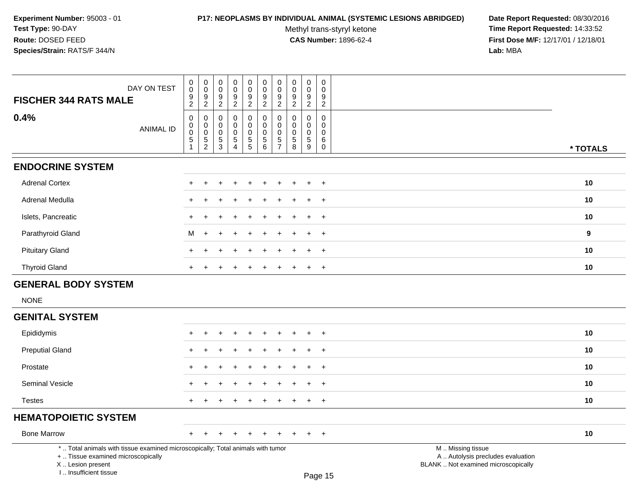I .. Insufficient tissue

# **P17: NEOPLASMS BY INDIVIDUAL ANIMAL (SYSTEMIC LESIONS ABRIDGED) Date Report Requested:** 08/30/2016

Methyl trans-styryl ketone<br>CAS Number: 1896-62-4

| DAY ON TEST<br><b>FISCHER 344 RATS MALE</b>                                                                                                | $\pmb{0}$<br>0<br>$\boldsymbol{0}$<br>$\mathsf 0$<br>$\frac{9}{2}$<br>$\frac{9}{2}$                                                            | $\mathbf 0$<br>$\mathbf 0$<br>$\frac{9}{2}$       | 0<br>$\mathbf 0$<br>$\frac{9}{2}$                | $\pmb{0}$<br>$\mathbf 0$<br>$\frac{9}{2}$    | $\pmb{0}$<br>$\mathbf 0$<br>$\frac{9}{2}$        | 0<br>$\mathbf 0$<br>$\frac{9}{2}$                | $\pmb{0}$<br>$\mathbf 0$<br>9<br>$\overline{2}$ | 0<br>$\mathbf 0$<br>$\frac{9}{2}$                   | $\mathbf 0$<br>$\mathbf 0$<br>9<br>$\overline{2}$ |                                                                                               |          |
|--------------------------------------------------------------------------------------------------------------------------------------------|------------------------------------------------------------------------------------------------------------------------------------------------|---------------------------------------------------|--------------------------------------------------|----------------------------------------------|--------------------------------------------------|--------------------------------------------------|-------------------------------------------------|-----------------------------------------------------|---------------------------------------------------|-----------------------------------------------------------------------------------------------|----------|
| 0.4%<br><b>ANIMAL ID</b>                                                                                                                   | $\mathbf 0$<br>0<br>$\pmb{0}$<br>$\begin{smallmatrix}0\\0\end{smallmatrix}$<br>$\pmb{0}$<br>$\mathbf 5$<br>5<br>$\overline{2}$<br>$\mathbf{1}$ | $\mathbf 0$<br>0<br>$\pmb{0}$<br>$\,$ 5 $\,$<br>3 | $\mathbf 0$<br>0<br>$\mathbf 0$<br>$\frac{5}{4}$ | 0<br>$\pmb{0}$<br>$\pmb{0}$<br>$\frac{5}{5}$ | 0<br>$\mathbf 0$<br>$\mathbf 0$<br>$\frac{5}{6}$ | 0<br>$\mathbf 0$<br>$\mathbf 0$<br>$\frac{5}{7}$ | $\mathbf 0$<br>0<br>0<br>$\mathbf 5$<br>8       | $\mathbf 0$<br>$\mathbf 0$<br>$\mathbf 0$<br>5<br>9 | $\mathbf 0$<br>$\mathbf 0$<br>0<br>6<br>0         |                                                                                               | * TOTALS |
| <b>ENDOCRINE SYSTEM</b>                                                                                                                    |                                                                                                                                                |                                                   |                                                  |                                              |                                                  |                                                  |                                                 |                                                     |                                                   |                                                                                               |          |
| <b>Adrenal Cortex</b>                                                                                                                      |                                                                                                                                                |                                                   |                                                  |                                              |                                                  |                                                  |                                                 |                                                     | $\ddot{}$                                         |                                                                                               | 10       |
| Adrenal Medulla                                                                                                                            |                                                                                                                                                |                                                   |                                                  |                                              |                                                  |                                                  |                                                 |                                                     | $\overline{+}$                                    |                                                                                               | 10       |
| Islets, Pancreatic                                                                                                                         | $\ddot{}$                                                                                                                                      |                                                   |                                                  |                                              |                                                  |                                                  |                                                 |                                                     | $\overline{+}$                                    |                                                                                               | 10       |
| Parathyroid Gland                                                                                                                          | М                                                                                                                                              |                                                   |                                                  |                                              |                                                  |                                                  |                                                 |                                                     | $\ddot{}$                                         |                                                                                               | 9        |
| <b>Pituitary Gland</b>                                                                                                                     |                                                                                                                                                |                                                   |                                                  |                                              |                                                  |                                                  |                                                 |                                                     | $\ddot{}$                                         |                                                                                               | 10       |
| <b>Thyroid Gland</b>                                                                                                                       | $\div$                                                                                                                                         |                                                   |                                                  |                                              |                                                  |                                                  |                                                 |                                                     | $\ddot{}$                                         |                                                                                               | 10       |
| <b>GENERAL BODY SYSTEM</b>                                                                                                                 |                                                                                                                                                |                                                   |                                                  |                                              |                                                  |                                                  |                                                 |                                                     |                                                   |                                                                                               |          |
| <b>NONE</b>                                                                                                                                |                                                                                                                                                |                                                   |                                                  |                                              |                                                  |                                                  |                                                 |                                                     |                                                   |                                                                                               |          |
| <b>GENITAL SYSTEM</b>                                                                                                                      |                                                                                                                                                |                                                   |                                                  |                                              |                                                  |                                                  |                                                 |                                                     |                                                   |                                                                                               |          |
| Epididymis                                                                                                                                 |                                                                                                                                                |                                                   |                                                  |                                              |                                                  |                                                  |                                                 |                                                     |                                                   |                                                                                               | 10       |
| <b>Preputial Gland</b>                                                                                                                     |                                                                                                                                                |                                                   |                                                  |                                              |                                                  |                                                  |                                                 |                                                     | $\ddot{}$                                         |                                                                                               | 10       |
| Prostate                                                                                                                                   | ÷.                                                                                                                                             |                                                   |                                                  |                                              |                                                  |                                                  |                                                 |                                                     | $\ddot{}$                                         |                                                                                               | 10       |
| Seminal Vesicle                                                                                                                            |                                                                                                                                                |                                                   |                                                  |                                              |                                                  |                                                  |                                                 |                                                     | $\overline{+}$                                    |                                                                                               | 10       |
| <b>Testes</b>                                                                                                                              | $\ddot{}$                                                                                                                                      |                                                   |                                                  |                                              |                                                  |                                                  |                                                 |                                                     | $\overline{+}$                                    |                                                                                               | 10       |
| <b>HEMATOPOIETIC SYSTEM</b>                                                                                                                |                                                                                                                                                |                                                   |                                                  |                                              |                                                  |                                                  |                                                 |                                                     |                                                   |                                                                                               |          |
| <b>Bone Marrow</b>                                                                                                                         | $\div$                                                                                                                                         |                                                   |                                                  |                                              |                                                  |                                                  |                                                 |                                                     | $\ddot{}$                                         |                                                                                               | 10       |
| *  Total animals with tissue examined microscopically; Total animals with tumor<br>+  Tissue examined microscopically<br>X  Lesion present |                                                                                                                                                |                                                   |                                                  |                                              |                                                  |                                                  |                                                 |                                                     |                                                   | M  Missing tissue<br>A  Autolysis precludes evaluation<br>BLANK  Not examined microscopically |          |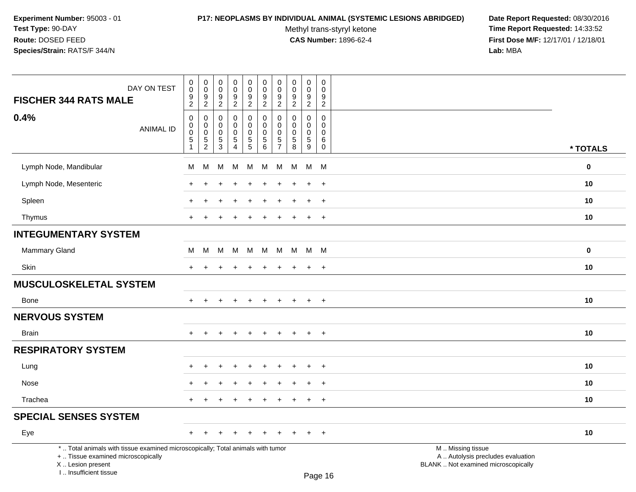### **P17: NEOPLASMS BY INDIVIDUAL ANIMAL (SYSTEMIC LESIONS ABRIDGED) Date Report Requested:** 08/30/2016

Methyl trans-styryl ketone<br>CAS Number: 1896-62-4

| DAY ON TEST                                                                                                                                                         | $\mathbf 0$<br>$\mathsf 0$                                              | $\pmb{0}$<br>$\mathbf 0$<br>$\boldsymbol{9}$                    | $\pmb{0}$<br>$\pmb{0}$<br>9                              | 0<br>$\mathsf{O}\xspace$<br>9                             | $\pmb{0}$<br>$\mathsf{O}\xspace$<br>$\boldsymbol{9}$      | $\pmb{0}$<br>$\pmb{0}$<br>9                                         | 0<br>$\mathbf 0$<br>9                                         | $\mathsf{O}\xspace$<br>$\mathbf 0$<br>9              | $\mathsf{O}\xspace$<br>$\mathsf{O}\xspace$<br>$\boldsymbol{9}$ | 0<br>$\mathbf 0$<br>9                              |                                                                                               |             |
|---------------------------------------------------------------------------------------------------------------------------------------------------------------------|-------------------------------------------------------------------------|-----------------------------------------------------------------|----------------------------------------------------------|-----------------------------------------------------------|-----------------------------------------------------------|---------------------------------------------------------------------|---------------------------------------------------------------|------------------------------------------------------|----------------------------------------------------------------|----------------------------------------------------|-----------------------------------------------------------------------------------------------|-------------|
| <b>FISCHER 344 RATS MALE</b>                                                                                                                                        | $\frac{9}{2}$                                                           | $\overline{2}$                                                  | $\overline{2}$                                           | $\overline{a}$                                            | $\overline{2}$                                            | $\overline{2}$                                                      | $\overline{2}$                                                | $\overline{2}$                                       | $\overline{2}$                                                 | $\overline{c}$                                     |                                                                                               |             |
| 0.4%<br><b>ANIMAL ID</b>                                                                                                                                            | $\mathbf 0$<br>$\mathbf 0$<br>$\pmb{0}$<br>$\sqrt{5}$<br>$\overline{1}$ | $\mathbf 0$<br>$\mathbf 0$<br>$\boldsymbol{0}$<br>$\frac{5}{2}$ | $\mathbf 0$<br>$\mathbf 0$<br>$\pmb{0}$<br>$\frac{5}{3}$ | 0<br>$\mathbf 0$<br>0<br>$\overline{5}$<br>$\overline{4}$ | 0<br>$\mathbf 0$<br>$\mathsf{O}\xspace$<br>$\overline{5}$ | $\mathbf 0$<br>$\mathbf 0$<br>$\mathbf 0$<br>$\,$ 5 $\,$<br>$\,6\,$ | $\mathbf 0$<br>$\Omega$<br>0<br>$\,$ 5 $\,$<br>$\overline{7}$ | $\Omega$<br>$\Omega$<br>$\Omega$<br>$\mathbf 5$<br>8 | 0<br>$\mathbf 0$<br>$\mathbf 0$<br>$\frac{5}{9}$               | $\pmb{0}$<br>0<br>$\mathbf{0}$<br>6<br>$\mathbf 0$ |                                                                                               | * TOTALS    |
| Lymph Node, Mandibular                                                                                                                                              | м                                                                       | M                                                               | M                                                        | м                                                         | M                                                         | M                                                                   | M                                                             | M                                                    | M                                                              | M                                                  |                                                                                               | $\mathbf 0$ |
| Lymph Node, Mesenteric                                                                                                                                              |                                                                         |                                                                 |                                                          |                                                           |                                                           |                                                                     |                                                               |                                                      | $\ddot{}$                                                      | $\ddot{}$                                          |                                                                                               | 10          |
| Spleen                                                                                                                                                              |                                                                         |                                                                 |                                                          |                                                           |                                                           |                                                                     |                                                               |                                                      | $\ddot{}$                                                      | $\ddot{}$                                          |                                                                                               | 10          |
| Thymus                                                                                                                                                              | $+$                                                                     | $\div$                                                          |                                                          | $\div$                                                    | $\ddot{}$                                                 | $\ddot{}$                                                           | $\pm$                                                         | $\ddot{}$                                            | $+$                                                            | $+$                                                |                                                                                               | 10          |
| <b>INTEGUMENTARY SYSTEM</b>                                                                                                                                         |                                                                         |                                                                 |                                                          |                                                           |                                                           |                                                                     |                                                               |                                                      |                                                                |                                                    |                                                                                               |             |
| <b>Mammary Gland</b>                                                                                                                                                | м                                                                       | M                                                               | M                                                        | M                                                         | M                                                         | M                                                                   | M                                                             |                                                      | M M M                                                          |                                                    |                                                                                               | $\mathbf 0$ |
| <b>Skin</b>                                                                                                                                                         | $+$                                                                     | ÷.                                                              |                                                          |                                                           |                                                           |                                                                     | $\pm$                                                         |                                                      | $\ddot{+}$                                                     | $+$                                                |                                                                                               | 10          |
| MUSCULOSKELETAL SYSTEM                                                                                                                                              |                                                                         |                                                                 |                                                          |                                                           |                                                           |                                                                     |                                                               |                                                      |                                                                |                                                    |                                                                                               |             |
| <b>Bone</b>                                                                                                                                                         | $\pm$                                                                   |                                                                 |                                                          | $\div$                                                    | $\ddot{}$                                                 | $\pm$                                                               | $\pm$                                                         | ÷                                                    | $\overline{+}$                                                 | $+$                                                |                                                                                               | 10          |
| <b>NERVOUS SYSTEM</b>                                                                                                                                               |                                                                         |                                                                 |                                                          |                                                           |                                                           |                                                                     |                                                               |                                                      |                                                                |                                                    |                                                                                               |             |
| <b>Brain</b>                                                                                                                                                        |                                                                         |                                                                 |                                                          |                                                           |                                                           |                                                                     |                                                               |                                                      | $\ddot{}$                                                      | $+$                                                |                                                                                               | 10          |
| <b>RESPIRATORY SYSTEM</b>                                                                                                                                           |                                                                         |                                                                 |                                                          |                                                           |                                                           |                                                                     |                                                               |                                                      |                                                                |                                                    |                                                                                               |             |
| Lung                                                                                                                                                                |                                                                         |                                                                 |                                                          |                                                           |                                                           |                                                                     |                                                               |                                                      | ÷                                                              | $\overline{+}$                                     |                                                                                               | 10          |
| Nose                                                                                                                                                                |                                                                         |                                                                 |                                                          |                                                           |                                                           |                                                                     |                                                               |                                                      | $\div$                                                         | $+$                                                |                                                                                               | 10          |
| Trachea                                                                                                                                                             | $\pm$                                                                   | ÷                                                               |                                                          | $\ddot{}$                                                 | $\ddot{}$                                                 | $\pm$                                                               | $\ddot{}$                                                     | $\pm$                                                | $+$                                                            | $+$                                                |                                                                                               | 10          |
| <b>SPECIAL SENSES SYSTEM</b>                                                                                                                                        |                                                                         |                                                                 |                                                          |                                                           |                                                           |                                                                     |                                                               |                                                      |                                                                |                                                    |                                                                                               |             |
| Eye                                                                                                                                                                 | $+$                                                                     | $\pm$                                                           |                                                          | $\ddot{}$                                                 | $\pm$                                                     | $\pm$                                                               | $\pm$                                                         |                                                      | $\pm$                                                          | $+$                                                |                                                                                               | 10          |
| *  Total animals with tissue examined microscopically; Total animals with tumor<br>+  Tissue examined microscopically<br>X  Lesion present<br>I Insufficient tissue |                                                                         |                                                                 |                                                          |                                                           |                                                           |                                                                     |                                                               |                                                      |                                                                | $D_{200}$ 16                                       | M  Missing tissue<br>A  Autolysis precludes evaluation<br>BLANK  Not examined microscopically |             |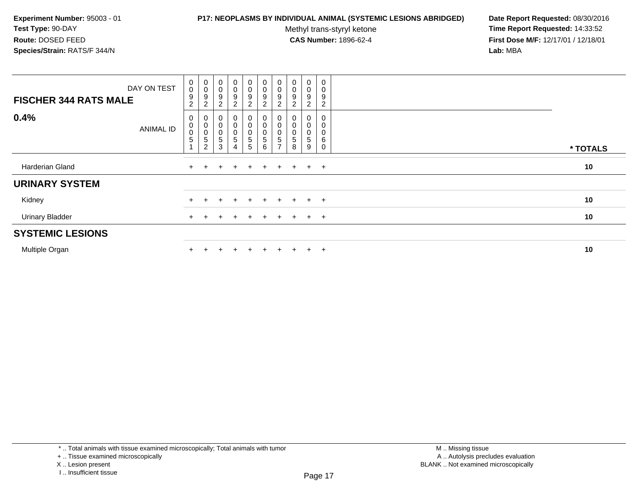### **P17: NEOPLASMS BY INDIVIDUAL ANIMAL (SYSTEMIC LESIONS ABRIDGED) Date Report Requested:** 08/30/2016

Methyl trans-styryl ketone<br>CAS Number: 1896-62-4

| DAY ON TEST<br><b>FISCHER 344 RATS MALE</b> | $\mathbf 0$<br>$\pmb{0}$<br>9<br>$\overline{2}$ | $_{\rm 0}^{\rm 0}$<br>9<br>$\overline{2}$                    | $\mathbf 0$<br>$\mathbf 0$<br>9<br>2 | $\mathbf 0$<br>0<br>9<br>$\overline{2}$ | $\begin{smallmatrix}0\0\0\end{smallmatrix}$<br>$\boldsymbol{9}$<br>$\overline{2}$ | $\begin{smallmatrix} 0\\0 \end{smallmatrix}$<br>9<br>$\overline{c}$ | $\begin{smallmatrix} 0\\0 \end{smallmatrix}$<br>9<br>$\overline{c}$    | $\begin{smallmatrix} 0\\0 \end{smallmatrix}$<br>9<br>$\overline{2}$ | 0<br>0<br>9<br>2      | $\mathbf 0$<br>9<br>2 |          |
|---------------------------------------------|-------------------------------------------------|--------------------------------------------------------------|--------------------------------------|-----------------------------------------|-----------------------------------------------------------------------------------|---------------------------------------------------------------------|------------------------------------------------------------------------|---------------------------------------------------------------------|-----------------------|-----------------------|----------|
| 0.4%<br><b>ANIMAL ID</b>                    | 0<br>$\,0\,$<br>$\pmb{0}$<br>$\,$ 5 $\,$        | 0<br>$\pmb{0}$<br>$\pmb{0}$<br>$\mathbf 5$<br>$\overline{c}$ | 0<br>5<br>3                          | 0<br>0<br>$\sqrt{5}$<br>4               | 0<br>$\mathbf 0$<br>$\mathbf 0$<br>$\mathbf 5$<br>5                               | 0<br>$\mathbf 0$<br>$\mathbf 0$<br>$\sqrt{5}$<br>$\,6\,$            | 0<br>$\mathsf 0$<br>$\mathsf{O}\xspace$<br>$\sqrt{5}$<br>$\rightarrow$ | $\pmb{0}$<br>$\pmb{0}$<br>5<br>8                                    | 0<br>0<br>0<br>5<br>9 | 6                     | * TOTALS |
| Harderian Gland                             |                                                 |                                                              |                                      |                                         | $+$                                                                               | $\pm$                                                               | ÷                                                                      | $+$                                                                 | $\pm$                 | $+$                   | 10       |
| <b>URINARY SYSTEM</b>                       |                                                 |                                                              |                                      |                                         |                                                                                   |                                                                     |                                                                        |                                                                     |                       |                       |          |
| Kidney                                      |                                                 |                                                              |                                      |                                         |                                                                                   |                                                                     |                                                                        | $\div$                                                              | $\ddot{}$             | $+$                   | 10       |
| <b>Urinary Bladder</b>                      |                                                 |                                                              |                                      |                                         | $+$                                                                               | $\div$                                                              |                                                                        | $+$                                                                 | $\overline{+}$        | $+$                   | 10       |
| <b>SYSTEMIC LESIONS</b>                     |                                                 |                                                              |                                      |                                         |                                                                                   |                                                                     |                                                                        |                                                                     |                       |                       |          |
| Multiple Organ                              |                                                 |                                                              |                                      |                                         |                                                                                   |                                                                     |                                                                        |                                                                     | $\pm$                 | $\overline{ }$        | 10       |

<sup>+ ..</sup> Tissue examined microscopically

X .. Lesion present

I .. Insufficient tissue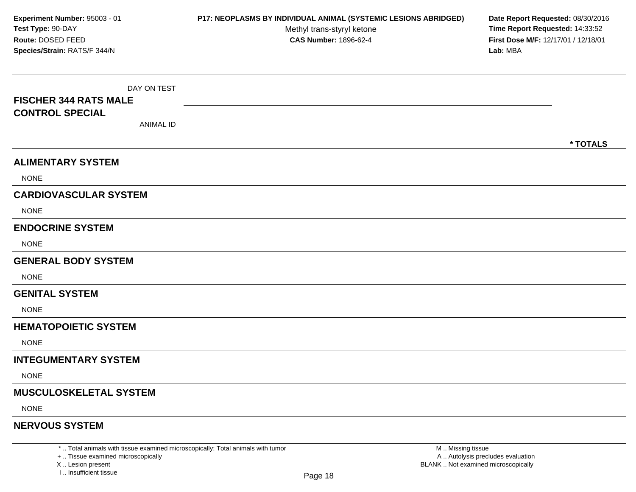DAY ON TEST**FISCHER 344 RATS MALECONTROL SPECIAL**ANIMAL ID**\* TOTALSALIMENTARY SYSTEM**NONE**CARDIOVASCULAR SYSTEM**NONE**ENDOCRINE SYSTEM**NONE**GENERAL BODY SYSTEMNONE GENITAL SYSTEM**NONE**HEMATOPOIETIC SYSTEMNONE INTEGUMENTARY SYSTEM**NONE**MUSCULOSKELETAL SYSTEM**NONE**NERVOUS SYSTEMExperiment Number:** 95003 - 01 **P17: NEOPLASMS BY INDIVIDUAL ANIMAL (SYSTEMIC LESIONS ABRIDGED) Date Report Requested:** 08/30/2016 **Test Type:** 90-DAYMethyl trans-styryl ketone<br>CAS Number: 1896-62-4 **Time Report Requested:** 14:33:52 **Route:** DOSED FEED**First Dose M/F:** 12/17/01 / 12/18/01<br>**Lab:** MBA **Species/Strain:** RATS/F 344/N**Lab:** MBA

\* .. Total animals with tissue examined microscopically; Total animals with tumor

+ .. Tissue examined microscopically

X .. Lesion present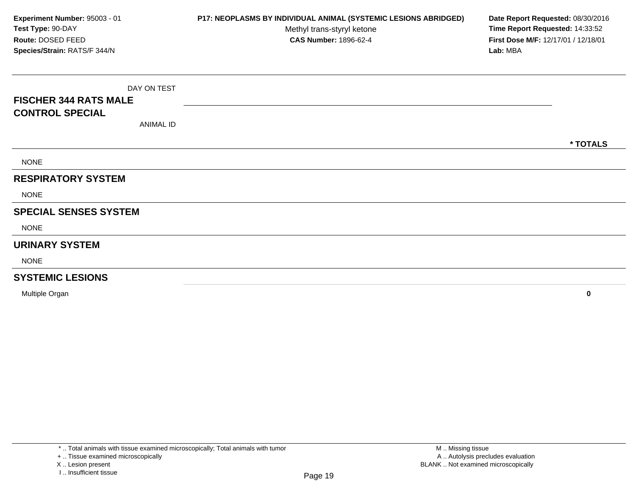DAY ON TEST**FISCHER 344 RATS MALECONTROL SPECIAL**ANIMAL ID**\* TOTALS**NONE**RESPIRATORY SYSTEM**NONE**SPECIAL SENSES SYSTEM**NONE**URINARY SYSTEM**NONE**SYSTEMIC LESIONS**Multiple Organ**Experiment Number:** 95003 - 01 **P17: NEOPLASMS BY INDIVIDUAL ANIMAL (SYSTEMIC LESIONS ABRIDGED) Date Report Requested:** 08/30/2016 **Test Type:** 90-DAYMethyl trans-styryl ketone<br>CAS Number: 1896-62-4 **Time Report Requested:** 14:33:52 **Route:** DOSED FEED**First Dose M/F:** 12/17/01 / 12/18/01<br>**Lab:** MBA **Species/Strain:** RATS/F 344/N**Lab:** MBA

**<sup>0</sup>**

X .. Lesion present

<sup>+ ..</sup> Tissue examined microscopically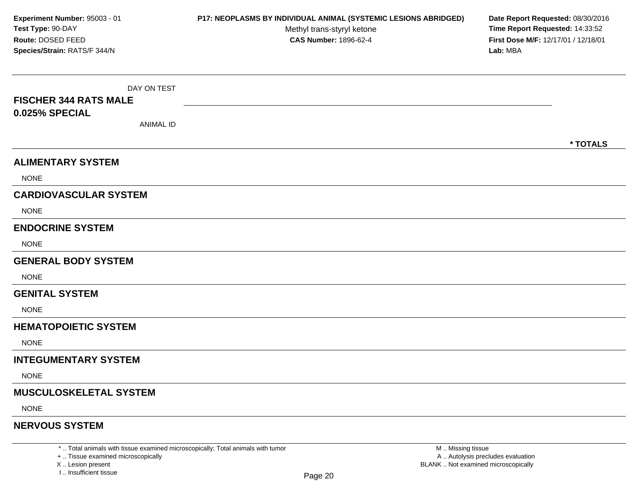DAY ON TEST**FISCHER 344 RATS MALE0.025% SPECIAL**ANIMAL ID**\* TOTALSALIMENTARY SYSTEM**NONE**CARDIOVASCULAR SYSTEM**NONE**ENDOCRINE SYSTEM**NONE**GENERAL BODY SYSTEMNONE GENITAL SYSTEM**NONE**HEMATOPOIETIC SYSTEMNONE INTEGUMENTARY SYSTEM**NONE**MUSCULOSKELETAL SYSTEM**NONE**NERVOUS SYSTEMExperiment Number:** 95003 - 01 **P17: NEOPLASMS BY INDIVIDUAL ANIMAL (SYSTEMIC LESIONS ABRIDGED) Date Report Requested:** 08/30/2016 **Test Type:** 90-DAYMethyl trans-styryl ketone<br>CAS Number: 1896-62-4 **Time Report Requested:** 14:33:52 **Route:** DOSED FEED**First Dose M/F:** 12/17/01 / 12/18/01<br>**Lab:** MBA **Species/Strain:** RATS/F 344/N**Lab:** MBA

\* .. Total animals with tissue examined microscopically; Total animals with tumor

+ .. Tissue examined microscopically

X .. Lesion present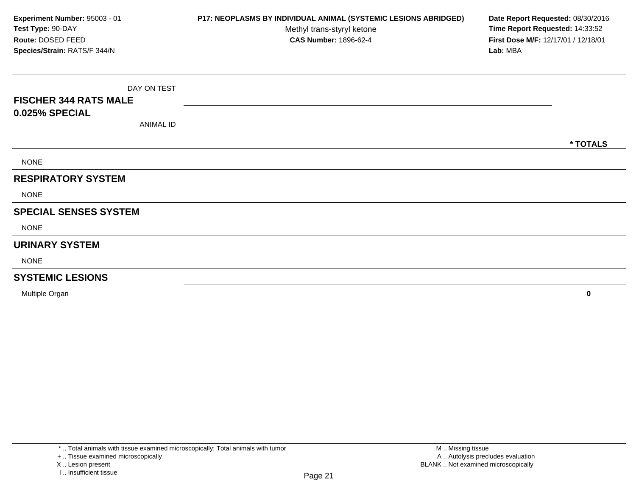DAY ON TEST**FISCHER 344 RATS MALE0.025% SPECIAL**ANIMAL ID**\* TOTALS**NONE**RESPIRATORY SYSTEM**NONE**SPECIAL SENSES SYSTEM**NONE**URINARY SYSTEM**NONE**SYSTEMIC LESIONS**Multiple Organ **<sup>0</sup> Experiment Number:** 95003 - 01 **P17: NEOPLASMS BY INDIVIDUAL ANIMAL (SYSTEMIC LESIONS ABRIDGED) Date Report Requested:** 08/30/2016 **Test Type:** 90-DAYMethyl trans-styryl ketone<br>CAS Number: 1896-62-4 **Time Report Requested:** 14:33:52 **Route:** DOSED FEED**First Dose M/F:** 12/17/01 / 12/18/01<br>**Lab:** MBA **Species/Strain:** RATS/F 344/N**Lab:** MBA

<sup>+ ..</sup> Tissue examined microscopically

X .. Lesion present

I .. Insufficient tissue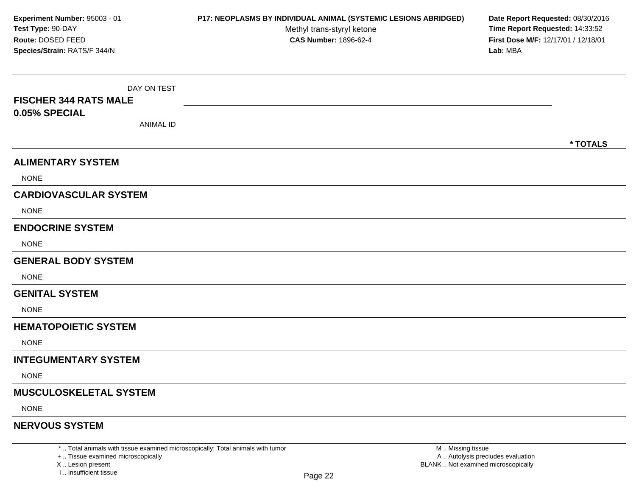DAY ON TEST**FISCHER 344 RATS MALE0.05% SPECIAL**ANIMAL ID**\* TOTALSALIMENTARY SYSTEM**NONE**CARDIOVASCULAR SYSTEM**NONE**ENDOCRINE SYSTEM**NONE**GENERAL BODY SYSTEMNONE GENITAL SYSTEM**NONE**HEMATOPOIETIC SYSTEMNONE INTEGUMENTARY SYSTEM**NONE**MUSCULOSKELETAL SYSTEM**NONE**NERVOUS SYSTEMExperiment Number:** 95003 - 01 **P17: NEOPLASMS BY INDIVIDUAL ANIMAL (SYSTEMIC LESIONS ABRIDGED) Date Report Requested:** 08/30/2016 **Test Type:** 90-DAYMethyl trans-styryl ketone<br>CAS Number: 1896-62-4 **Time Report Requested:** 14:33:52 **Route:** DOSED FEED**First Dose M/F:** 12/17/01 / 12/18/01<br>**Lab:** MBA **Species/Strain:** RATS/F 344/N**Lab:** MBA

\* .. Total animals with tissue examined microscopically; Total animals with tumor

+ .. Tissue examined microscopically

X .. Lesion present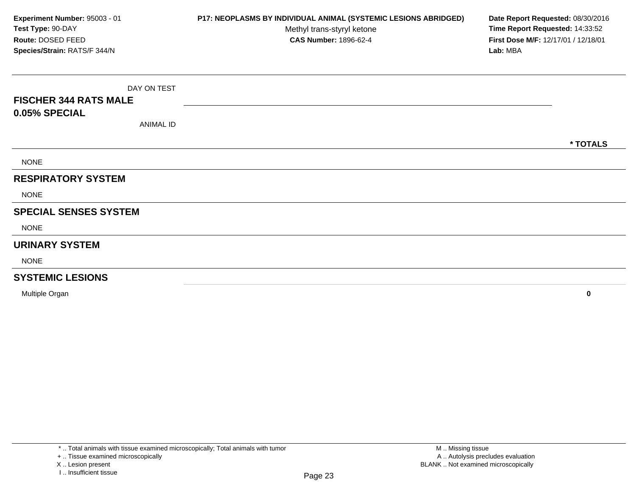DAY ON TEST**FISCHER 344 RATS MALE0.05% SPECIAL**ANIMAL ID**\* TOTALS**NONE**RESPIRATORY SYSTEM**NONE**SPECIAL SENSES SYSTEM**NONE**URINARY SYSTEM**NONE**SYSTEMIC LESIONS**Multiple Organ **<sup>0</sup> Experiment Number:** 95003 - 01 **P17: NEOPLASMS BY INDIVIDUAL ANIMAL (SYSTEMIC LESIONS ABRIDGED) Date Report Requested:** 08/30/2016 **Test Type:** 90-DAYMethyl trans-styryl ketone<br>CAS Number: 1896-62-4 **Time Report Requested:** 14:33:52 **Route:** DOSED FEED**First Dose M/F:** 12/17/01 / 12/18/01<br>**Lab:** MBA **Species/Strain:** RATS/F 344/N**Lab:** MBA

<sup>+ ..</sup> Tissue examined microscopically

X .. Lesion present

I .. Insufficient tissue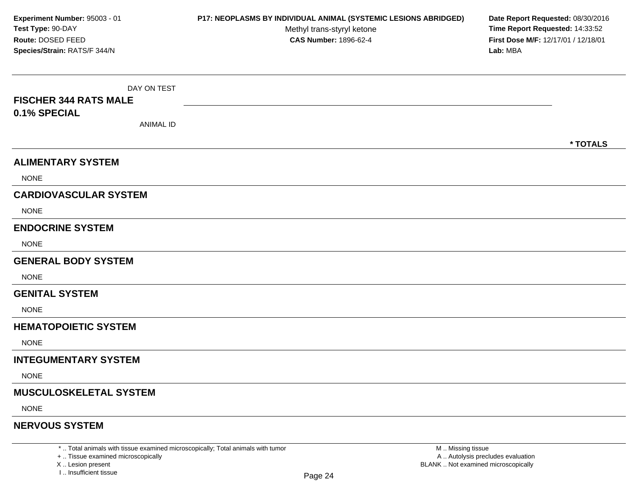DAY ON TEST**FISCHER 344 RATS MALE0.1% SPECIAL**ANIMAL ID**\* TOTALSALIMENTARY SYSTEM**NONE**CARDIOVASCULAR SYSTEM**NONE**ENDOCRINE SYSTEM**NONE**GENERAL BODY SYSTEMNONE GENITAL SYSTEM**NONE**HEMATOPOIETIC SYSTEMNONE INTEGUMENTARY SYSTEM**NONE**MUSCULOSKELETAL SYSTEM**NONE**NERVOUS SYSTEMExperiment Number:** 95003 - 01 **P17: NEOPLASMS BY INDIVIDUAL ANIMAL (SYSTEMIC LESIONS ABRIDGED) Date Report Requested:** 08/30/2016 **Test Type:** 90-DAYMethyl trans-styryl ketone<br>CAS Number: 1896-62-4 **Time Report Requested:** 14:33:52 **Route:** DOSED FEED**First Dose M/F:** 12/17/01 / 12/18/01<br>**Lab:** MBA **Species/Strain:** RATS/F 344/N**Lab:** MBA

\* .. Total animals with tissue examined microscopically; Total animals with tumor

+ .. Tissue examined microscopically

X .. Lesion present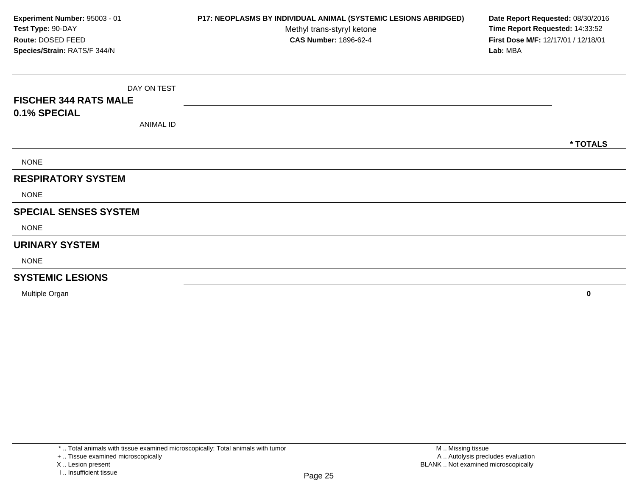DAY ON TEST**FISCHER 344 RATS MALE0.1% SPECIAL**ANIMAL ID**\* TOTALS**NONE**RESPIRATORY SYSTEMNONE SPECIAL SENSES SYSTEM**NONE**URINARY SYSTEM**NONE**SYSTEMIC LESIONS**Multiple Organ **<sup>0</sup> Experiment Number:** 95003 - 01 **P17: NEOPLASMS BY INDIVIDUAL ANIMAL (SYSTEMIC LESIONS ABRIDGED) Date Report Requested:** 08/30/2016 **Test Type:** 90-DAYMethyl trans-styryl ketone<br>CAS Number: 1896-62-4 **Time Report Requested:** 14:33:52 **Route:** DOSED FEED**First Dose M/F:** 12/17/01 / 12/18/01<br>**Lab:** MBA **Species/Strain:** RATS/F 344/N**Lab:** MBA

<sup>\* ..</sup> Total animals with tissue examined microscopically; Total animals with tumor

<sup>+ ..</sup> Tissue examined microscopically

X .. Lesion present

I .. Insufficient tissue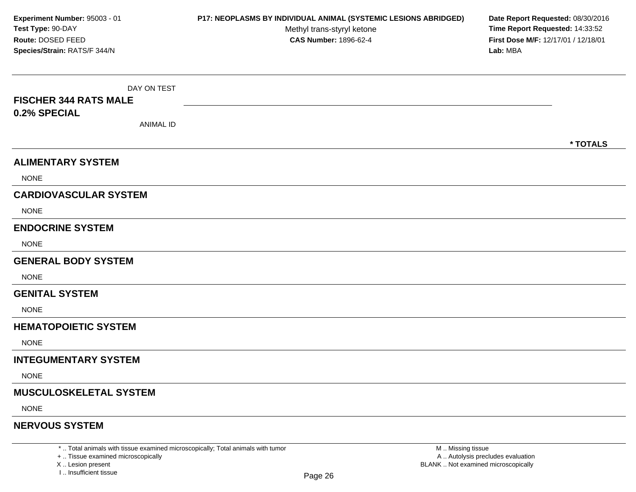DAY ON TEST**FISCHER 344 RATS MALE0.2% SPECIAL**ANIMAL ID**\* TOTALSALIMENTARY SYSTEM**NONE**CARDIOVASCULAR SYSTEM**NONE**ENDOCRINE SYSTEM**NONE**GENERAL BODY SYSTEMNONE GENITAL SYSTEM**NONE**HEMATOPOIETIC SYSTEMNONE INTEGUMENTARY SYSTEM**NONE**MUSCULOSKELETAL SYSTEM**NONE**NERVOUS SYSTEMExperiment Number:** 95003 - 01 **P17: NEOPLASMS BY INDIVIDUAL ANIMAL (SYSTEMIC LESIONS ABRIDGED) Date Report Requested:** 08/30/2016 **Test Type:** 90-DAYMethyl trans-styryl ketone<br>CAS Number: 1896-62-4 **Time Report Requested:** 14:33:52 **Route:** DOSED FEED**First Dose M/F:** 12/17/01 / 12/18/01<br>**Lab:** MBA **Species/Strain:** RATS/F 344/N**Lab:** MBA

\* .. Total animals with tissue examined microscopically; Total animals with tumor

+ .. Tissue examined microscopically

X .. Lesion present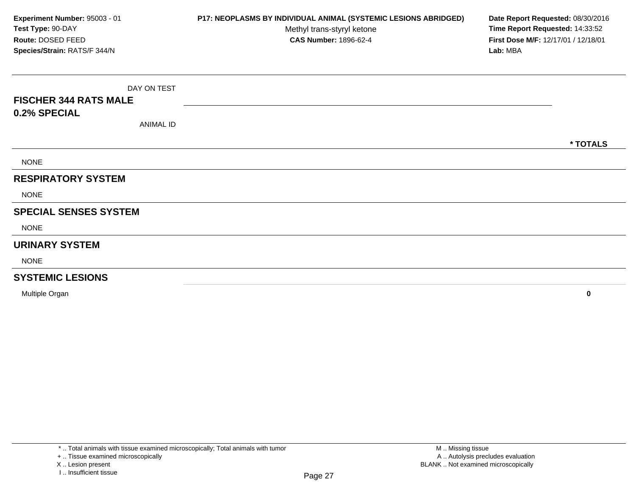DAY ON TEST**FISCHER 344 RATS MALE0.2% SPECIAL**ANIMAL ID**\* TOTALS**NONE**RESPIRATORY SYSTEM**NONE**SPECIAL SENSES SYSTEM**NONE**URINARY SYSTEM**NONE**SYSTEMIC LESIONS**Multiple Organ **<sup>0</sup> Experiment Number:** 95003 - 01 **P17: NEOPLASMS BY INDIVIDUAL ANIMAL (SYSTEMIC LESIONS ABRIDGED) Date Report Requested:** 08/30/2016 **Test Type:** 90-DAYMethyl trans-styryl ketone<br>CAS Number: 1896-62-4 **Time Report Requested:** 14:33:52 **Route:** DOSED FEED**First Dose M/F:** 12/17/01 / 12/18/01<br>**Lab:** MBA **Species/Strain:** RATS/F 344/N**Lab:** MBA

<sup>\* ..</sup> Total animals with tissue examined microscopically; Total animals with tumor

<sup>+ ..</sup> Tissue examined microscopically

X .. Lesion present

I .. Insufficient tissue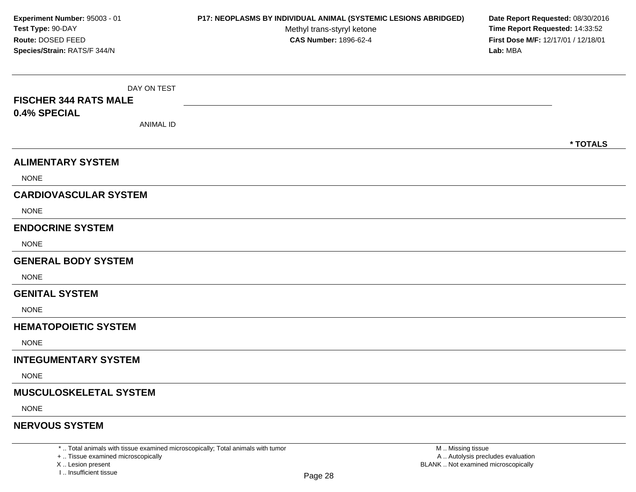DAY ON TEST**FISCHER 344 RATS MALE0.4% SPECIAL**ANIMAL ID**\* TOTALSALIMENTARY SYSTEM**NONE**CARDIOVASCULAR SYSTEM**NONE**ENDOCRINE SYSTEM**NONE**GENERAL BODY SYSTEMNONE GENITAL SYSTEM**NONE**HEMATOPOIETIC SYSTEMNONE INTEGUMENTARY SYSTEM**NONE**MUSCULOSKELETAL SYSTEM**NONE**NERVOUS SYSTEMExperiment Number:** 95003 - 01 **P17: NEOPLASMS BY INDIVIDUAL ANIMAL (SYSTEMIC LESIONS ABRIDGED) Date Report Requested:** 08/30/2016 **Test Type:** 90-DAYMethyl trans-styryl ketone<br>CAS Number: 1896-62-4 **Time Report Requested:** 14:33:52 **Route:** DOSED FEED**First Dose M/F:** 12/17/01 / 12/18/01<br>**Lab:** MBA **Species/Strain:** RATS/F 344/N**Lab:** MBA

\* .. Total animals with tissue examined microscopically; Total animals with tumor

+ .. Tissue examined microscopically

X .. Lesion present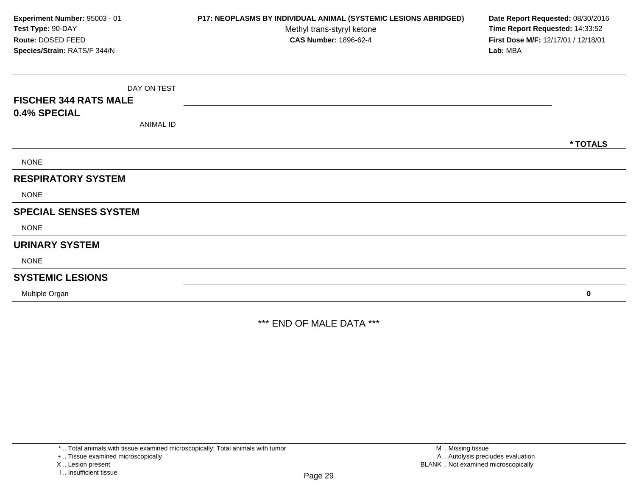| Experiment Number: 95003 - 01<br>Test Type: 90-DAY<br>Route: DOSED FEED | P17: NEOPLASMS BY INDIVIDUAL ANIMAL (SYSTEMIC LESIONS ABRIDGED)<br>Methyl trans-styryl ketone<br><b>CAS Number: 1896-62-4</b> | Date Report Requested: 08/30/2016<br>Time Report Requested: 14:33:52<br>First Dose M/F: 12/17/01 / 12/18/01 |
|-------------------------------------------------------------------------|-------------------------------------------------------------------------------------------------------------------------------|-------------------------------------------------------------------------------------------------------------|
| Species/Strain: RATS/F 344/N                                            |                                                                                                                               | Lab: MBA                                                                                                    |
| DAY ON TEST                                                             |                                                                                                                               |                                                                                                             |
| <b>FISCHER 344 RATS MALE</b>                                            |                                                                                                                               |                                                                                                             |
| 0.4% SPECIAL                                                            |                                                                                                                               |                                                                                                             |
| <b>ANIMAL ID</b>                                                        |                                                                                                                               |                                                                                                             |
|                                                                         |                                                                                                                               | * TOTALS                                                                                                    |
| <b>NONE</b>                                                             |                                                                                                                               |                                                                                                             |
| <b>RESPIRATORY SYSTEM</b>                                               |                                                                                                                               |                                                                                                             |
| <b>NONE</b>                                                             |                                                                                                                               |                                                                                                             |
| <b>SPECIAL SENSES SYSTEM</b>                                            |                                                                                                                               |                                                                                                             |
| <b>NONE</b>                                                             |                                                                                                                               |                                                                                                             |
| <b>URINARY SYSTEM</b>                                                   |                                                                                                                               |                                                                                                             |
| <b>NONE</b>                                                             |                                                                                                                               |                                                                                                             |
| <b>SYSTEMIC LESIONS</b>                                                 |                                                                                                                               |                                                                                                             |
| Multiple Organ                                                          |                                                                                                                               | 0                                                                                                           |

\*\*\* END OF MALE DATA \*\*\*

\* .. Total animals with tissue examined microscopically; Total animals with tumor

+ .. Tissue examined microscopically

X .. Lesion present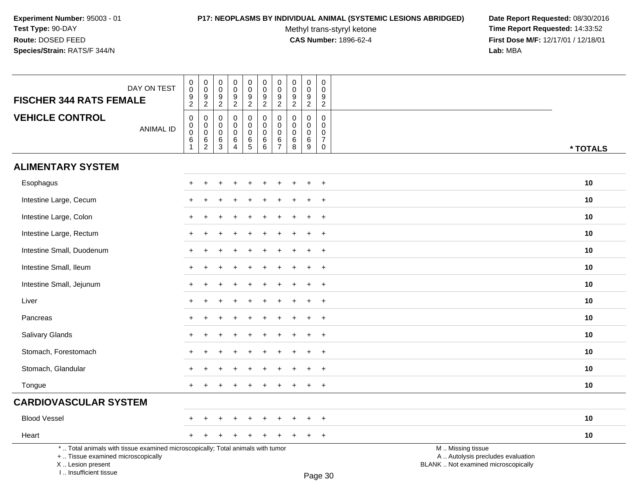# **P17: NEOPLASMS BY INDIVIDUAL ANIMAL (SYSTEMIC LESIONS ABRIDGED) Date Report Requested:** 08/30/2016

Methyl trans-styryl ketone<br>CAS Number: 1896-62-4

 **Time Report Requested:** 14:33:52 **First Dose M/F:** 12/17/01 / 12/18/01<br>Lab: MBA **Lab:** MBA

| DAY ON TEST<br><b>FISCHER 344 RATS FEMALE</b>                                                                                                                       | $\pmb{0}$<br>$\mathbf 0$                                                   | $\pmb{0}$<br>$\overline{0}$                                 | $\pmb{0}$<br>$\mathbf 0$<br>$\boldsymbol{9}$                        | $\mathsf 0$<br>$\Omega$<br>$\boldsymbol{9}$      | $\pmb{0}$<br>0                         | $\pmb{0}$<br>$\mathbf 0$                                             | $\pmb{0}$<br>$\pmb{0}$<br>$\boldsymbol{9}$                         | $\pmb{0}$<br>$\mathbf 0$                            | $\pmb{0}$<br>$\mathbf 0$<br>$9\,$                          | $\pmb{0}$<br>$\Omega$<br>$\boldsymbol{9}$                                |                                                                                               |          |
|---------------------------------------------------------------------------------------------------------------------------------------------------------------------|----------------------------------------------------------------------------|-------------------------------------------------------------|---------------------------------------------------------------------|--------------------------------------------------|----------------------------------------|----------------------------------------------------------------------|--------------------------------------------------------------------|-----------------------------------------------------|------------------------------------------------------------|--------------------------------------------------------------------------|-----------------------------------------------------------------------------------------------|----------|
|                                                                                                                                                                     | $\frac{9}{2}$                                                              | $\frac{9}{2}$                                               | $\overline{2}$                                                      | $\boldsymbol{2}$                                 | $\frac{9}{2}$                          | $\frac{9}{2}$                                                        | $\overline{2}$                                                     | $\frac{9}{2}$                                       | $\overline{2}$                                             | $\overline{2}$                                                           |                                                                                               |          |
| <b>VEHICLE CONTROL</b><br><b>ANIMAL ID</b>                                                                                                                          | $\mathbf 0$<br>$\mathbf 0$<br>$\mathbf 0$<br>$6\phantom{1}$<br>$\mathbf 1$ | $\mathbf 0$<br>$\pmb{0}$<br>$\overline{0}$<br>$\frac{6}{2}$ | $\mathbf 0$<br>$\mathbf 0$<br>$\mathbf 0$<br>$\,6\,$<br>$\mathsf 3$ | $\Omega$<br>$\mathbf 0$<br>$\mathbf 0$<br>6<br>4 | 0<br>$\mathbf 0$<br>0<br>$\frac{6}{5}$ | $\pmb{0}$<br>$\mathbf 0$<br>$\mathbf 0$<br>$\,6\,$<br>$\overline{6}$ | $\mathbf 0$<br>$\mathsf{O}\xspace$<br>$\mathbf 0$<br>$\frac{6}{7}$ | $\mathbf 0$<br>$\mathbf 0$<br>$\mathbf 0$<br>$^6_8$ | $\mathbf{0}$<br>$\mathbf 0$<br>$\mathbf 0$<br>$\,6\,$<br>9 | $\mathbf 0$<br>$\mathbf 0$<br>$\mathbf 0$<br>$\overline{7}$<br>$\pmb{0}$ |                                                                                               | * TOTALS |
| <b>ALIMENTARY SYSTEM</b>                                                                                                                                            |                                                                            |                                                             |                                                                     |                                                  |                                        |                                                                      |                                                                    |                                                     |                                                            |                                                                          |                                                                                               |          |
| Esophagus                                                                                                                                                           |                                                                            |                                                             |                                                                     |                                                  |                                        |                                                                      |                                                                    |                                                     |                                                            | $\overline{+}$                                                           |                                                                                               | 10       |
| Intestine Large, Cecum                                                                                                                                              |                                                                            |                                                             |                                                                     |                                                  |                                        |                                                                      |                                                                    |                                                     |                                                            | $\ddot{}$                                                                |                                                                                               | 10       |
| Intestine Large, Colon                                                                                                                                              |                                                                            |                                                             |                                                                     |                                                  |                                        |                                                                      |                                                                    |                                                     |                                                            | $\ddot{}$                                                                |                                                                                               | 10       |
| Intestine Large, Rectum                                                                                                                                             |                                                                            |                                                             |                                                                     |                                                  |                                        |                                                                      |                                                                    |                                                     |                                                            | $+$                                                                      |                                                                                               | 10       |
| Intestine Small, Duodenum                                                                                                                                           | $\div$                                                                     |                                                             |                                                                     |                                                  |                                        |                                                                      |                                                                    |                                                     | ÷                                                          | $+$                                                                      |                                                                                               | 10       |
| Intestine Small, Ileum                                                                                                                                              |                                                                            |                                                             |                                                                     |                                                  |                                        |                                                                      |                                                                    |                                                     |                                                            | $+$                                                                      |                                                                                               | 10       |
| Intestine Small, Jejunum                                                                                                                                            |                                                                            |                                                             |                                                                     |                                                  |                                        |                                                                      |                                                                    |                                                     |                                                            | $+$                                                                      |                                                                                               | 10       |
| Liver                                                                                                                                                               |                                                                            |                                                             |                                                                     |                                                  |                                        |                                                                      |                                                                    |                                                     |                                                            | $\overline{+}$                                                           |                                                                                               | 10       |
| Pancreas                                                                                                                                                            |                                                                            |                                                             |                                                                     |                                                  |                                        |                                                                      |                                                                    |                                                     |                                                            | $\ddot{}$                                                                |                                                                                               | 10       |
| Salivary Glands                                                                                                                                                     |                                                                            |                                                             |                                                                     |                                                  |                                        |                                                                      |                                                                    |                                                     |                                                            | $+$                                                                      |                                                                                               | 10       |
| Stomach, Forestomach                                                                                                                                                |                                                                            |                                                             |                                                                     |                                                  |                                        |                                                                      |                                                                    |                                                     |                                                            | $+$                                                                      |                                                                                               | 10       |
| Stomach, Glandular                                                                                                                                                  |                                                                            |                                                             |                                                                     |                                                  |                                        |                                                                      |                                                                    |                                                     | ÷                                                          | $+$                                                                      |                                                                                               | 10       |
| Tongue                                                                                                                                                              |                                                                            |                                                             |                                                                     |                                                  |                                        |                                                                      |                                                                    |                                                     |                                                            | $+$                                                                      |                                                                                               | 10       |
| <b>CARDIOVASCULAR SYSTEM</b>                                                                                                                                        |                                                                            |                                                             |                                                                     |                                                  |                                        |                                                                      |                                                                    |                                                     |                                                            |                                                                          |                                                                                               |          |
| <b>Blood Vessel</b>                                                                                                                                                 |                                                                            |                                                             |                                                                     |                                                  |                                        |                                                                      |                                                                    |                                                     |                                                            | $\ddot{}$                                                                |                                                                                               | 10       |
| Heart                                                                                                                                                               | $+$                                                                        |                                                             |                                                                     |                                                  |                                        |                                                                      |                                                                    |                                                     | $\ddot{}$                                                  | $+$                                                                      |                                                                                               | 10       |
| *  Total animals with tissue examined microscopically; Total animals with tumor<br>+  Tissue examined microscopically<br>X  Lesion present<br>I Insufficient tissue |                                                                            |                                                             |                                                                     |                                                  |                                        |                                                                      |                                                                    |                                                     |                                                            | $D_{200}$ 20                                                             | M  Missing tissue<br>A  Autolysis precludes evaluation<br>BLANK  Not examined microscopically |          |

Page 30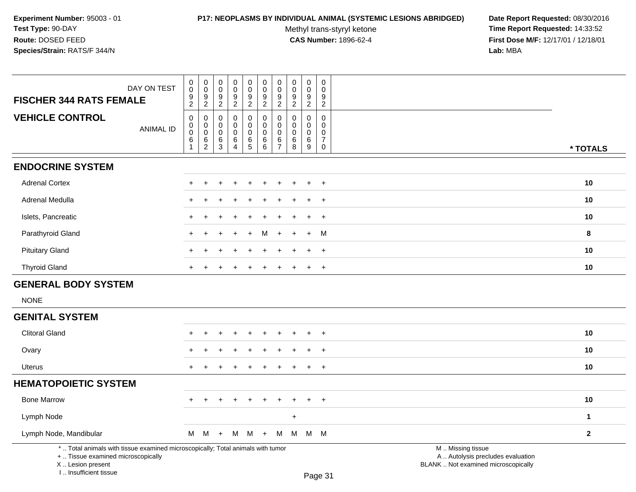## **P17: NEOPLASMS BY INDIVIDUAL ANIMAL (SYSTEMIC LESIONS ABRIDGED) Date Report Requested:** 08/30/2016

Methyl trans-styryl ketone<br>CAS Number: 1896-62-4

| DAY ON TEST<br><b>FISCHER 344 RATS FEMALE</b>                                                                                                                       | $_{\rm 0}^{\rm 0}$<br>$\frac{9}{2}$                                      | $_{0}^{0}$<br>$\frac{9}{2}$                                          | $_{\rm 0}^{\rm 0}$<br>$\boldsymbol{9}$<br>$\overline{2}$  | $\pmb{0}$<br>$\mathbf 0$<br>9<br>$\overline{c}$      | $_{\rm 0}^{\rm 0}$<br>$\boldsymbol{9}$<br>$\overline{2}$        | $\pmb{0}$<br>$\pmb{0}$<br>9<br>$\overline{2}$             | $\mathbf 0$<br>$\boldsymbol{0}$<br>$9$<br>$\sqrt{2}$                      | $\pmb{0}$<br>$\pmb{0}$<br>$\boldsymbol{9}$<br>$\overline{c}$ | $\pmb{0}$<br>$\mathbf 0$<br>9<br>$\overline{2}$                   | $\mathbf 0$<br>$\Omega$<br>9<br>$\overline{2}$         |                                                                                               |              |
|---------------------------------------------------------------------------------------------------------------------------------------------------------------------|--------------------------------------------------------------------------|----------------------------------------------------------------------|-----------------------------------------------------------|------------------------------------------------------|-----------------------------------------------------------------|-----------------------------------------------------------|---------------------------------------------------------------------------|--------------------------------------------------------------|-------------------------------------------------------------------|--------------------------------------------------------|-----------------------------------------------------------------------------------------------|--------------|
| <b>VEHICLE CONTROL</b><br><b>ANIMAL ID</b>                                                                                                                          | $\pmb{0}$<br>$\pmb{0}$<br>$\mathsf{O}\xspace$<br>$\,6\,$<br>$\mathbf{1}$ | $\pmb{0}$<br>$\mathbf 0$<br>$\mathbf 0$<br>$\,6\,$<br>$\overline{2}$ | $\mathbf 0$<br>$\mathbf 0$<br>$\mathbf 0$<br>$\,6\,$<br>3 | $\pmb{0}$<br>$\mathbf 0$<br>0<br>6<br>$\overline{4}$ | $\pmb{0}$<br>$\mathbf 0$<br>$\mathsf{O}\xspace$<br>$\,6\,$<br>5 | $\mathsf 0$<br>$\mathbf 0$<br>$\mathbf 0$<br>$\,6\,$<br>6 | $\pmb{0}$<br>$\mathbf 0$<br>$\boldsymbol{0}$<br>$\,6\,$<br>$\overline{7}$ | 0<br>$\mathbf 0$<br>$\mathbf 0$<br>6<br>8                    | $\mathsf{O}\xspace$<br>$\mathbf 0$<br>$\mathbf 0$<br>$\,6\,$<br>9 | $\mathsf 0$<br>$\mathbf 0$<br>0<br>$\overline{7}$<br>0 |                                                                                               | * TOTALS     |
| <b>ENDOCRINE SYSTEM</b>                                                                                                                                             |                                                                          |                                                                      |                                                           |                                                      |                                                                 |                                                           |                                                                           |                                                              |                                                                   |                                                        |                                                                                               |              |
| <b>Adrenal Cortex</b>                                                                                                                                               |                                                                          |                                                                      |                                                           |                                                      |                                                                 |                                                           |                                                                           |                                                              |                                                                   | $\overline{+}$                                         |                                                                                               | 10           |
| Adrenal Medulla                                                                                                                                                     |                                                                          |                                                                      |                                                           |                                                      |                                                                 |                                                           |                                                                           |                                                              |                                                                   | $\ddot{}$                                              |                                                                                               | 10           |
| Islets, Pancreatic                                                                                                                                                  | $\ddot{}$                                                                |                                                                      |                                                           |                                                      |                                                                 |                                                           |                                                                           |                                                              |                                                                   | $\ddot{}$                                              |                                                                                               | 10           |
| Parathyroid Gland                                                                                                                                                   | $\ddot{}$                                                                | ÷.                                                                   |                                                           |                                                      |                                                                 | м                                                         | ÷.                                                                        |                                                              | $+$                                                               | M                                                      |                                                                                               | 8            |
| <b>Pituitary Gland</b>                                                                                                                                              | $\pm$                                                                    | ÷                                                                    |                                                           |                                                      |                                                                 |                                                           |                                                                           |                                                              | $\pm$                                                             | $+$                                                    |                                                                                               | 10           |
| <b>Thyroid Gland</b>                                                                                                                                                | $+$                                                                      |                                                                      |                                                           |                                                      |                                                                 | $\ddot{}$                                                 | $\div$                                                                    | $\div$                                                       | $+$                                                               | $^{+}$                                                 |                                                                                               | 10           |
| <b>GENERAL BODY SYSTEM</b>                                                                                                                                          |                                                                          |                                                                      |                                                           |                                                      |                                                                 |                                                           |                                                                           |                                                              |                                                                   |                                                        |                                                                                               |              |
| <b>NONE</b>                                                                                                                                                         |                                                                          |                                                                      |                                                           |                                                      |                                                                 |                                                           |                                                                           |                                                              |                                                                   |                                                        |                                                                                               |              |
| <b>GENITAL SYSTEM</b>                                                                                                                                               |                                                                          |                                                                      |                                                           |                                                      |                                                                 |                                                           |                                                                           |                                                              |                                                                   |                                                        |                                                                                               |              |
| <b>Clitoral Gland</b>                                                                                                                                               |                                                                          |                                                                      |                                                           |                                                      |                                                                 |                                                           |                                                                           |                                                              |                                                                   | $\overline{1}$                                         |                                                                                               | 10           |
| Ovary                                                                                                                                                               |                                                                          |                                                                      |                                                           |                                                      |                                                                 |                                                           |                                                                           |                                                              |                                                                   | $\ddot{}$                                              |                                                                                               | 10           |
| <b>Uterus</b>                                                                                                                                                       |                                                                          |                                                                      |                                                           |                                                      |                                                                 |                                                           |                                                                           |                                                              |                                                                   | $\ddot{}$                                              |                                                                                               | 10           |
| <b>HEMATOPOIETIC SYSTEM</b>                                                                                                                                         |                                                                          |                                                                      |                                                           |                                                      |                                                                 |                                                           |                                                                           |                                                              |                                                                   |                                                        |                                                                                               |              |
| <b>Bone Marrow</b>                                                                                                                                                  |                                                                          |                                                                      |                                                           |                                                      |                                                                 |                                                           |                                                                           |                                                              |                                                                   | $\ddot{}$                                              |                                                                                               | 10           |
| Lymph Node                                                                                                                                                          |                                                                          |                                                                      |                                                           |                                                      |                                                                 |                                                           |                                                                           | $\ddot{}$                                                    |                                                                   |                                                        |                                                                                               | $\mathbf{1}$ |
| Lymph Node, Mandibular                                                                                                                                              | M                                                                        | M                                                                    | $+$                                                       | М                                                    | M +                                                             |                                                           | M                                                                         | M                                                            |                                                                   | M M                                                    |                                                                                               | $\mathbf{2}$ |
| *  Total animals with tissue examined microscopically; Total animals with tumor<br>+  Tissue examined microscopically<br>X  Lesion present<br>I Insufficient tissue |                                                                          |                                                                      |                                                           |                                                      |                                                                 |                                                           |                                                                           |                                                              |                                                                   | Page 31                                                | M  Missing tissue<br>A  Autolysis precludes evaluation<br>BLANK  Not examined microscopically |              |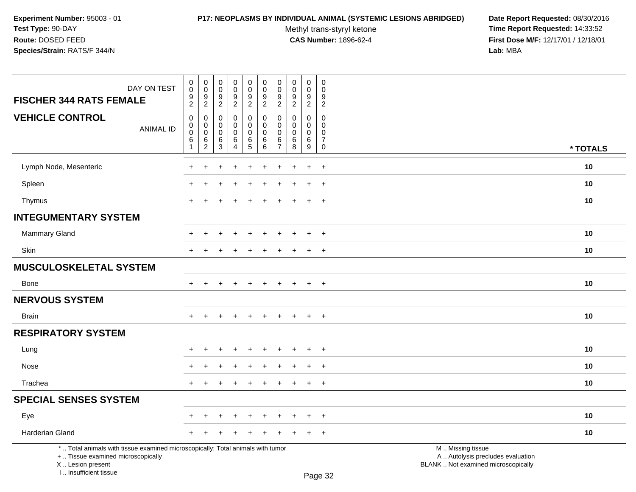# **P17: NEOPLASMS BY INDIVIDUAL ANIMAL (SYSTEMIC LESIONS ABRIDGED) Date Report Requested:** 08/30/2016

Methyl trans-styryl ketone<br>CAS Number: 1896-62-4

| DAY ON TEST<br><b>FISCHER 344 RATS FEMALE</b>                                                                                                                       | $\pmb{0}$<br>$\pmb{0}$<br>9<br>$\overline{2}$               | 0<br>$\mathbf 0$<br>9<br>$\overline{2}$      | $\pmb{0}$<br>$\mathbf 0$<br>9<br>$\sqrt{2}$   | $\pmb{0}$<br>$\mathsf 0$<br>9<br>$\overline{a}$     | $\pmb{0}$<br>$\mathsf{O}\xspace$<br>$9\,$<br>$\overline{2}$ | $\pmb{0}$<br>$\pmb{0}$<br>9<br>$\overline{2}$ | $\pmb{0}$<br>$\mathbf 0$<br>$\frac{9}{2}$                         | $\mathbf 0$<br>$\mathbf 0$<br>9<br>$\overline{2}$ | $\pmb{0}$<br>$\mathbf 0$<br>9<br>$\overline{2}$ | $\pmb{0}$<br>$\mathbf 0$<br>9<br>$\overline{c}$                 |                                                                                               |          |
|---------------------------------------------------------------------------------------------------------------------------------------------------------------------|-------------------------------------------------------------|----------------------------------------------|-----------------------------------------------|-----------------------------------------------------|-------------------------------------------------------------|-----------------------------------------------|-------------------------------------------------------------------|---------------------------------------------------|-------------------------------------------------|-----------------------------------------------------------------|-----------------------------------------------------------------------------------------------|----------|
| <b>VEHICLE CONTROL</b><br><b>ANIMAL ID</b>                                                                                                                          | $\mathsf 0$<br>$\mathsf{O}\xspace$<br>$\mathbf 0$<br>6<br>1 | 0<br>$\mathbf 0$<br>0<br>6<br>$\overline{c}$ | $\mathbf 0$<br>$\Omega$<br>$\Omega$<br>6<br>3 | 0<br>$\Omega$<br>$\mathbf 0$<br>6<br>$\overline{4}$ | 0<br>$\mathbf 0$<br>$\mathsf{O}\xspace$<br>6<br>5           | 0<br>$\mathbf 0$<br>$\mathbf 0$<br>6<br>6     | $\mathbf 0$<br>$\mathbf{0}$<br>$\mathbf 0$<br>6<br>$\overline{7}$ | $\mathbf 0$<br>$\Omega$<br>$\mathbf 0$<br>6<br>8  | 0<br>$\Omega$<br>0<br>$\,6\,$<br>9              | 0<br>$\Omega$<br>$\mathbf 0$<br>$\boldsymbol{7}$<br>$\mathbf 0$ |                                                                                               | * TOTALS |
| Lymph Node, Mesenteric                                                                                                                                              |                                                             |                                              |                                               |                                                     |                                                             |                                               |                                                                   |                                                   | $\overline{+}$                                  | $\ddot{}$                                                       |                                                                                               | 10       |
| Spleen                                                                                                                                                              |                                                             |                                              |                                               |                                                     |                                                             |                                               |                                                                   |                                                   |                                                 | $\ddot{}$                                                       |                                                                                               | 10       |
| Thymus                                                                                                                                                              | $\ddot{}$                                                   |                                              |                                               |                                                     |                                                             |                                               |                                                                   |                                                   | $\ddot{}$                                       | $\overline{+}$                                                  |                                                                                               | 10       |
| <b>INTEGUMENTARY SYSTEM</b>                                                                                                                                         |                                                             |                                              |                                               |                                                     |                                                             |                                               |                                                                   |                                                   |                                                 |                                                                 |                                                                                               |          |
| <b>Mammary Gland</b>                                                                                                                                                |                                                             | +                                            |                                               |                                                     | $\div$                                                      | $\div$                                        |                                                                   | ÷                                                 | $\ddot{}$                                       | $^{+}$                                                          |                                                                                               | 10       |
| Skin                                                                                                                                                                | $\ddot{}$                                                   | $\ddot{}$                                    |                                               | $\ddot{}$                                           | $\pm$                                                       | $\div$                                        | +                                                                 | ÷                                                 | $+$                                             | $+$                                                             |                                                                                               | 10       |
| <b>MUSCULOSKELETAL SYSTEM</b>                                                                                                                                       |                                                             |                                              |                                               |                                                     |                                                             |                                               |                                                                   |                                                   |                                                 |                                                                 |                                                                                               |          |
| <b>Bone</b>                                                                                                                                                         | $+$                                                         | $\ddot{}$                                    | ÷                                             | $\ddot{}$                                           | $\ddot{}$                                                   | $\ddot{}$                                     | $+$                                                               | $+$                                               | $+$                                             | $+$                                                             |                                                                                               | 10       |
| <b>NERVOUS SYSTEM</b>                                                                                                                                               |                                                             |                                              |                                               |                                                     |                                                             |                                               |                                                                   |                                                   |                                                 |                                                                 |                                                                                               |          |
| <b>Brain</b>                                                                                                                                                        |                                                             |                                              |                                               |                                                     |                                                             |                                               |                                                                   |                                                   | $\ddot{}$                                       | $+$                                                             |                                                                                               | 10       |
| <b>RESPIRATORY SYSTEM</b>                                                                                                                                           |                                                             |                                              |                                               |                                                     |                                                             |                                               |                                                                   |                                                   |                                                 |                                                                 |                                                                                               |          |
| Lung                                                                                                                                                                |                                                             |                                              |                                               |                                                     |                                                             |                                               |                                                                   |                                                   |                                                 | $\ddot{}$                                                       |                                                                                               | 10       |
| Nose                                                                                                                                                                |                                                             |                                              |                                               |                                                     |                                                             |                                               |                                                                   |                                                   |                                                 | $\ddot{}$                                                       |                                                                                               | 10       |
| Trachea                                                                                                                                                             | $+$                                                         | $\ddot{}$                                    |                                               | $\div$                                              | $\ddot{}$                                                   | $\ddot{}$                                     | $+$                                                               | $\overline{+}$                                    | $+$                                             | $+$                                                             |                                                                                               | 10       |
| <b>SPECIAL SENSES SYSTEM</b>                                                                                                                                        |                                                             |                                              |                                               |                                                     |                                                             |                                               |                                                                   |                                                   |                                                 |                                                                 |                                                                                               |          |
| Eye                                                                                                                                                                 |                                                             |                                              |                                               |                                                     |                                                             |                                               |                                                                   |                                                   | $\ddot{}$                                       | $+$                                                             |                                                                                               | 10       |
| Harderian Gland                                                                                                                                                     |                                                             |                                              |                                               |                                                     |                                                             |                                               |                                                                   |                                                   | $\div$                                          | $+$                                                             |                                                                                               | 10       |
| *  Total animals with tissue examined microscopically; Total animals with tumor<br>+  Tissue examined microscopically<br>X  Lesion present<br>I Insufficient tissue |                                                             |                                              |                                               |                                                     |                                                             |                                               |                                                                   |                                                   |                                                 | $D_{200}$ 22                                                    | M  Missing tissue<br>A  Autolysis precludes evaluation<br>BLANK  Not examined microscopically |          |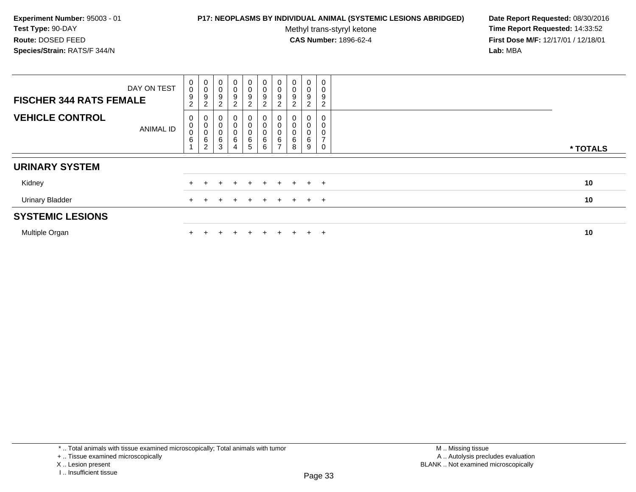### **P17: NEOPLASMS BY INDIVIDUAL ANIMAL (SYSTEMIC LESIONS ABRIDGED) Date Report Requested:** 08/30/2016

Methyl trans-styryl ketone<br>CAS Number: 1896-62-4

 **Time Report Requested:** 14:33:52 **First Dose M/F:** 12/17/01 / 12/18/01<br>**Lab:** MBA **Lab:** MBA

| DAY ON TEST<br><b>FISCHER 344 RATS FEMALE</b> | $\pmb{0}$<br>$\pmb{0}$<br>9<br>$\boldsymbol{2}$ | $\pmb{0}$<br>$\pmb{0}$<br>$\boldsymbol{9}$<br>$\overline{a}$ | 0<br>0<br>9<br>$\overline{2}$ | $\pmb{0}$<br>$\mathbf 0$<br>9<br>$\overline{c}$ | $\begin{smallmatrix} 0\\0 \end{smallmatrix}$<br>$\boldsymbol{9}$<br>$\overline{2}$ | $\begin{smallmatrix} 0\\0 \end{smallmatrix}$<br>9<br>$\overline{a}$ | $\begin{smallmatrix}0\\0\\9\end{smallmatrix}$<br>$\overline{c}$ | $\pmb{0}$<br>$\mathbf 0$<br>9<br>◠<br>∠ | $\pmb{0}$<br>$\boldsymbol{0}$<br>9<br>2 | $\pmb{0}$<br>$\mathbf 0$<br>$\boldsymbol{9}$<br>$\overline{c}$ |          |
|-----------------------------------------------|-------------------------------------------------|--------------------------------------------------------------|-------------------------------|-------------------------------------------------|------------------------------------------------------------------------------------|---------------------------------------------------------------------|-----------------------------------------------------------------|-----------------------------------------|-----------------------------------------|----------------------------------------------------------------|----------|
| <b>VEHICLE CONTROL</b><br><b>ANIMAL ID</b>    | 0<br>$\pmb{0}$<br>$\mathbf 0$<br>6              | 0<br>0<br>0<br>$\,6\,$<br>2                                  | 0<br>0<br>0<br>6<br>3         | 0<br>0<br>6<br>$\overline{4}$                   | $\pmb{0}$<br>$\pmb{0}$<br>$\begin{array}{c} 0 \\ 6 \\ 5 \end{array}$               | 0<br>0<br>$\begin{matrix}0\\6\\6\end{matrix}$                       | 0                                                               | 0<br>0<br>6<br>8                        | 0<br>0<br>6<br>9                        | 0<br>0<br>0<br>$\rightarrow$<br>0                              | * TOTALS |
| <b>URINARY SYSTEM</b>                         |                                                 |                                                              |                               |                                                 |                                                                                    |                                                                     |                                                                 |                                         |                                         |                                                                |          |
| Kidney                                        |                                                 |                                                              |                               |                                                 |                                                                                    | $\ddot{}$                                                           | $+$                                                             | $+$                                     |                                         | $+$ $+$                                                        | 10       |
| <b>Urinary Bladder</b>                        |                                                 |                                                              |                               |                                                 | $\pm$                                                                              | $\pm$                                                               | $+$                                                             | $\pm$                                   |                                         | $+$ $+$                                                        | 10       |
| <b>SYSTEMIC LESIONS</b>                       |                                                 |                                                              |                               |                                                 |                                                                                    |                                                                     |                                                                 |                                         |                                         |                                                                |          |
| Multiple Organ                                |                                                 |                                                              |                               |                                                 |                                                                                    | $\div$                                                              | $+$                                                             |                                         | $+$                                     | $\overline{+}$                                                 | 10       |

\* .. Total animals with tissue examined microscopically; Total animals with tumor

+ .. Tissue examined microscopically

X .. Lesion present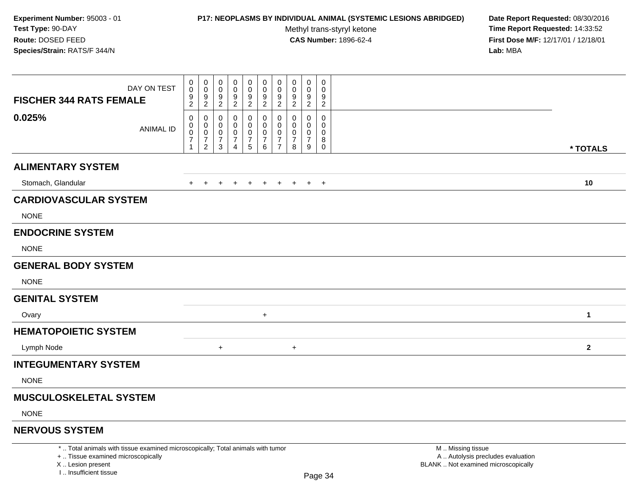### **P17: NEOPLASMS BY INDIVIDUAL ANIMAL (SYSTEMIC LESIONS ABRIDGED) Date Report Requested:** 08/30/2016

Methyl trans-styryl ketone<br>CAS Number: 1896-62-4

 **Time Report Requested:** 14:33:52 **First Dose M/F:** 12/17/01 / 12/18/01<br>**Lab:** MBA **Lab:** MBA

| DAY ON TEST<br><b>FISCHER 344 RATS FEMALE</b> | 0<br>0<br>9<br>$\overline{2}$ | 0<br>$\mathbf 0$<br>$9\,$<br>$\overline{2}$                       | 0<br>0<br>9<br>$\overline{c}$      | 0<br>$\mathbf 0$<br>9<br>$\overline{2}$                 | 0<br>0<br>$\frac{9}{2}$            | 0<br>0<br>$\frac{9}{2}$                         | 0<br>$\mathbf 0$<br>$\frac{9}{2}$                                   | 0<br>0<br>9<br>$\overline{2}$ | 0<br>0<br>$9\,$<br>$\overline{2}$  | 0<br>$\mathbf 0$<br>9<br>$\overline{2}$   |              |
|-----------------------------------------------|-------------------------------|-------------------------------------------------------------------|------------------------------------|---------------------------------------------------------|------------------------------------|-------------------------------------------------|---------------------------------------------------------------------|-------------------------------|------------------------------------|-------------------------------------------|--------------|
| 0.025%<br><b>ANIMAL ID</b>                    | 0<br>0<br>0<br>$\overline{7}$ | 0<br>$\mathbf 0$<br>$\pmb{0}$<br>$\overline{7}$<br>$\overline{2}$ | 0<br>0<br>0<br>$\overline{7}$<br>3 | 0<br>0<br>0<br>$\overline{7}$<br>$\boldsymbol{\Lambda}$ | 0<br>0<br>0<br>$\overline{7}$<br>5 | 0<br>0<br>0<br>$\overline{7}$<br>$6\phantom{1}$ | 0<br>$\mathbf 0$<br>$\mathbf 0$<br>$\overline{7}$<br>$\overline{7}$ | 0<br>0<br>0<br>7<br>8         | 0<br>0<br>0<br>$\overline{7}$<br>9 | 0<br>0<br>$\mathbf 0$<br>8<br>$\mathbf 0$ | * TOTALS     |
| <b>ALIMENTARY SYSTEM</b>                      |                               |                                                                   |                                    |                                                         |                                    |                                                 |                                                                     |                               |                                    |                                           |              |
|                                               |                               |                                                                   |                                    |                                                         |                                    |                                                 |                                                                     |                               |                                    |                                           |              |
| Stomach, Glandular                            |                               |                                                                   |                                    |                                                         |                                    |                                                 |                                                                     |                               |                                    | $+$                                       | 10           |
| <b>CARDIOVASCULAR SYSTEM</b>                  |                               |                                                                   |                                    |                                                         |                                    |                                                 |                                                                     |                               |                                    |                                           |              |
| <b>NONE</b>                                   |                               |                                                                   |                                    |                                                         |                                    |                                                 |                                                                     |                               |                                    |                                           |              |
| <b>ENDOCRINE SYSTEM</b>                       |                               |                                                                   |                                    |                                                         |                                    |                                                 |                                                                     |                               |                                    |                                           |              |
| <b>NONE</b>                                   |                               |                                                                   |                                    |                                                         |                                    |                                                 |                                                                     |                               |                                    |                                           |              |
| <b>GENERAL BODY SYSTEM</b>                    |                               |                                                                   |                                    |                                                         |                                    |                                                 |                                                                     |                               |                                    |                                           |              |
| <b>NONE</b>                                   |                               |                                                                   |                                    |                                                         |                                    |                                                 |                                                                     |                               |                                    |                                           |              |
| <b>GENITAL SYSTEM</b>                         |                               |                                                                   |                                    |                                                         |                                    |                                                 |                                                                     |                               |                                    |                                           |              |
| Ovary                                         |                               |                                                                   |                                    |                                                         |                                    | $+$                                             |                                                                     |                               |                                    |                                           | $\mathbf{1}$ |
| <b>HEMATOPOIETIC SYSTEM</b>                   |                               |                                                                   |                                    |                                                         |                                    |                                                 |                                                                     |                               |                                    |                                           |              |
| Lymph Node                                    |                               |                                                                   | $\ddot{}$                          |                                                         |                                    |                                                 |                                                                     | $+$                           |                                    |                                           | $\mathbf{2}$ |
| <b>INTEGUMENTARY SYSTEM</b>                   |                               |                                                                   |                                    |                                                         |                                    |                                                 |                                                                     |                               |                                    |                                           |              |
| <b>NONE</b>                                   |                               |                                                                   |                                    |                                                         |                                    |                                                 |                                                                     |                               |                                    |                                           |              |
| <b>MUSCULOSKELETAL SYSTEM</b>                 |                               |                                                                   |                                    |                                                         |                                    |                                                 |                                                                     |                               |                                    |                                           |              |
| <b>NONE</b>                                   |                               |                                                                   |                                    |                                                         |                                    |                                                 |                                                                     |                               |                                    |                                           |              |
| <b>NERVOUS SYSTEM</b>                         |                               |                                                                   |                                    |                                                         |                                    |                                                 |                                                                     |                               |                                    |                                           |              |

+ .. Tissue examined microscopically

X .. Lesion present

I .. Insufficient tissue

 M .. Missing tissuey the contract of the contract of the contract of the contract of the contract of  $\mathsf A$  . Autolysis precludes evaluation Lesion present BLANK .. Not examined microscopically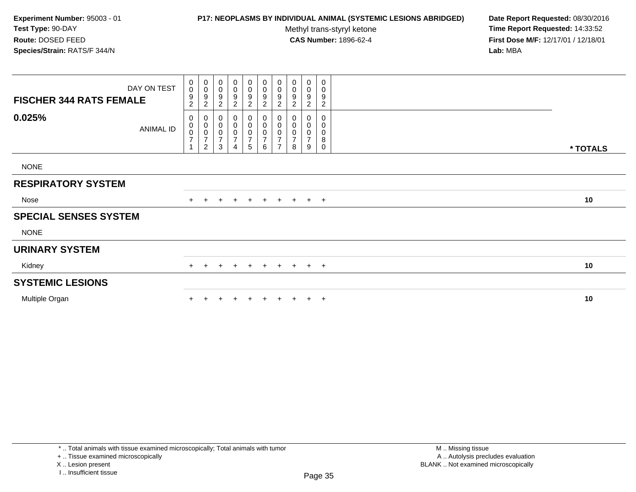## **P17: NEOPLASMS BY INDIVIDUAL ANIMAL (SYSTEMIC LESIONS ABRIDGED) Date Report Requested:** 08/30/2016

Methyl trans-styryl ketone<br>CAS Number: 1896-62-4

 **Time Report Requested:** 14:33:52 **First Dose M/F:** 12/17/01 / 12/18/01<br>**Lab:** MBA **Lab:** MBA

| <b>FISCHER 344 RATS FEMALE</b> | DAY ON TEST      | $\mathbf 0$<br>$\mathsf{O}\xspace$<br>$\boldsymbol{9}$<br>$\overline{c}$ | $_{\rm 0}^{\rm 0}$<br>$\begin{array}{c} 9 \\ 2 \end{array}$                | 0<br>$\pmb{0}$<br>9<br>$\overline{2}$              | $\pmb{0}$<br>$\mathbf 0$<br>$\boldsymbol{9}$<br>$\overline{\mathbf{c}}$ | 0<br>$\boldsymbol{0}$<br>9<br>$\overline{c}$ | 0<br>0<br>$\boldsymbol{9}$<br>$\boldsymbol{2}$                                 | 0<br>$\pmb{0}$<br>$\boldsymbol{9}$<br>$\overline{2}$                      | 0<br>0<br>9<br>$\overline{c}$                | $\pmb{0}$<br>$\pmb{0}$<br>9<br>$\overline{c}$ | 0<br>0<br>9<br>$\overline{c}$ |          |
|--------------------------------|------------------|--------------------------------------------------------------------------|----------------------------------------------------------------------------|----------------------------------------------------|-------------------------------------------------------------------------|----------------------------------------------|--------------------------------------------------------------------------------|---------------------------------------------------------------------------|----------------------------------------------|-----------------------------------------------|-------------------------------|----------|
| 0.025%                         | <b>ANIMAL ID</b> | 0<br>$\pmb{0}$<br>$\frac{0}{7}$<br>$\overline{1}$                        | $\mathbf 0$<br>$\begin{matrix} 0 \\ 0 \\ 7 \end{matrix}$<br>$\overline{2}$ | 0<br>$\pmb{0}$<br>$\pmb{0}$<br>$\overline{7}$<br>3 | 0<br>$\,0\,$<br>$\pmb{0}$<br>$\boldsymbol{7}$<br>4                      | 0<br>$\bar{0}$<br>$\frac{0}{7}$<br>5         | $\begin{smallmatrix}0\0\0\end{smallmatrix}$<br>$\frac{0}{7}$<br>$6\phantom{1}$ | $\mathbf 0$<br>$\pmb{0}$<br>$\pmb{0}$<br>$\overline{7}$<br>$\overline{ }$ | 0<br>0<br>0<br>$\overline{\mathcal{I}}$<br>8 | 0<br>0<br>0<br>$\overline{7}$<br>9            | 0<br>0<br>0<br>8<br>0         | * TOTALS |
| <b>NONE</b>                    |                  |                                                                          |                                                                            |                                                    |                                                                         |                                              |                                                                                |                                                                           |                                              |                                               |                               |          |
| <b>RESPIRATORY SYSTEM</b>      |                  |                                                                          |                                                                            |                                                    |                                                                         |                                              |                                                                                |                                                                           |                                              |                                               |                               |          |
| Nose                           |                  |                                                                          |                                                                            | $\div$                                             | $+$                                                                     | $+$                                          | $+$                                                                            | $+$                                                                       | $+$                                          |                                               | $+$ $+$                       | 10       |
| <b>SPECIAL SENSES SYSTEM</b>   |                  |                                                                          |                                                                            |                                                    |                                                                         |                                              |                                                                                |                                                                           |                                              |                                               |                               |          |
| <b>NONE</b>                    |                  |                                                                          |                                                                            |                                                    |                                                                         |                                              |                                                                                |                                                                           |                                              |                                               |                               |          |
| <b>URINARY SYSTEM</b>          |                  |                                                                          |                                                                            |                                                    |                                                                         |                                              |                                                                                |                                                                           |                                              |                                               |                               |          |
| Kidney                         |                  | $+$                                                                      | $+$                                                                        | $\ddot{}$                                          | $+$                                                                     | $+$                                          | $+$                                                                            |                                                                           | $+ + + +$                                    |                                               |                               | 10       |
| <b>SYSTEMIC LESIONS</b>        |                  |                                                                          |                                                                            |                                                    |                                                                         |                                              |                                                                                |                                                                           |                                              |                                               |                               |          |
| Multiple Organ                 |                  |                                                                          |                                                                            |                                                    |                                                                         |                                              | $+$                                                                            | $+$                                                                       | $+$                                          |                                               | $+$ $+$                       | 10       |

\* .. Total animals with tissue examined microscopically; Total animals with tumor

+ .. Tissue examined microscopically

X .. Lesion present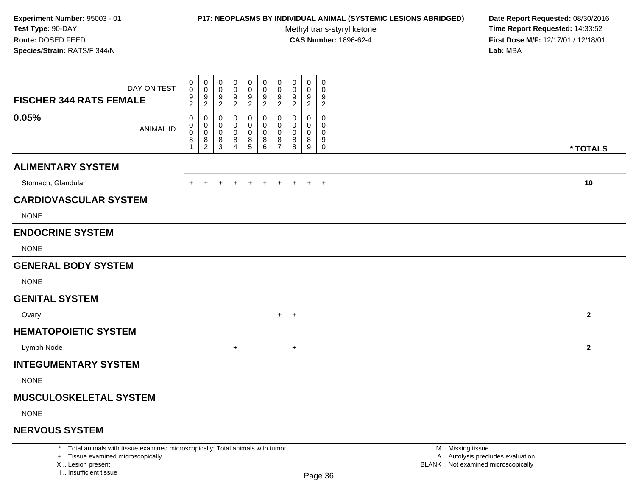### **P17: NEOPLASMS BY INDIVIDUAL ANIMAL (SYSTEMIC LESIONS ABRIDGED) Date Report Requested:** 08/30/2016

Methyl trans-styryl ketone<br>CAS Number: 1896-62-4

 **Time Report Requested:** 14:33:52 **First Dose M/F:** 12/17/01 / 12/18/01<br>**Lab:** MBA **Lab:** MBA

| DAY ON TEST<br><b>FISCHER 344 RATS FEMALE</b> | 0<br>0<br>$\frac{9}{2}$          | 0<br>$\mathbf 0$<br>$9\,$<br>$\overline{2}$    | 0<br>0<br>9<br>2                   | 0<br>0<br>9<br>$\overline{c}$      | 0<br>0<br>$\frac{9}{2}$              | 0<br>0<br>$\frac{9}{2}$                                          | 0<br>0<br>9<br>$\overline{2}$          | 0<br>0<br>9<br>$\overline{c}$              | 0<br>0<br>9<br>$\overline{2}$   | 0<br>0<br>9<br>$\overline{c}$          |              |
|-----------------------------------------------|----------------------------------|------------------------------------------------|------------------------------------|------------------------------------|--------------------------------------|------------------------------------------------------------------|----------------------------------------|--------------------------------------------|---------------------------------|----------------------------------------|--------------|
| 0.05%<br><b>ANIMAL ID</b>                     | 0<br>0<br>0<br>8<br>$\mathbf{1}$ | $\mathbf 0$<br>0<br>$\pmb{0}$<br>$\frac{8}{2}$ | 0<br>0<br>0<br>8<br>$\overline{3}$ | 0<br>0<br>0<br>8<br>$\overline{4}$ | 0<br>0<br>$\pmb{0}$<br>$\frac{8}{5}$ | 0<br>$\overline{0}$<br>0<br>$\begin{matrix} 8 \\ 6 \end{matrix}$ | 0<br>$\mathbf 0$<br>0<br>$\frac{8}{7}$ | $\Omega$<br>$\Omega$<br>$\Omega$<br>8<br>8 | $\mathbf 0$<br>0<br>0<br>8<br>9 | 0<br>$\Omega$<br>0<br>9<br>$\mathbf 0$ | * TOTALS     |
| <b>ALIMENTARY SYSTEM</b>                      |                                  |                                                |                                    |                                    |                                      |                                                                  |                                        |                                            |                                 |                                        |              |
| Stomach, Glandular                            | $\pm$                            | $+$                                            | $+$                                | $+$                                | $+$                                  | $+$                                                              | $+$                                    | $+$                                        |                                 | $+$ $+$                                | 10           |
| <b>CARDIOVASCULAR SYSTEM</b><br><b>NONE</b>   |                                  |                                                |                                    |                                    |                                      |                                                                  |                                        |                                            |                                 |                                        |              |
| <b>ENDOCRINE SYSTEM</b>                       |                                  |                                                |                                    |                                    |                                      |                                                                  |                                        |                                            |                                 |                                        |              |
| <b>NONE</b>                                   |                                  |                                                |                                    |                                    |                                      |                                                                  |                                        |                                            |                                 |                                        |              |
| <b>GENERAL BODY SYSTEM</b>                    |                                  |                                                |                                    |                                    |                                      |                                                                  |                                        |                                            |                                 |                                        |              |
| <b>NONE</b>                                   |                                  |                                                |                                    |                                    |                                      |                                                                  |                                        |                                            |                                 |                                        |              |
| <b>GENITAL SYSTEM</b>                         |                                  |                                                |                                    |                                    |                                      |                                                                  |                                        |                                            |                                 |                                        |              |
| Ovary                                         |                                  |                                                |                                    |                                    |                                      |                                                                  |                                        | $+$ $+$                                    |                                 |                                        | $\mathbf{2}$ |
| <b>HEMATOPOIETIC SYSTEM</b>                   |                                  |                                                |                                    |                                    |                                      |                                                                  |                                        |                                            |                                 |                                        |              |
| Lymph Node                                    |                                  |                                                |                                    | $+$                                |                                      |                                                                  |                                        | $\ddot{}$                                  |                                 |                                        | $\mathbf{2}$ |
| <b>INTEGUMENTARY SYSTEM</b>                   |                                  |                                                |                                    |                                    |                                      |                                                                  |                                        |                                            |                                 |                                        |              |
| <b>NONE</b>                                   |                                  |                                                |                                    |                                    |                                      |                                                                  |                                        |                                            |                                 |                                        |              |
| <b>MUSCULOSKELETAL SYSTEM</b>                 |                                  |                                                |                                    |                                    |                                      |                                                                  |                                        |                                            |                                 |                                        |              |
| <b>NONE</b>                                   |                                  |                                                |                                    |                                    |                                      |                                                                  |                                        |                                            |                                 |                                        |              |
| <b>NERVOUS SYSTEM</b>                         |                                  |                                                |                                    |                                    |                                      |                                                                  |                                        |                                            |                                 |                                        |              |

\* .. Total animals with tissue examined microscopically; Total animals with tumor

+ .. Tissue examined microscopically

X .. Lesion present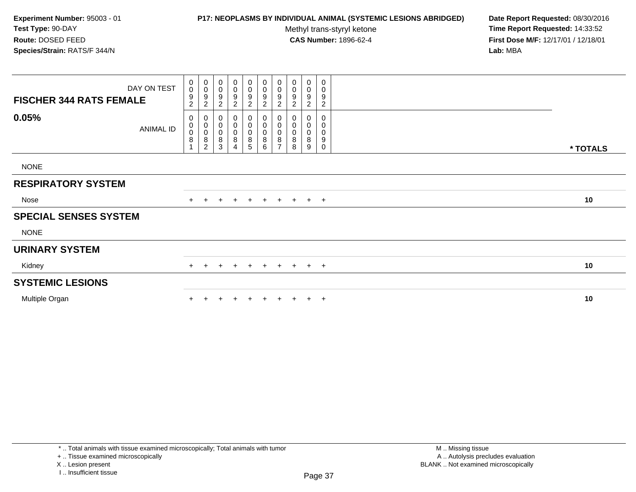### **P17: NEOPLASMS BY INDIVIDUAL ANIMAL (SYSTEMIC LESIONS ABRIDGED) Date Report Requested:** 08/30/2016

Methyl trans-styryl ketone<br>CAS Number: 1896-62-4

 **Time Report Requested:** 14:33:52 **First Dose M/F:** 12/17/01 / 12/18/01<br>**Lab:** MBA **Lab:** MBA

| DAY ON TEST<br><b>FISCHER 344 RATS FEMALE</b> | 0<br>$\mathsf{O}\xspace$<br>9<br>$\overline{c}$ | $\begin{smallmatrix} 0\\0 \end{smallmatrix}$<br>$\boldsymbol{9}$<br>$\overline{2}$ | $\pmb{0}$<br>$\pmb{0}$<br>9<br>$\sqrt{2}$          | 0<br>$\mathbf 0$<br>9<br>$\overline{c}$ | $\mathbf 0$<br>$\mathsf{O}\xspace$<br>9<br>$\overline{c}$ | $_{\rm 0}^{\rm 0}$<br>9<br>$\overline{2}$ | $\pmb{0}$<br>$\mathbf 0$<br>9<br>$\overline{c}$                 | $_{\rm 0}^{\rm 0}$<br>9<br>$\sqrt{2}$       | $\pmb{0}$<br>$\mathbf 0$<br>$\boldsymbol{9}$<br>$\sqrt{2}$ | 0<br>0<br>9<br>$\overline{c}$ |          |
|-----------------------------------------------|-------------------------------------------------|------------------------------------------------------------------------------------|----------------------------------------------------|-----------------------------------------|-----------------------------------------------------------|-------------------------------------------|-----------------------------------------------------------------|---------------------------------------------|------------------------------------------------------------|-------------------------------|----------|
| 0.05%<br><b>ANIMAL ID</b>                     | 0<br>0<br>0<br>$\,8\,$                          | $\pmb{0}$<br>$\begin{matrix} 0 \\ 0 \\ 8 \\ 2 \end{matrix}$                        | 0<br>$\pmb{0}$<br>$\,0\,$<br>$\bf 8$<br>$\sqrt{3}$ | 0<br>0<br>$\pmb{0}$<br>8<br>4           | 0<br>0<br>0<br>$\overline{8}$<br>5                        | 0<br>$\pmb{0}$<br>$_{8}^{\rm 0}$<br>6     | 0<br>$\pmb{0}$<br>$\pmb{0}$<br>$\overline{8}$<br>$\overline{ }$ | 0<br>$\pmb{0}$<br>$\pmb{0}$<br>$\bf 8$<br>8 | 0<br>$\pmb{0}$<br>0<br>8<br>9                              | 0<br>0<br>0<br>9<br>0         | * TOTALS |
| <b>NONE</b>                                   |                                                 |                                                                                    |                                                    |                                         |                                                           |                                           |                                                                 |                                             |                                                            |                               |          |
|                                               |                                                 |                                                                                    |                                                    |                                         |                                                           |                                           |                                                                 |                                             |                                                            |                               |          |
| <b>RESPIRATORY SYSTEM</b>                     |                                                 |                                                                                    |                                                    |                                         |                                                           |                                           |                                                                 |                                             |                                                            |                               |          |
| Nose                                          |                                                 |                                                                                    | $\pm$                                              | $+$                                     | $+$                                                       | $+$                                       | $+$                                                             |                                             | $+$ $+$ $+$                                                |                               | 10       |
| <b>SPECIAL SENSES SYSTEM</b>                  |                                                 |                                                                                    |                                                    |                                         |                                                           |                                           |                                                                 |                                             |                                                            |                               |          |
| <b>NONE</b>                                   |                                                 |                                                                                    |                                                    |                                         |                                                           |                                           |                                                                 |                                             |                                                            |                               |          |
| <b>URINARY SYSTEM</b>                         |                                                 |                                                                                    |                                                    |                                         |                                                           |                                           |                                                                 |                                             |                                                            |                               |          |
| Kidney                                        | $+$                                             |                                                                                    |                                                    | $\pm$                                   | $+$                                                       | $+$                                       | $+$                                                             | $+$ $+$ $+$                                 |                                                            |                               | 10       |
| <b>SYSTEMIC LESIONS</b>                       |                                                 |                                                                                    |                                                    |                                         |                                                           |                                           |                                                                 |                                             |                                                            |                               |          |
| Multiple Organ                                |                                                 |                                                                                    |                                                    |                                         |                                                           | $+$                                       | $+$                                                             |                                             | $+$                                                        | $+$                           | 10       |

\* .. Total animals with tissue examined microscopically; Total animals with tumor

+ .. Tissue examined microscopically

X .. Lesion present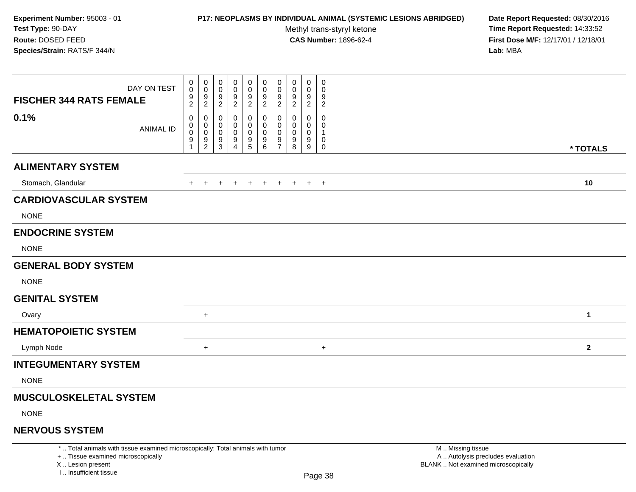### **P17: NEOPLASMS BY INDIVIDUAL ANIMAL (SYSTEMIC LESIONS ABRIDGED) Date Report Requested:** 08/30/2016

Methyl trans-styryl ketone<br>CAS Number: 1896-62-4

 **Time Report Requested:** 14:33:52 **First Dose M/F:** 12/17/01 / 12/18/01<br>**Lab:** MBA **Lab:** MBA

| <b>FISCHER 344 RATS FEMALE</b>              | DAY ON TEST      | 0<br>$\mathbf 0$<br>$\frac{9}{2}$  | 0<br>0<br>$\frac{9}{2}$              | 0<br>$\mathbf 0$<br>9<br>$\overline{2}$ | 0<br>0<br>9<br>$\overline{2}$      | 0<br>0<br>$\frac{9}{2}$                              | 0<br>$\pmb{0}$<br>$\frac{9}{2}$ | 0<br>$\pmb{0}$<br>$\frac{9}{2}$      | 0<br>0<br>$\frac{9}{2}$       | 0<br>0<br>9<br>$\overline{2}$             | 0<br>$\mathbf 0$<br>9<br>$\overline{2}$            |              |
|---------------------------------------------|------------------|------------------------------------|--------------------------------------|-----------------------------------------|------------------------------------|------------------------------------------------------|---------------------------------|--------------------------------------|-------------------------------|-------------------------------------------|----------------------------------------------------|--------------|
| 0.1%                                        | <b>ANIMAL ID</b> | 0<br>0<br>$\ddot{\mathbf{0}}$<br>9 | 0<br>0<br>$\pmb{0}$<br>$\frac{9}{2}$ | 0<br>0<br>0<br>9<br>3                   | 0<br>0<br>0<br>9<br>$\overline{4}$ | 0<br>0<br>0<br>$\begin{array}{c} 9 \\ 5 \end{array}$ | 0<br>0<br>$\pmb{0}$<br>$^9$ 6   | 0<br>0<br>$\pmb{0}$<br>$\frac{9}{7}$ | 0<br>0<br>0<br>$_{8}^{\rm 9}$ | $\mathbf 0$<br>0<br>$\mathbf 0$<br>9<br>9 | $\mathbf 0$<br>0<br>$\mathbf{1}$<br>0<br>$\pmb{0}$ | * TOTALS     |
| <b>ALIMENTARY SYSTEM</b>                    |                  |                                    |                                      |                                         |                                    |                                                      |                                 |                                      |                               |                                           |                                                    |              |
| Stomach, Glandular                          |                  | $+$                                | $\ddot{}$                            | $\ddot{}$                               | $\pm$                              | $\ddot{}$                                            | $+$                             | $+$                                  | $+$                           |                                           | $+$ $+$                                            | 10           |
| <b>CARDIOVASCULAR SYSTEM</b><br><b>NONE</b> |                  |                                    |                                      |                                         |                                    |                                                      |                                 |                                      |                               |                                           |                                                    |              |
| <b>ENDOCRINE SYSTEM</b>                     |                  |                                    |                                      |                                         |                                    |                                                      |                                 |                                      |                               |                                           |                                                    |              |
| <b>NONE</b>                                 |                  |                                    |                                      |                                         |                                    |                                                      |                                 |                                      |                               |                                           |                                                    |              |
| <b>GENERAL BODY SYSTEM</b>                  |                  |                                    |                                      |                                         |                                    |                                                      |                                 |                                      |                               |                                           |                                                    |              |
| <b>NONE</b>                                 |                  |                                    |                                      |                                         |                                    |                                                      |                                 |                                      |                               |                                           |                                                    |              |
| <b>GENITAL SYSTEM</b>                       |                  |                                    |                                      |                                         |                                    |                                                      |                                 |                                      |                               |                                           |                                                    |              |
| Ovary                                       |                  |                                    | $+$                                  |                                         |                                    |                                                      |                                 |                                      |                               |                                           |                                                    | 1            |
| <b>HEMATOPOIETIC SYSTEM</b>                 |                  |                                    |                                      |                                         |                                    |                                                      |                                 |                                      |                               |                                           |                                                    |              |
| Lymph Node                                  |                  |                                    | $\ddot{}$                            |                                         |                                    |                                                      |                                 |                                      |                               |                                           | $\ddot{}$                                          | $\mathbf{2}$ |
| <b>INTEGUMENTARY SYSTEM</b>                 |                  |                                    |                                      |                                         |                                    |                                                      |                                 |                                      |                               |                                           |                                                    |              |
| <b>NONE</b>                                 |                  |                                    |                                      |                                         |                                    |                                                      |                                 |                                      |                               |                                           |                                                    |              |
| <b>MUSCULOSKELETAL SYSTEM</b>               |                  |                                    |                                      |                                         |                                    |                                                      |                                 |                                      |                               |                                           |                                                    |              |
| <b>NONE</b>                                 |                  |                                    |                                      |                                         |                                    |                                                      |                                 |                                      |                               |                                           |                                                    |              |
|                                             |                  |                                    |                                      |                                         |                                    |                                                      |                                 |                                      |                               |                                           |                                                    |              |

## **NERVOUS SYSTEM**

\* .. Total animals with tissue examined microscopically; Total animals with tumor

+ .. Tissue examined microscopically

X .. Lesion present

I .. Insufficient tissue

 M .. Missing tissuey the contract of the contract of the contract of the contract of the contract of  $\mathsf A$  . Autolysis precludes evaluation Lesion present BLANK .. Not examined microscopically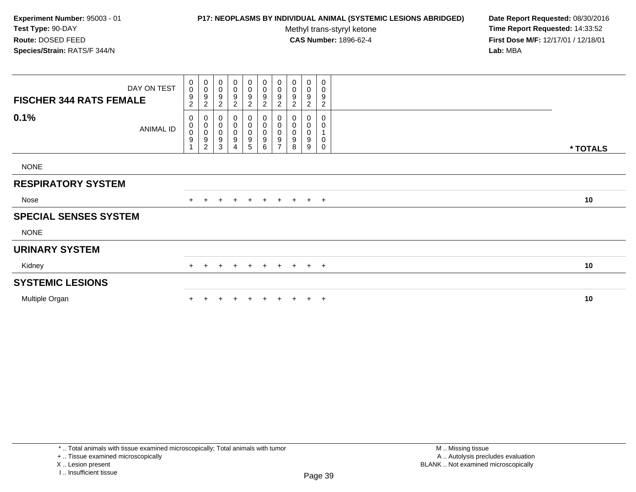### **P17: NEOPLASMS BY INDIVIDUAL ANIMAL (SYSTEMIC LESIONS ABRIDGED) Date Report Requested:** 08/30/2016

Methyl trans-styryl ketone<br>CAS Number: 1896-62-4

| DAY ON TEST<br><b>FISCHER 344 RATS FEMALE</b> | $\mathbf 0$<br>$\mathbf 0$<br>9<br>$\overline{2}$ | $_{\rm 0}^{\rm 0}$<br>$\boldsymbol{9}$<br>$\sqrt{2}$                       | 0<br>$\pmb{0}$<br>9<br>$\overline{c}$   | 0<br>$\mathbf 0$<br>9<br>$\overline{2}$                                                 | $\mathbf 0$<br>0<br>$\boldsymbol{9}$<br>$\overline{2}$  | $_{\rm 0}^{\rm 0}$<br>9<br>$\overline{c}$                              | 0<br>$\pmb{0}$<br>$\boldsymbol{9}$<br>$\overline{c}$                        | 0<br>$\pmb{0}$<br>$\boldsymbol{9}$<br>$\overline{c}$                   | 0<br>$\pmb{0}$<br>$\boldsymbol{9}$<br>$\overline{c}$ | 0<br>0<br>9<br>$\overline{c}$ |          |
|-----------------------------------------------|---------------------------------------------------|----------------------------------------------------------------------------|-----------------------------------------|-----------------------------------------------------------------------------------------|---------------------------------------------------------|------------------------------------------------------------------------|-----------------------------------------------------------------------------|------------------------------------------------------------------------|------------------------------------------------------|-------------------------------|----------|
| 0.1%<br><b>ANIMAL ID</b>                      | 0<br>0<br>$\pmb{0}$<br>$\boldsymbol{9}$           | $\mathbf 0$<br>$\begin{matrix} 0 \\ 0 \\ 9 \end{matrix}$<br>$\overline{c}$ | 0<br>$\mathbf 0$<br>$\pmb{0}$<br>9<br>3 | $\boldsymbol{0}$<br>$\boldsymbol{0}$<br>$\pmb{0}$<br>$\boldsymbol{9}$<br>$\overline{4}$ | 0<br>$\begin{matrix} 0 \\ 0 \end{matrix}$<br>$9\,$<br>5 | $\begin{smallmatrix}0\\0\\0\end{smallmatrix}$<br>$\boldsymbol{9}$<br>6 | $\mathbf 0$<br>${\bf 0}$<br>$\pmb{0}$<br>$\boldsymbol{9}$<br>$\overline{ }$ | $\begin{smallmatrix}0\\0\\0\end{smallmatrix}$<br>$\boldsymbol{9}$<br>8 | 0<br>$\pmb{0}$<br>$\pmb{0}$<br>$\boldsymbol{9}$<br>9 | 0<br>0<br>1<br>0<br>0         | * TOTALS |
| <b>NONE</b>                                   |                                                   |                                                                            |                                         |                                                                                         |                                                         |                                                                        |                                                                             |                                                                        |                                                      |                               |          |
| <b>RESPIRATORY SYSTEM</b>                     |                                                   |                                                                            |                                         |                                                                                         |                                                         |                                                                        |                                                                             |                                                                        |                                                      |                               |          |
| Nose                                          |                                                   |                                                                            |                                         | $+$                                                                                     | $+$                                                     | $+$                                                                    | $+$                                                                         |                                                                        | $+$ $+$ $+$                                          |                               | 10       |
| <b>SPECIAL SENSES SYSTEM</b>                  |                                                   |                                                                            |                                         |                                                                                         |                                                         |                                                                        |                                                                             |                                                                        |                                                      |                               |          |
| <b>NONE</b>                                   |                                                   |                                                                            |                                         |                                                                                         |                                                         |                                                                        |                                                                             |                                                                        |                                                      |                               |          |
| <b>URINARY SYSTEM</b>                         |                                                   |                                                                            |                                         |                                                                                         |                                                         |                                                                        |                                                                             |                                                                        |                                                      |                               |          |
| Kidney                                        | $+$                                               |                                                                            | $\pm$                                   | $+$                                                                                     | $+$                                                     | $+$                                                                    |                                                                             | $+$ $+$ $+$ $+$                                                        |                                                      |                               | 10       |
| <b>SYSTEMIC LESIONS</b>                       |                                                   |                                                                            |                                         |                                                                                         |                                                         |                                                                        |                                                                             |                                                                        |                                                      |                               |          |
| Multiple Organ                                |                                                   |                                                                            |                                         |                                                                                         |                                                         | $\ddot{}$                                                              | $+$                                                                         |                                                                        | $+$                                                  | $+$                           | 10       |

<sup>+ ..</sup> Tissue examined microscopically

X .. Lesion present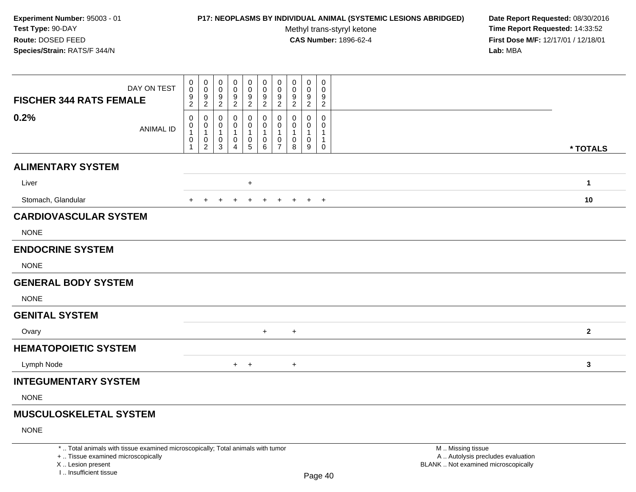### **P17: NEOPLASMS BY INDIVIDUAL ANIMAL (SYSTEMIC LESIONS ABRIDGED) Date Report Requested:** 08/30/2016

Methyl trans-styryl ketone<br>CAS Number: 1896-62-4

 **Time Report Requested:** 14:33:52 **First Dose M/F:** 12/17/01 / 12/18/01<br>**Lab:** MBA **Lab:** MBA

| <b>FISCHER 344 RATS FEMALE</b>                                                  | DAY ON TEST      | 0<br>0<br>$\frac{9}{2}$    | 0<br>$\mathbf{0}$<br>9<br>$\sqrt{2}$                    | $\mathbf 0$<br>0<br>9<br>$\overline{c}$ | 0<br>0<br>9<br>$\overline{2}$ | 0<br>0<br>$\frac{9}{2}$ | 0<br>0<br>$\frac{9}{2}$                       | 0<br>$\Omega$<br>$\frac{9}{2}$          | $\mathbf 0$<br>0<br>9<br>$\overline{2}$ | $\mathbf 0$<br>0<br>9<br>$\sqrt{2}$     | $\boldsymbol{0}$<br>0<br>9<br>$\boldsymbol{2}$        |                   |  |
|---------------------------------------------------------------------------------|------------------|----------------------------|---------------------------------------------------------|-----------------------------------------|-------------------------------|-------------------------|-----------------------------------------------|-----------------------------------------|-----------------------------------------|-----------------------------------------|-------------------------------------------------------|-------------------|--|
| 0.2%                                                                            | <b>ANIMAL ID</b> | 0<br>0<br>$\mathbf 1$<br>0 | 0<br>$\mathbf 0$<br>$\mathbf{1}$<br>0<br>$\overline{c}$ | 0<br>0<br>-1<br>$\mathbf 0$<br>3        | 0<br>0<br>1<br>0<br>4         | 0<br>0<br>0<br>5        | 0<br>0<br>$\mathbf{1}$<br>0<br>$6\phantom{1}$ | 0<br>$\mathbf 0$<br>0<br>$\overline{7}$ | 0<br>0<br>0<br>8                        | 0<br>$\Omega$<br>$\mathbf{1}$<br>0<br>9 | 0<br>0<br>$\mathbf{1}$<br>$\mathbf{1}$<br>$\mathbf 0$ | * TOTALS          |  |
| <b>ALIMENTARY SYSTEM</b>                                                        |                  |                            |                                                         |                                         |                               |                         |                                               |                                         |                                         |                                         |                                                       |                   |  |
| Liver                                                                           |                  |                            |                                                         |                                         |                               | $\ddot{}$               |                                               |                                         |                                         |                                         |                                                       | $\mathbf{1}$      |  |
| Stomach, Glandular                                                              |                  |                            |                                                         |                                         |                               | $\ddot{}$               | $\ddot{}$                                     | $\ddot{}$                               | $\ddot{}$                               | $+$                                     | $+$                                                   | 10                |  |
| <b>CARDIOVASCULAR SYSTEM</b>                                                    |                  |                            |                                                         |                                         |                               |                         |                                               |                                         |                                         |                                         |                                                       |                   |  |
| <b>NONE</b>                                                                     |                  |                            |                                                         |                                         |                               |                         |                                               |                                         |                                         |                                         |                                                       |                   |  |
| <b>ENDOCRINE SYSTEM</b>                                                         |                  |                            |                                                         |                                         |                               |                         |                                               |                                         |                                         |                                         |                                                       |                   |  |
| <b>NONE</b>                                                                     |                  |                            |                                                         |                                         |                               |                         |                                               |                                         |                                         |                                         |                                                       |                   |  |
| <b>GENERAL BODY SYSTEM</b>                                                      |                  |                            |                                                         |                                         |                               |                         |                                               |                                         |                                         |                                         |                                                       |                   |  |
| <b>NONE</b>                                                                     |                  |                            |                                                         |                                         |                               |                         |                                               |                                         |                                         |                                         |                                                       |                   |  |
| <b>GENITAL SYSTEM</b>                                                           |                  |                            |                                                         |                                         |                               |                         |                                               |                                         |                                         |                                         |                                                       |                   |  |
| Ovary                                                                           |                  |                            |                                                         |                                         |                               |                         | $+$                                           |                                         | $+$                                     |                                         |                                                       | $\mathbf{2}$      |  |
| <b>HEMATOPOIETIC SYSTEM</b>                                                     |                  |                            |                                                         |                                         |                               |                         |                                               |                                         |                                         |                                         |                                                       |                   |  |
| Lymph Node                                                                      |                  |                            |                                                         |                                         |                               | $+$ $+$                 |                                               |                                         | $+$                                     |                                         |                                                       | 3                 |  |
| <b>INTEGUMENTARY SYSTEM</b>                                                     |                  |                            |                                                         |                                         |                               |                         |                                               |                                         |                                         |                                         |                                                       |                   |  |
| <b>NONE</b>                                                                     |                  |                            |                                                         |                                         |                               |                         |                                               |                                         |                                         |                                         |                                                       |                   |  |
| <b>MUSCULOSKELETAL SYSTEM</b>                                                   |                  |                            |                                                         |                                         |                               |                         |                                               |                                         |                                         |                                         |                                                       |                   |  |
| <b>NONE</b>                                                                     |                  |                            |                                                         |                                         |                               |                         |                                               |                                         |                                         |                                         |                                                       |                   |  |
| *  Total animals with tissue examined microscopically; Total animals with tumor |                  |                            |                                                         |                                         |                               |                         |                                               |                                         |                                         |                                         |                                                       | M  Missing tissue |  |

+ .. Tissue examined microscopicallyX .. Lesion present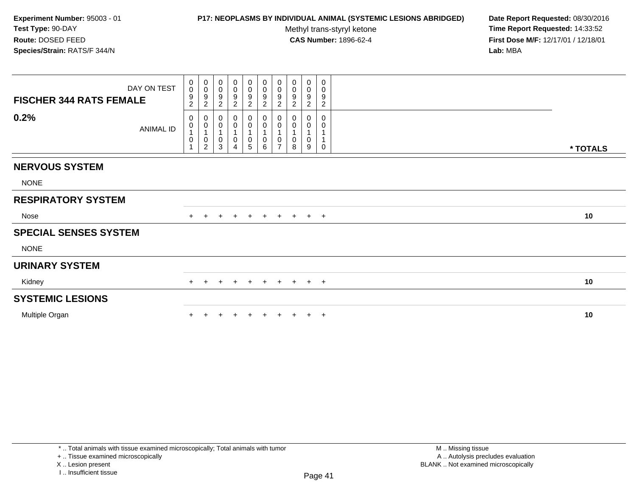#### **P17: NEOPLASMS BY INDIVIDUAL ANIMAL (SYSTEMIC LESIONS ABRIDGED) Date Report Requested:** 08/30/2016

Methyl trans-styryl ketone<br>CAS Number: 1896-62-4

| <b>FISCHER 344 RATS FEMALE</b> | DAY ON TEST | $_0^0$<br>$\frac{9}{2}$                                     | $_{\rm 0}^{\rm 0}$<br>$\boldsymbol{9}$<br>$\boldsymbol{2}$               | 0<br>$\pmb{0}$<br>$\boldsymbol{9}$<br>$\overline{2}$ | 0<br>$\,0\,$<br>$\frac{9}{2}$                                   | $\begin{smallmatrix}0\\0\end{smallmatrix}$<br>$\frac{9}{2}$ | $\begin{array}{c} 0 \\ 0 \\ 9 \\ 2 \end{array}$                                  | $\begin{smallmatrix} 0\\0 \end{smallmatrix}$<br>$\frac{9}{2}$ | $\pmb{0}$<br>$\pmb{0}$<br>$\boldsymbol{9}$<br>$\sqrt{2}$ | 0<br>$\pmb{0}$<br>$\boldsymbol{9}$<br>$\boldsymbol{2}$ | 0<br>0<br>$\boldsymbol{9}$<br>$\overline{c}$ |          |
|--------------------------------|-------------|-------------------------------------------------------------|--------------------------------------------------------------------------|------------------------------------------------------|-----------------------------------------------------------------|-------------------------------------------------------------|----------------------------------------------------------------------------------|---------------------------------------------------------------|----------------------------------------------------------|--------------------------------------------------------|----------------------------------------------|----------|
| 0.2%                           | ANIMAL ID   | 0<br>$\pmb{0}$<br>$\mathbf{1}$<br>$\pmb{0}$<br>$\mathbf{1}$ | 0<br>$\boldsymbol{0}$<br>$\overline{1}$<br>$\pmb{0}$<br>$\boldsymbol{2}$ | 0<br>$\pmb{0}$<br>$\pmb{0}$<br>3                     | 0<br>$\pmb{0}$<br>$\overline{1}$<br>$\pmb{0}$<br>$\overline{4}$ | $_{\rm 0}^{\rm 0}$<br>$\mathsf 0$<br>$\overline{5}$         | $\begin{smallmatrix} 0\\0 \end{smallmatrix}$<br>1<br>$\pmb{0}$<br>$6\phantom{1}$ | $\mathbf 0$<br>$\pmb{0}$<br>1<br>$\pmb{0}$<br>$\overline{7}$  | 0<br>$\pmb{0}$<br>$\mathbf{1}$<br>0<br>8                 | 0<br>$\pmb{0}$<br>1<br>0<br>9                          | 0<br>0<br>0                                  | * TOTALS |
| <b>NERVOUS SYSTEM</b>          |             |                                                             |                                                                          |                                                      |                                                                 |                                                             |                                                                                  |                                                               |                                                          |                                                        |                                              |          |
| <b>NONE</b>                    |             |                                                             |                                                                          |                                                      |                                                                 |                                                             |                                                                                  |                                                               |                                                          |                                                        |                                              |          |
| <b>RESPIRATORY SYSTEM</b>      |             |                                                             |                                                                          |                                                      |                                                                 |                                                             |                                                                                  |                                                               |                                                          |                                                        |                                              |          |
| Nose                           |             |                                                             | $\pm$                                                                    | $+$                                                  | $+$                                                             | $+$                                                         | $+$                                                                              |                                                               | + + + +                                                  |                                                        |                                              | 10       |
| <b>SPECIAL SENSES SYSTEM</b>   |             |                                                             |                                                                          |                                                      |                                                                 |                                                             |                                                                                  |                                                               |                                                          |                                                        |                                              |          |
| <b>NONE</b>                    |             |                                                             |                                                                          |                                                      |                                                                 |                                                             |                                                                                  |                                                               |                                                          |                                                        |                                              |          |
| <b>URINARY SYSTEM</b>          |             |                                                             |                                                                          |                                                      |                                                                 |                                                             |                                                                                  |                                                               |                                                          |                                                        |                                              |          |
| Kidney                         |             | $+$                                                         |                                                                          |                                                      |                                                                 | $\pm$                                                       | $+$                                                                              | $+$                                                           | $+$                                                      |                                                        | $+$ $+$                                      | 10       |
| <b>SYSTEMIC LESIONS</b>        |             |                                                             |                                                                          |                                                      |                                                                 |                                                             |                                                                                  |                                                               |                                                          |                                                        |                                              |          |
| Multiple Organ                 |             |                                                             |                                                                          |                                                      |                                                                 |                                                             |                                                                                  |                                                               |                                                          |                                                        | $\overline{ }$                               | 10       |
|                                |             |                                                             |                                                                          |                                                      |                                                                 |                                                             |                                                                                  |                                                               |                                                          |                                                        |                                              |          |

I .. Insufficient tissue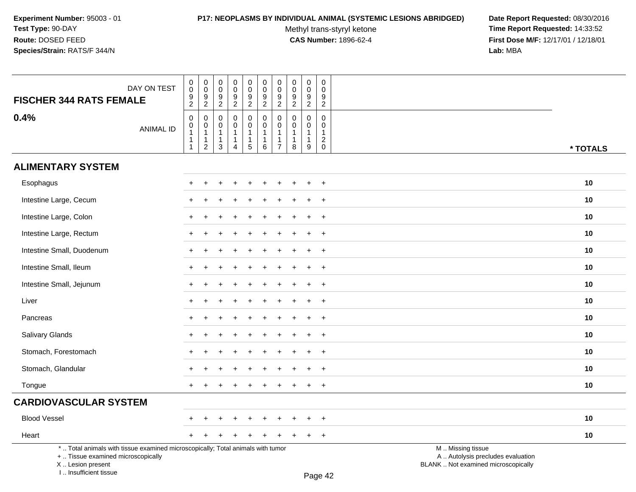# **P17: NEOPLASMS BY INDIVIDUAL ANIMAL (SYSTEMIC LESIONS ABRIDGED) Date Report Requested:** 08/30/2016

Methyl trans-styryl ketone<br>CAS Number: 1896-62-4

| DAY ON TEST<br><b>FISCHER 344 RATS FEMALE</b>                                                                                                                       | $\pmb{0}$<br>$\pmb{0}$<br>$\frac{9}{2}$                                            | $_{\rm 0}^{\rm 0}$<br>$\frac{9}{2}$                                               | 0<br>0<br>9<br>$\overline{2}$                         | $\pmb{0}$<br>$\mathbf 0$<br>$\boldsymbol{9}$<br>$\overline{2}$             | $\pmb{0}$<br>$\mathbf 0$<br>$\frac{9}{2}$               | $\pmb{0}$<br>$\mathbf 0$<br>$\boldsymbol{9}$<br>$\overline{2}$ | $\pmb{0}$<br>$\pmb{0}$<br>$\frac{9}{2}$                 | $\mathbf 0$<br>$\mathbf 0$<br>$\frac{9}{2}$                        | $\pmb{0}$<br>$\pmb{0}$<br>$\boldsymbol{9}$<br>$\overline{2}$    | $\pmb{0}$<br>$\mathbf{0}$<br>9<br>$\overline{2}$           |                                                                                               |  |
|---------------------------------------------------------------------------------------------------------------------------------------------------------------------|------------------------------------------------------------------------------------|-----------------------------------------------------------------------------------|-------------------------------------------------------|----------------------------------------------------------------------------|---------------------------------------------------------|----------------------------------------------------------------|---------------------------------------------------------|--------------------------------------------------------------------|-----------------------------------------------------------------|------------------------------------------------------------|-----------------------------------------------------------------------------------------------|--|
| 0.4%<br><b>ANIMAL ID</b>                                                                                                                                            | $\pmb{0}$<br>$\mathsf{O}\xspace$<br>$\mathbf{1}$<br>$\mathbf{1}$<br>$\overline{1}$ | $\boldsymbol{0}$<br>$\mathbf 0$<br>$\mathbf{1}$<br>$\mathbf{1}$<br>$\overline{2}$ | $\mathbf 0$<br>0<br>$\mathbf{1}$<br>$\mathbf{1}$<br>3 | $\mathbf 0$<br>$\pmb{0}$<br>$\mathbf{1}$<br>$\mathbf{1}$<br>$\overline{4}$ | 0<br>$\mathbf 0$<br>$\mathbf{1}$<br>1<br>$\overline{5}$ | $\mathbf 0$<br>$\pmb{0}$<br>$\mathbf{1}$<br>1<br>$\,6\,$       | $\mathbf 0$<br>0<br>$\mathbf{1}$<br>1<br>$\overline{7}$ | $\Omega$<br>$\mathbf 0$<br>$\mathbf{1}$<br>$\mathbf{1}$<br>$\,8\,$ | $\mathbf 0$<br>$\mathbf 0$<br>$\mathbf{1}$<br>$\mathbf{1}$<br>9 | $\mathbf 0$<br>$\mathbf 0$<br>$\mathbf{1}$<br>$^2_{\rm 0}$ | * TOTALS                                                                                      |  |
| <b>ALIMENTARY SYSTEM</b>                                                                                                                                            |                                                                                    |                                                                                   |                                                       |                                                                            |                                                         |                                                                |                                                         |                                                                    |                                                                 |                                                            |                                                                                               |  |
| Esophagus                                                                                                                                                           |                                                                                    |                                                                                   |                                                       |                                                                            |                                                         |                                                                |                                                         |                                                                    |                                                                 | $\overline{+}$                                             | 10                                                                                            |  |
| Intestine Large, Cecum                                                                                                                                              |                                                                                    |                                                                                   |                                                       |                                                                            |                                                         |                                                                |                                                         |                                                                    |                                                                 | $\overline{1}$                                             | 10                                                                                            |  |
| Intestine Large, Colon                                                                                                                                              |                                                                                    |                                                                                   |                                                       |                                                                            |                                                         |                                                                |                                                         |                                                                    |                                                                 | $\ddot{}$                                                  | 10                                                                                            |  |
| Intestine Large, Rectum                                                                                                                                             |                                                                                    |                                                                                   |                                                       |                                                                            |                                                         |                                                                |                                                         |                                                                    |                                                                 | $\overline{+}$                                             | 10                                                                                            |  |
| Intestine Small, Duodenum                                                                                                                                           |                                                                                    |                                                                                   |                                                       |                                                                            |                                                         |                                                                |                                                         |                                                                    | $\ddot{}$                                                       | $+$                                                        | 10                                                                                            |  |
| Intestine Small, Ileum                                                                                                                                              |                                                                                    |                                                                                   |                                                       |                                                                            |                                                         |                                                                |                                                         |                                                                    | $\div$                                                          | $+$                                                        | 10                                                                                            |  |
| Intestine Small, Jejunum                                                                                                                                            |                                                                                    |                                                                                   |                                                       |                                                                            |                                                         |                                                                |                                                         |                                                                    | ÷                                                               | $\ddot{}$                                                  | 10                                                                                            |  |
| Liver                                                                                                                                                               |                                                                                    |                                                                                   |                                                       |                                                                            |                                                         |                                                                |                                                         |                                                                    |                                                                 | $\ddot{}$                                                  | 10                                                                                            |  |
| Pancreas                                                                                                                                                            |                                                                                    |                                                                                   |                                                       |                                                                            |                                                         |                                                                |                                                         |                                                                    |                                                                 | $\ddot{}$                                                  | 10                                                                                            |  |
| Salivary Glands                                                                                                                                                     |                                                                                    |                                                                                   |                                                       |                                                                            |                                                         |                                                                |                                                         |                                                                    | $\div$                                                          | $+$                                                        | 10                                                                                            |  |
| Stomach, Forestomach                                                                                                                                                |                                                                                    |                                                                                   |                                                       |                                                                            |                                                         |                                                                |                                                         |                                                                    |                                                                 | $+$                                                        | 10                                                                                            |  |
| Stomach, Glandular                                                                                                                                                  |                                                                                    |                                                                                   |                                                       |                                                                            |                                                         |                                                                |                                                         |                                                                    | $\ddot{}$                                                       | $+$                                                        | 10                                                                                            |  |
| Tongue                                                                                                                                                              |                                                                                    |                                                                                   |                                                       |                                                                            |                                                         |                                                                |                                                         |                                                                    | $\ddot{}$                                                       | $+$                                                        | 10                                                                                            |  |
| <b>CARDIOVASCULAR SYSTEM</b>                                                                                                                                        |                                                                                    |                                                                                   |                                                       |                                                                            |                                                         |                                                                |                                                         |                                                                    |                                                                 |                                                            |                                                                                               |  |
| <b>Blood Vessel</b>                                                                                                                                                 |                                                                                    |                                                                                   |                                                       |                                                                            |                                                         |                                                                |                                                         |                                                                    |                                                                 | $\ddot{}$                                                  | 10                                                                                            |  |
| Heart                                                                                                                                                               | $+$                                                                                | $\pm$                                                                             |                                                       |                                                                            |                                                         |                                                                |                                                         |                                                                    | $\ddot{}$                                                       | $+$                                                        | 10                                                                                            |  |
| *  Total animals with tissue examined microscopically; Total animals with tumor<br>+  Tissue examined microscopically<br>X  Lesion present<br>I Insufficient tissue |                                                                                    |                                                                                   |                                                       |                                                                            |                                                         |                                                                |                                                         |                                                                    |                                                                 | $D_{200}$ $A2$                                             | M  Missing tissue<br>A  Autolysis precludes evaluation<br>BLANK  Not examined microscopically |  |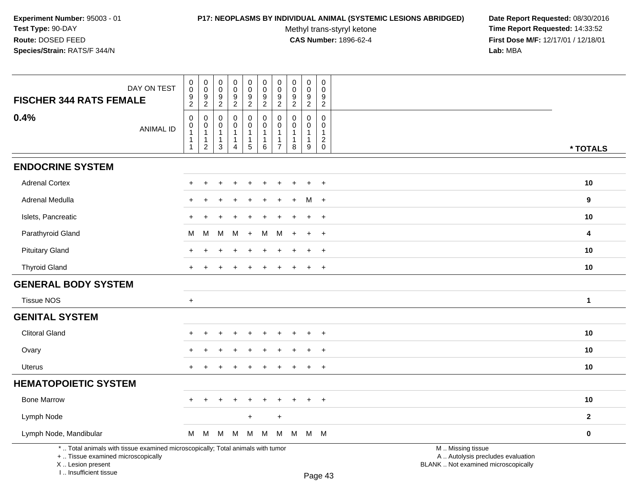### **P17: NEOPLASMS BY INDIVIDUAL ANIMAL (SYSTEMIC LESIONS ABRIDGED) Date Report Requested:** 08/30/2016

Methyl trans-styryl ketone<br>CAS Number: 1896-62-4

| DAY ON TEST                                                                                                                                                         | $\pmb{0}$<br>$\pmb{0}$                                                 | 0<br>$\mathbf 0$                             | $\pmb{0}$<br>$\pmb{0}$                                 | $\pmb{0}$<br>$\mathbf 0$                                           | 0<br>$\mathbf 0$<br>$\boldsymbol{9}$                    | $\pmb{0}$<br>$\pmb{0}$                                                | 0<br>$\mathbf 0$<br>9                                                     | $\mathsf{O}\xspace$<br>$\mathbf 0$<br>9           | $\pmb{0}$<br>$\mathbf 0$<br>$\boldsymbol{9}$          | $\mathsf 0$<br>$\mathbf 0$<br>9                                            |                                                                                               |              |
|---------------------------------------------------------------------------------------------------------------------------------------------------------------------|------------------------------------------------------------------------|----------------------------------------------|--------------------------------------------------------|--------------------------------------------------------------------|---------------------------------------------------------|-----------------------------------------------------------------------|---------------------------------------------------------------------------|---------------------------------------------------|-------------------------------------------------------|----------------------------------------------------------------------------|-----------------------------------------------------------------------------------------------|--------------|
| <b>FISCHER 344 RATS FEMALE</b>                                                                                                                                      | $\frac{9}{2}$                                                          | $\frac{9}{2}$                                | $\frac{9}{2}$                                          | $\frac{9}{2}$                                                      | $\overline{2}$                                          | $\frac{9}{2}$                                                         | $\overline{2}$                                                            | $\overline{2}$                                    | $\overline{2}$                                        | $\overline{2}$                                                             |                                                                                               |              |
| 0.4%<br><b>ANIMAL ID</b>                                                                                                                                            | $\pmb{0}$<br>$\pmb{0}$<br>$\mathbf{1}$<br>$\mathbf{1}$<br>$\mathbf{1}$ | 0<br>$\mathbf 0$<br>1<br>1<br>$\overline{c}$ | 0<br>0<br>$\mathbf{1}$<br>$\mathbf{1}$<br>$\mathbf{3}$ | 0<br>$\mathbf 0$<br>$\mathbf{1}$<br>$\mathbf{1}$<br>$\overline{4}$ | 0<br>$\mathbf 0$<br>1<br>$\mathbf{1}$<br>$\overline{5}$ | $\mathbf 0$<br>$\mathbf 0$<br>$\mathbf{1}$<br>$\mathbf{1}$<br>$\,6\,$ | $\mathbf 0$<br>$\Omega$<br>$\mathbf{1}$<br>$\mathbf{1}$<br>$\overline{7}$ | $\mathbf 0$<br>$\Omega$<br>1<br>$\mathbf{1}$<br>8 | 0<br>$\mathbf 0$<br>$\mathbf{1}$<br>$\mathbf{1}$<br>9 | $\mathbf 0$<br>0<br>$\mathbf{1}$<br>$\overline{\mathbf{c}}$<br>$\mathbf 0$ |                                                                                               | * TOTALS     |
| <b>ENDOCRINE SYSTEM</b>                                                                                                                                             |                                                                        |                                              |                                                        |                                                                    |                                                         |                                                                       |                                                                           |                                                   |                                                       |                                                                            |                                                                                               |              |
| <b>Adrenal Cortex</b>                                                                                                                                               |                                                                        |                                              |                                                        |                                                                    |                                                         |                                                                       |                                                                           |                                                   |                                                       | $\ddot{}$                                                                  |                                                                                               | 10           |
| Adrenal Medulla                                                                                                                                                     |                                                                        |                                              |                                                        |                                                                    |                                                         |                                                                       |                                                                           |                                                   | м                                                     | $+$                                                                        |                                                                                               | 9            |
| Islets, Pancreatic                                                                                                                                                  |                                                                        |                                              |                                                        |                                                                    |                                                         |                                                                       |                                                                           |                                                   |                                                       | $\ddot{}$                                                                  |                                                                                               | 10           |
| Parathyroid Gland                                                                                                                                                   | м                                                                      | М                                            | M                                                      | M                                                                  | $+$                                                     | M                                                                     | м                                                                         | $\div$                                            | $\ddot{}$                                             | $+$                                                                        |                                                                                               | 4            |
| <b>Pituitary Gland</b>                                                                                                                                              |                                                                        |                                              |                                                        |                                                                    |                                                         |                                                                       |                                                                           |                                                   | $\ddot{}$                                             | $+$                                                                        |                                                                                               | 10           |
| <b>Thyroid Gland</b>                                                                                                                                                |                                                                        |                                              |                                                        |                                                                    |                                                         |                                                                       |                                                                           |                                                   | $\ddot{}$                                             | $\ddot{}$                                                                  |                                                                                               | $10$         |
| <b>GENERAL BODY SYSTEM</b>                                                                                                                                          |                                                                        |                                              |                                                        |                                                                    |                                                         |                                                                       |                                                                           |                                                   |                                                       |                                                                            |                                                                                               |              |
| <b>Tissue NOS</b>                                                                                                                                                   | $+$                                                                    |                                              |                                                        |                                                                    |                                                         |                                                                       |                                                                           |                                                   |                                                       |                                                                            |                                                                                               | $\mathbf{1}$ |
| <b>GENITAL SYSTEM</b>                                                                                                                                               |                                                                        |                                              |                                                        |                                                                    |                                                         |                                                                       |                                                                           |                                                   |                                                       |                                                                            |                                                                                               |              |
| <b>Clitoral Gland</b>                                                                                                                                               |                                                                        |                                              |                                                        |                                                                    |                                                         |                                                                       |                                                                           |                                                   |                                                       |                                                                            |                                                                                               | 10           |
| Ovary                                                                                                                                                               |                                                                        |                                              |                                                        |                                                                    |                                                         |                                                                       |                                                                           |                                                   |                                                       | $\ddot{}$                                                                  |                                                                                               | 10           |
| <b>Uterus</b>                                                                                                                                                       | $\ddot{}$                                                              | $\div$                                       |                                                        | $\overline{ }$                                                     |                                                         |                                                                       |                                                                           |                                                   | $\ddot{}$                                             | $+$                                                                        |                                                                                               | 10           |
| <b>HEMATOPOIETIC SYSTEM</b>                                                                                                                                         |                                                                        |                                              |                                                        |                                                                    |                                                         |                                                                       |                                                                           |                                                   |                                                       |                                                                            |                                                                                               |              |
| <b>Bone Marrow</b>                                                                                                                                                  | ÷.                                                                     | $\ddot{}$                                    |                                                        | $\overline{+}$                                                     | $\ddot{}$                                               |                                                                       | ÷                                                                         |                                                   | $\ddot{}$                                             | $+$                                                                        |                                                                                               | 10           |
| Lymph Node                                                                                                                                                          |                                                                        |                                              |                                                        |                                                                    | $+$                                                     |                                                                       | $\ddot{}$                                                                 |                                                   |                                                       |                                                                            |                                                                                               | $\mathbf{2}$ |
| Lymph Node, Mandibular                                                                                                                                              | M                                                                      | M                                            | M                                                      | M                                                                  | M                                                       | M                                                                     | М                                                                         | М                                                 |                                                       | M M                                                                        |                                                                                               | $\mathbf 0$  |
| *  Total animals with tissue examined microscopically; Total animals with tumor<br>+  Tissue examined microscopically<br>X  Lesion present<br>I Insufficient tissue |                                                                        |                                              |                                                        |                                                                    |                                                         |                                                                       |                                                                           |                                                   |                                                       | $D_{200}$ $A2$                                                             | M  Missing tissue<br>A  Autolysis precludes evaluation<br>BLANK  Not examined microscopically |              |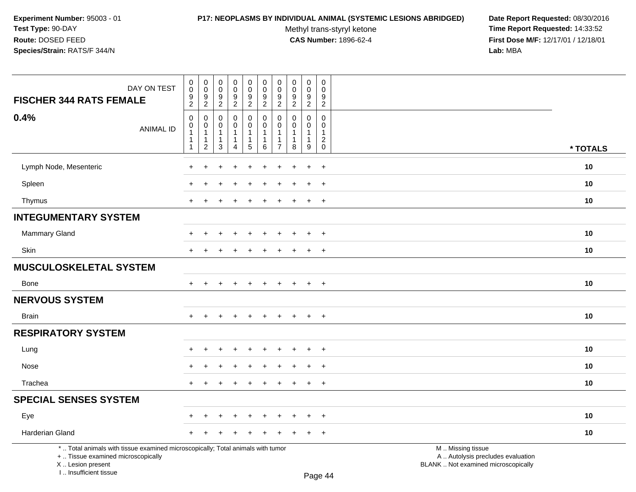### **P17: NEOPLASMS BY INDIVIDUAL ANIMAL (SYSTEMIC LESIONS ABRIDGED) Date Report Requested:** 08/30/2016

Methyl trans-styryl ketone<br>CAS Number: 1896-62-4

| DAY ON TEST<br><b>FISCHER 344 RATS FEMALE</b>                                                                                                                       | $\mathbf 0$<br>$\overline{0}$<br>$\frac{9}{2}$                                    | $\pmb{0}$<br>$\pmb{0}$<br>9<br>$\overline{2}$                        | $\mathbf 0$<br>$\mathbf 0$<br>9<br>$\sqrt{2}$  | $\pmb{0}$<br>$\mathsf{O}\xspace$<br>$\boldsymbol{9}$<br>$\overline{c}$ | $\mathbf 0$<br>$\mathsf{O}\xspace$<br>$\boldsymbol{9}$<br>$\overline{2}$ | $\pmb{0}$<br>$\pmb{0}$<br>$\boldsymbol{9}$<br>$\overline{2}$ | $\mathbf 0$<br>$\pmb{0}$<br>$9\,$<br>$\sqrt{2}$                                   | $\pmb{0}$<br>$\pmb{0}$<br>$\boldsymbol{9}$<br>$\overline{2}$  | $\pmb{0}$<br>$\mathbf 0$<br>$\boldsymbol{9}$<br>$\overline{c}$ | $\pmb{0}$<br>$\mathbf 0$<br>9<br>$\overline{c}$                          |                                                                                               |          |
|---------------------------------------------------------------------------------------------------------------------------------------------------------------------|-----------------------------------------------------------------------------------|----------------------------------------------------------------------|------------------------------------------------|------------------------------------------------------------------------|--------------------------------------------------------------------------|--------------------------------------------------------------|-----------------------------------------------------------------------------------|---------------------------------------------------------------|----------------------------------------------------------------|--------------------------------------------------------------------------|-----------------------------------------------------------------------------------------------|----------|
| 0.4%<br><b>ANIMAL ID</b>                                                                                                                                            | $\mathbf 0$<br>$\mathsf{O}\xspace$<br>$\mathbf{1}$<br>$\mathbf{1}$<br>$\mathbf 1$ | 0<br>$\mathbf 0$<br>$\overline{1}$<br>$\mathbf{1}$<br>$\overline{c}$ | $\Omega$<br>$\Omega$<br>1<br>$\mathbf{1}$<br>3 | 0<br>$\mathbf 0$<br>1<br>$\mathbf{1}$<br>4                             | $\mathbf 0$<br>$\mathbf 0$<br>$\mathbf{1}$<br>$\mathbf{1}$<br>$5\,$      | $\mathbf 0$<br>$\Omega$<br>-1<br>1<br>$6\phantom{1}$         | $\mathbf 0$<br>$\mathbf{0}$<br>$\overline{1}$<br>$\overline{1}$<br>$\overline{7}$ | $\mathbf{0}$<br>$\Omega$<br>$\mathbf{1}$<br>$\mathbf{1}$<br>8 | 0<br>$\Omega$<br>1<br>1<br>9                                   | $\mathbf 0$<br>$\Omega$<br>$\mathbf{1}$<br>$\overline{2}$<br>$\mathbf 0$ |                                                                                               | * TOTALS |
| Lymph Node, Mesenteric                                                                                                                                              |                                                                                   |                                                                      |                                                |                                                                        |                                                                          |                                                              |                                                                                   |                                                               | $\ddot{}$                                                      | $\ddot{}$                                                                |                                                                                               | 10       |
| Spleen                                                                                                                                                              |                                                                                   |                                                                      |                                                |                                                                        |                                                                          |                                                              |                                                                                   |                                                               |                                                                | $\ddot{}$                                                                |                                                                                               | 10       |
| Thymus                                                                                                                                                              | $\div$                                                                            |                                                                      |                                                |                                                                        |                                                                          |                                                              |                                                                                   |                                                               | $\ddot{}$                                                      | $^{+}$                                                                   |                                                                                               | 10       |
| <b>INTEGUMENTARY SYSTEM</b>                                                                                                                                         |                                                                                   |                                                                      |                                                |                                                                        |                                                                          |                                                              |                                                                                   |                                                               |                                                                |                                                                          |                                                                                               |          |
| Mammary Gland                                                                                                                                                       |                                                                                   |                                                                      |                                                |                                                                        |                                                                          |                                                              |                                                                                   |                                                               | $\ddot{}$                                                      | $+$                                                                      |                                                                                               | 10       |
| <b>Skin</b>                                                                                                                                                         | $\ddot{}$                                                                         | +                                                                    |                                                | $\pm$                                                                  | $\pm$                                                                    | $\div$                                                       | +                                                                                 | $\div$                                                        | $\ddot{}$                                                      | $+$                                                                      |                                                                                               | 10       |
| <b>MUSCULOSKELETAL SYSTEM</b>                                                                                                                                       |                                                                                   |                                                                      |                                                |                                                                        |                                                                          |                                                              |                                                                                   |                                                               |                                                                |                                                                          |                                                                                               |          |
| <b>Bone</b>                                                                                                                                                         | $+$                                                                               | $\ddot{}$                                                            |                                                | $\ddot{}$                                                              | $\ddot{}$                                                                | $\ddot{}$                                                    | $+$                                                                               | $\overline{+}$                                                | $\ddot{}$                                                      | $+$                                                                      |                                                                                               | 10       |
| <b>NERVOUS SYSTEM</b>                                                                                                                                               |                                                                                   |                                                                      |                                                |                                                                        |                                                                          |                                                              |                                                                                   |                                                               |                                                                |                                                                          |                                                                                               |          |
| <b>Brain</b>                                                                                                                                                        |                                                                                   |                                                                      |                                                |                                                                        |                                                                          |                                                              |                                                                                   |                                                               | $\ddot{}$                                                      | $+$                                                                      |                                                                                               | 10       |
| <b>RESPIRATORY SYSTEM</b>                                                                                                                                           |                                                                                   |                                                                      |                                                |                                                                        |                                                                          |                                                              |                                                                                   |                                                               |                                                                |                                                                          |                                                                                               |          |
| Lung                                                                                                                                                                |                                                                                   |                                                                      |                                                |                                                                        |                                                                          |                                                              |                                                                                   |                                                               |                                                                | $\ddot{}$                                                                |                                                                                               | 10       |
| Nose                                                                                                                                                                |                                                                                   |                                                                      |                                                |                                                                        |                                                                          |                                                              |                                                                                   |                                                               |                                                                | $\overline{+}$                                                           |                                                                                               | 10       |
| Trachea                                                                                                                                                             | $\pm$                                                                             | $\ddot{}$                                                            |                                                | $\div$                                                                 | $\ddot{}$                                                                | $\ddot{}$                                                    |                                                                                   | $\ddot{}$                                                     | $+$                                                            | $+$                                                                      |                                                                                               | 10       |
| <b>SPECIAL SENSES SYSTEM</b>                                                                                                                                        |                                                                                   |                                                                      |                                                |                                                                        |                                                                          |                                                              |                                                                                   |                                                               |                                                                |                                                                          |                                                                                               |          |
| Eye                                                                                                                                                                 |                                                                                   |                                                                      |                                                |                                                                        |                                                                          |                                                              |                                                                                   |                                                               | $\ddot{}$                                                      | $^{+}$                                                                   |                                                                                               | 10       |
| Harderian Gland                                                                                                                                                     |                                                                                   |                                                                      |                                                |                                                                        |                                                                          |                                                              |                                                                                   |                                                               | $\div$                                                         | $+$                                                                      |                                                                                               | 10       |
| *  Total animals with tissue examined microscopically; Total animals with tumor<br>+  Tissue examined microscopically<br>X  Lesion present<br>I Insufficient tissue |                                                                                   |                                                                      |                                                |                                                                        |                                                                          |                                                              |                                                                                   |                                                               |                                                                | $D_{200}$ $\Lambda$                                                      | M  Missing tissue<br>A  Autolysis precludes evaluation<br>BLANK  Not examined microscopically |          |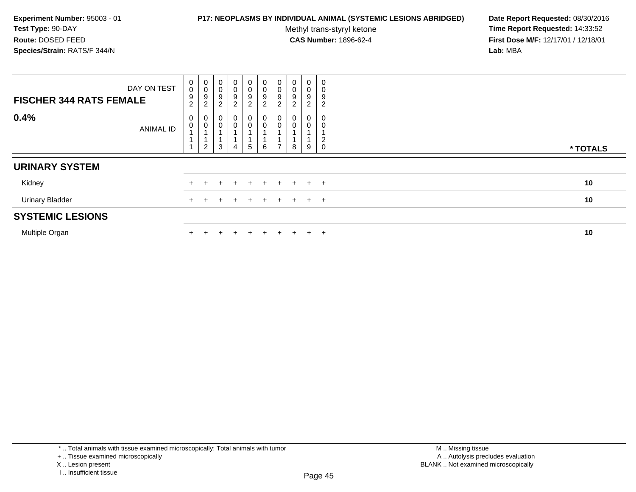### **P17: NEOPLASMS BY INDIVIDUAL ANIMAL (SYSTEMIC LESIONS ABRIDGED) Date Report Requested:** 08/30/2016

Methyl trans-styryl ketone<br>CAS Number: 1896-62-4

 **Time Report Requested:** 14:33:52 **First Dose M/F:** 12/17/01 / 12/18/01<br>**Lab:** MBA **Lab:** MBA

| <b>FISCHER 344 RATS FEMALE</b> | DAY ON TEST      | $\boldsymbol{0}$<br>$\mathsf{O}\xspace$<br>9<br>$\overline{2}$ | $_{\rm 0}^{\rm 0}$<br>$\boldsymbol{9}$<br>$\overline{c}$ | $\pmb{0}$<br>$\mathbf 0$<br>9<br>$\overline{c}$ | $\boldsymbol{0}$<br>$\pmb{0}$<br>$\boldsymbol{9}$<br>$\overline{c}$ | $\begin{smallmatrix}0\0\0\9\end{smallmatrix}$<br>$\overline{2}$ | $\begin{smallmatrix}0\0\0\9\end{smallmatrix}$<br>$\overline{2}$ | $\begin{smallmatrix}0\\0\\9\end{smallmatrix}$<br>$\overline{2}$ | $_{\rm 0}^{\rm 0}$<br>9<br>$\boldsymbol{2}$ | $\boldsymbol{0}$<br>$\pmb{0}$<br>$\boldsymbol{9}$<br>2 | $\mathbf 0$<br>0<br>9<br>2    |          |
|--------------------------------|------------------|----------------------------------------------------------------|----------------------------------------------------------|-------------------------------------------------|---------------------------------------------------------------------|-----------------------------------------------------------------|-----------------------------------------------------------------|-----------------------------------------------------------------|---------------------------------------------|--------------------------------------------------------|-------------------------------|----------|
| 0.4%                           | <b>ANIMAL ID</b> | 0<br>$\mathsf{O}\xspace$                                       | 0<br>$\mbox{O}$<br>$\mathbf 1$<br>$\overline{c}$         | 0<br>$\mathbf 0$<br>3                           | $\overline{0}$<br>4                                                 | $\begin{smallmatrix}0\0\0\end{smallmatrix}$<br>$5\phantom{.0}$  | 0<br>0<br>6                                                     | $\begin{smallmatrix} 0\\0 \end{smallmatrix}$<br>$\overline{ }$  | 0<br>8                                      | 0<br>$\mathbf 0$<br>9                                  | 0<br>2<br>$\mathsf{O}\xspace$ | * TOTALS |
| <b>URINARY SYSTEM</b>          |                  |                                                                |                                                          |                                                 |                                                                     |                                                                 |                                                                 |                                                                 |                                             |                                                        |                               |          |
| Kidney                         |                  |                                                                |                                                          |                                                 |                                                                     | $\div$                                                          | $+$                                                             | $+$                                                             | $+$                                         |                                                        | $+$ $+$                       | 10       |
| <b>Urinary Bladder</b>         |                  |                                                                |                                                          |                                                 |                                                                     |                                                                 | $\pm$                                                           |                                                                 | $+$                                         |                                                        | $+$ $+$                       | 10       |
| <b>SYSTEMIC LESIONS</b>        |                  |                                                                |                                                          |                                                 |                                                                     |                                                                 |                                                                 |                                                                 |                                             |                                                        |                               |          |
| Multiple Organ                 |                  |                                                                |                                                          |                                                 |                                                                     | +                                                               | $+$                                                             | $+$                                                             | $\div$                                      | $+$                                                    | $\pm$                         | 10       |

\* .. Total animals with tissue examined microscopically; Total animals with tumor

+ .. Tissue examined microscopically

X .. Lesion present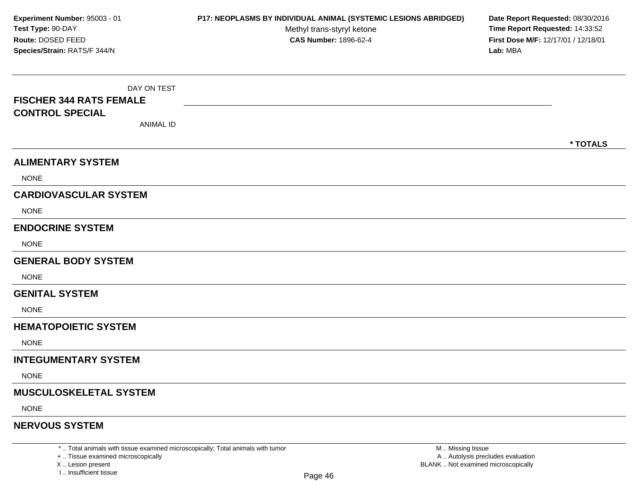DAY ON TEST**FISCHER 344 RATS FEMALECONTROL SPECIAL**ANIMAL ID**\* TOTALSALIMENTARY SYSTEM**NONE**CARDIOVASCULAR SYSTEM**NONE**ENDOCRINE SYSTEM**NONE**GENERAL BODY SYSTEMNONE GENITAL SYSTEM**NONE**HEMATOPOIETIC SYSTEMNONE INTEGUMENTARY SYSTEM**NONE**MUSCULOSKELETAL SYSTEM**NONE**NERVOUS SYSTEMExperiment Number:** 95003 - 01 **P17: NEOPLASMS BY INDIVIDUAL ANIMAL (SYSTEMIC LESIONS ABRIDGED) Date Report Requested:** 08/30/2016 **Test Type:** 90-DAYMethyl trans-styryl ketone<br>CAS Number: 1896-62-4 **Time Report Requested:** 14:33:52 **Route:** DOSED FEED**First Dose M/F:** 12/17/01 / 12/18/01<br>**Lab:** MBA **Species/Strain:** RATS/F 344/N**Lab:** MBA

\* .. Total animals with tissue examined microscopically; Total animals with tumor

+ .. Tissue examined microscopically

X .. Lesion present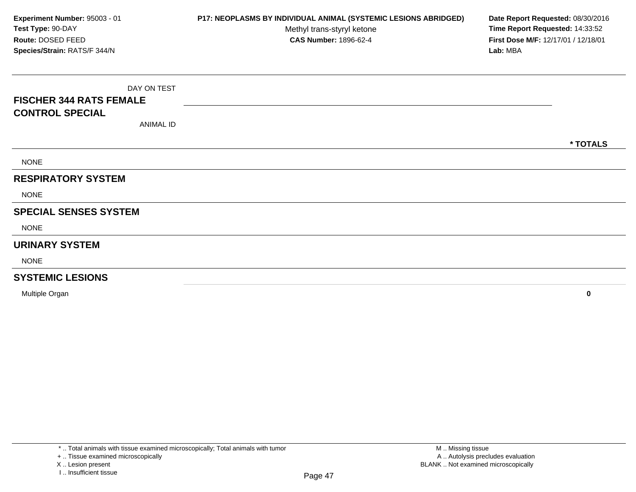| Experiment Number: 95003 - 01                     | P17: NEOPLASMS BY INDIVIDUAL ANIMAL (SYSTEMIC LESIONS ABRIDGED) | Date Report Requested: 08/30/2016               |
|---------------------------------------------------|-----------------------------------------------------------------|-------------------------------------------------|
| Test Type: 90-DAY                                 | Methyl trans-styryl ketone                                      | Time Report Requested: 14:33:52                 |
| Route: DOSED FEED<br>Species/Strain: RATS/F 344/N | <b>CAS Number: 1896-62-4</b>                                    | First Dose M/F: 12/17/01 / 12/18/01<br>Lab: MBA |
|                                                   |                                                                 |                                                 |
| DAY ON TEST                                       |                                                                 |                                                 |
| <b>FISCHER 344 RATS FEMALE</b>                    |                                                                 |                                                 |
| <b>CONTROL SPECIAL</b>                            |                                                                 |                                                 |
| <b>ANIMAL ID</b>                                  |                                                                 |                                                 |
|                                                   |                                                                 | * TOTALS                                        |
| <b>NONE</b>                                       |                                                                 |                                                 |
| <b>RESPIRATORY SYSTEM</b>                         |                                                                 |                                                 |
| <b>NONE</b>                                       |                                                                 |                                                 |
| <b>SPECIAL SENSES SYSTEM</b>                      |                                                                 |                                                 |
| <b>NONE</b>                                       |                                                                 |                                                 |
| <b>URINARY SYSTEM</b>                             |                                                                 |                                                 |
| <b>NONE</b>                                       |                                                                 |                                                 |
| <b>SYSTEMIC LESIONS</b>                           |                                                                 |                                                 |

Multiple Organ**<sup>0</sup>**

I .. Insufficient tissue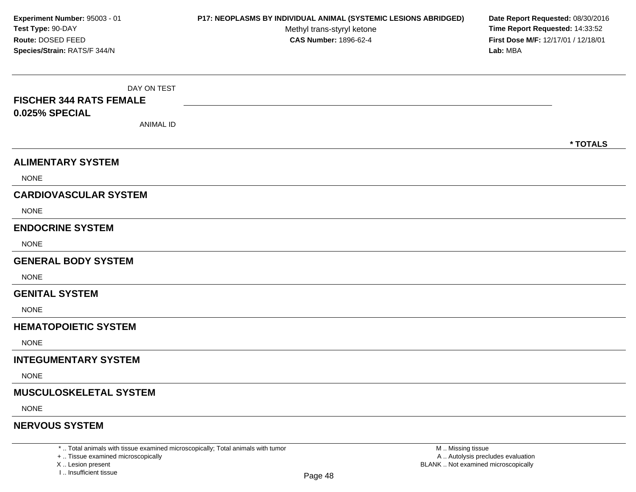DAY ON TEST**FISCHER 344 RATS FEMALE0.025% SPECIAL**ANIMAL ID**\* TOTALSALIMENTARY SYSTEM**NONE**CARDIOVASCULAR SYSTEM**NONE**ENDOCRINE SYSTEM**NONE**GENERAL BODY SYSTEMNONE GENITAL SYSTEM**NONE**HEMATOPOIETIC SYSTEMNONE INTEGUMENTARY SYSTEM**NONE**MUSCULOSKELETAL SYSTEM**NONE**NERVOUS SYSTEMExperiment Number:** 95003 - 01 **P17: NEOPLASMS BY INDIVIDUAL ANIMAL (SYSTEMIC LESIONS ABRIDGED) Date Report Requested:** 08/30/2016 **Test Type:** 90-DAYMethyl trans-styryl ketone<br>CAS Number: 1896-62-4 **Time Report Requested:** 14:33:52 **Route:** DOSED FEED**First Dose M/F:** 12/17/01 / 12/18/01<br>**Lab:** MBA **Species/Strain:** RATS/F 344/N**Lab:** MBA

\* .. Total animals with tissue examined microscopically; Total animals with tumor

+ .. Tissue examined microscopically

X .. Lesion present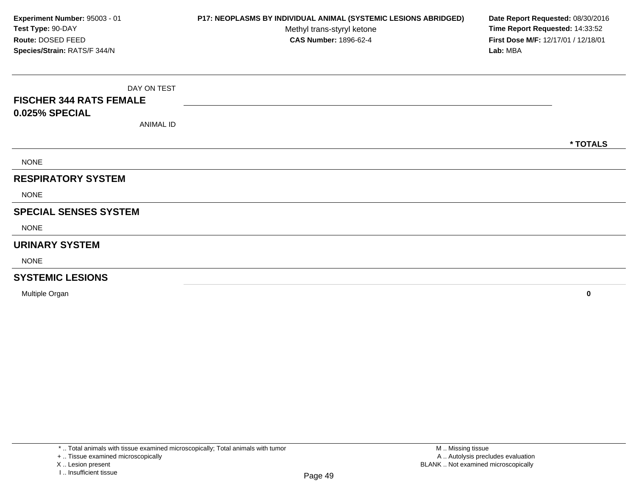| P17: NEOPLASMS BY INDIVIDUAL ANIMAL (SYSTEMIC LESIONS ABRIDGED) | Date Report Requested: 08/30/2016                                      |
|-----------------------------------------------------------------|------------------------------------------------------------------------|
|                                                                 | Time Report Requested: 14:33:52<br>First Dose M/F: 12/17/01 / 12/18/01 |
|                                                                 | Lab: MBA                                                               |
|                                                                 |                                                                        |
|                                                                 |                                                                        |
|                                                                 |                                                                        |
|                                                                 |                                                                        |
|                                                                 | * TOTALS                                                               |
|                                                                 |                                                                        |
|                                                                 |                                                                        |
|                                                                 |                                                                        |
|                                                                 |                                                                        |
|                                                                 |                                                                        |
|                                                                 |                                                                        |
|                                                                 |                                                                        |
|                                                                 |                                                                        |
|                                                                 | Methyl trans-styryl ketone<br><b>CAS Number: 1896-62-4</b>             |

Multiple Organ**<sup>0</sup>**

X .. Lesion present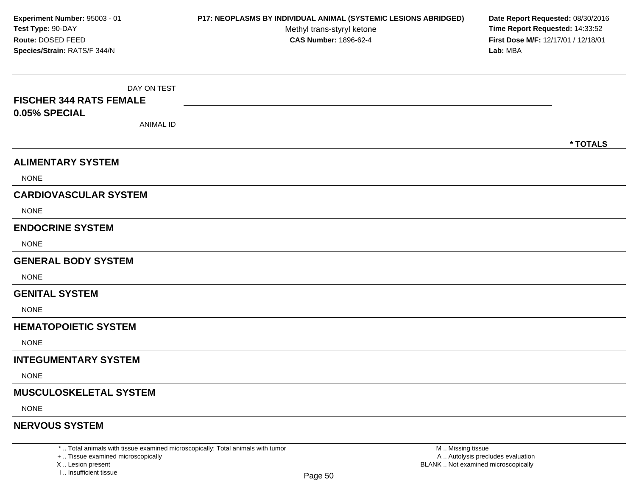DAY ON TEST**FISCHER 344 RATS FEMALE0.05% SPECIAL**ANIMAL ID**\* TOTALSALIMENTARY SYSTEM**NONE**CARDIOVASCULAR SYSTEM**NONE**ENDOCRINE SYSTEM**NONE**GENERAL BODY SYSTEMNONE GENITAL SYSTEM**NONE**HEMATOPOIETIC SYSTEMNONE INTEGUMENTARY SYSTEM**NONE**MUSCULOSKELETAL SYSTEM**NONE**NERVOUS SYSTEMExperiment Number:** 95003 - 01 **P17: NEOPLASMS BY INDIVIDUAL ANIMAL (SYSTEMIC LESIONS ABRIDGED) Date Report Requested:** 08/30/2016 **Test Type:** 90-DAYMethyl trans-styryl ketone<br>CAS Number: 1896-62-4 **Time Report Requested:** 14:33:52 **Route:** DOSED FEED**First Dose M/F:** 12/17/01 / 12/18/01<br>**Lab:** MBA **Species/Strain:** RATS/F 344/N**Lab:** MBA

\* .. Total animals with tissue examined microscopically; Total animals with tumor

+ .. Tissue examined microscopically

X .. Lesion present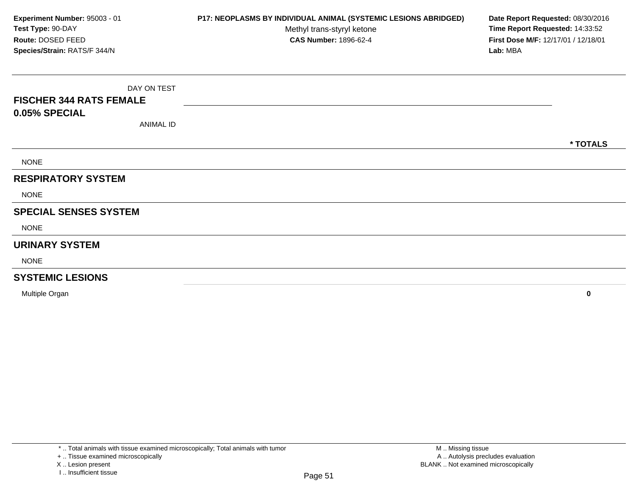DAY ON TEST**FISCHER 344 RATS FEMALE0.05% SPECIAL**ANIMAL ID**\* TOTALS**NONE**RESPIRATORY SYSTEM**NONE**SPECIAL SENSES SYSTEM**NONE**URINARY SYSTEM**NONE**SYSTEMIC LESIONSExperiment Number:** 95003 - 01 **P17: NEOPLASMS BY INDIVIDUAL ANIMAL (SYSTEMIC LESIONS ABRIDGED) Date Report Requested:** 08/30/2016 **Test Type:** 90-DAYMethyl trans-styryl ketone<br>CAS Number: 1896-62-4 **Time Report Requested:** 14:33:52 **Route:** DOSED FEED**First Dose M/F:** 12/17/01 / 12/18/01<br>**Lab:** MBA **Species/Strain:** RATS/F 344/N**Lab:** MBA

Multiple Organ**<sup>0</sup>**

X .. Lesion present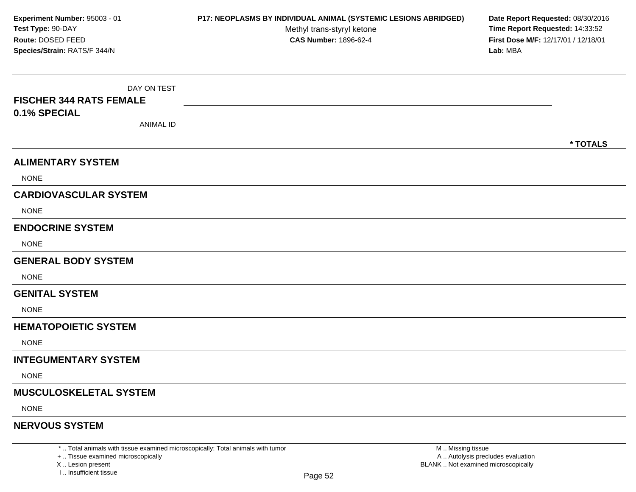DAY ON TEST**FISCHER 344 RATS FEMALE0.1% SPECIAL**ANIMAL ID**\* TOTALSALIMENTARY SYSTEM**NONE**CARDIOVASCULAR SYSTEM**NONE**ENDOCRINE SYSTEM**NONE**GENERAL BODY SYSTEMNONE GENITAL SYSTEM**NONE**HEMATOPOIETIC SYSTEMNONE INTEGUMENTARY SYSTEM**NONE**MUSCULOSKELETAL SYSTEM**NONE**NERVOUS SYSTEMExperiment Number:** 95003 - 01 **P17: NEOPLASMS BY INDIVIDUAL ANIMAL (SYSTEMIC LESIONS ABRIDGED) Date Report Requested:** 08/30/2016 **Test Type:** 90-DAYMethyl trans-styryl ketone<br>CAS Number: 1896-62-4 **Time Report Requested:** 14:33:52 **Route:** DOSED FEED**First Dose M/F:** 12/17/01 / 12/18/01<br>**Lab:** MBA **Species/Strain:** RATS/F 344/N**Lab:** MBA

\* .. Total animals with tissue examined microscopically; Total animals with tumor

+ .. Tissue examined microscopically

X .. Lesion present

I .. Insufficient tissue

M .. Missing tissue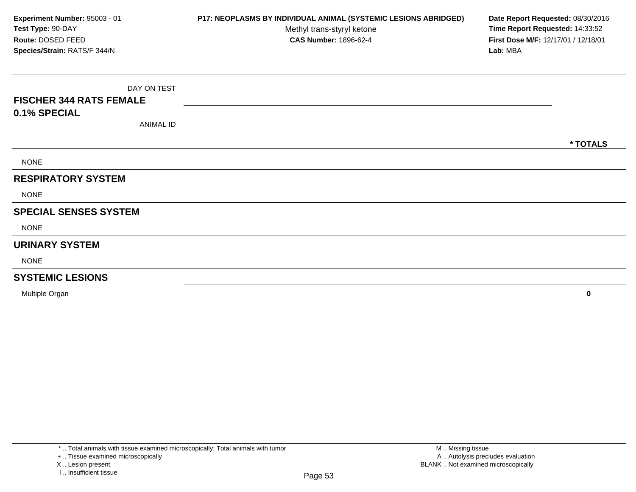DAY ON TEST**FISCHER 344 RATS FEMALE0.1% SPECIAL**ANIMAL ID**\* TOTALS**NONE**RESPIRATORY SYSTEM**NONE**SPECIAL SENSES SYSTEM**NONE**URINARY SYSTEM**NONE**SYSTEMIC LESIONSExperiment Number:** 95003 - 01 **P17: NEOPLASMS BY INDIVIDUAL ANIMAL (SYSTEMIC LESIONS ABRIDGED) Date Report Requested:** 08/30/2016 **Test Type:** 90-DAYMethyl trans-styryl ketone<br>CAS Number: 1896-62-4 **Time Report Requested:** 14:33:52 **Route:** DOSED FEED**First Dose M/F:** 12/17/01 / 12/18/01<br>**Lab:** MBA **Species/Strain:** RATS/F 344/N**Lab:** MBA

Multiple Organ**<sup>0</sup>**

X .. Lesion present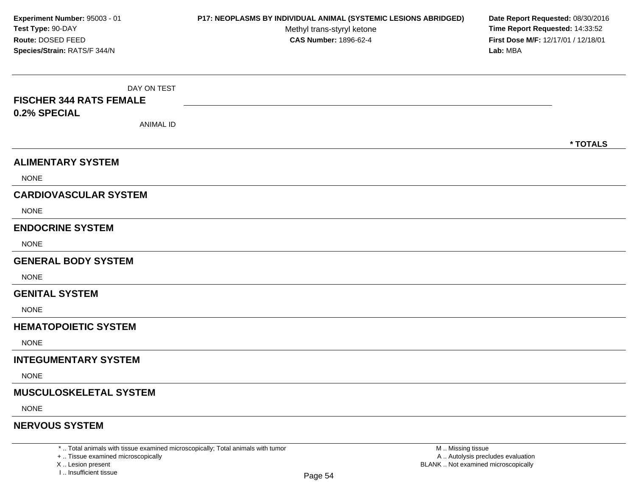DAY ON TEST**FISCHER 344 RATS FEMALE0.2% SPECIAL**ANIMAL ID**\* TOTALSALIMENTARY SYSTEM**NONE**CARDIOVASCULAR SYSTEM**NONE**ENDOCRINE SYSTEM**NONE**GENERAL BODY SYSTEMNONE GENITAL SYSTEM**NONE**HEMATOPOIETIC SYSTEMNONE INTEGUMENTARY SYSTEM**NONE**MUSCULOSKELETAL SYSTEM**NONE**NERVOUS SYSTEMExperiment Number:** 95003 - 01 **P17: NEOPLASMS BY INDIVIDUAL ANIMAL (SYSTEMIC LESIONS ABRIDGED) Date Report Requested:** 08/30/2016 **Test Type:** 90-DAYMethyl trans-styryl ketone<br>CAS Number: 1896-62-4 **Time Report Requested:** 14:33:52 **Route:** DOSED FEED**First Dose M/F:** 12/17/01 / 12/18/01<br>**Lab:** MBA **Species/Strain:** RATS/F 344/N**Lab:** MBA

\* .. Total animals with tissue examined microscopically; Total animals with tumor

+ .. Tissue examined microscopically

X .. Lesion present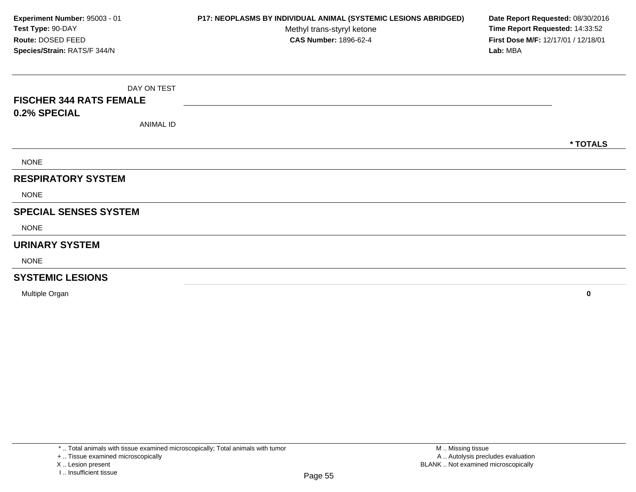DAY ON TEST**FISCHER 344 RATS FEMALE0.2% SPECIAL**ANIMAL ID**\* TOTALS**NONE**RESPIRATORY SYSTEM**NONE**SPECIAL SENSES SYSTEM**NONE**URINARY SYSTEM**NONE**SYSTEMIC LESIONSExperiment Number:** 95003 - 01 **P17: NEOPLASMS BY INDIVIDUAL ANIMAL (SYSTEMIC LESIONS ABRIDGED) Date Report Requested:** 08/30/2016 **Test Type:** 90-DAYMethyl trans-styryl ketone<br>CAS Number: 1896-62-4 **Time Report Requested:** 14:33:52 **Route:** DOSED FEED**First Dose M/F:** 12/17/01 / 12/18/01<br>**Lab:** MBA **Species/Strain:** RATS/F 344/N**Lab:** MBA

Multiple Organ**<sup>0</sup>**

X .. Lesion present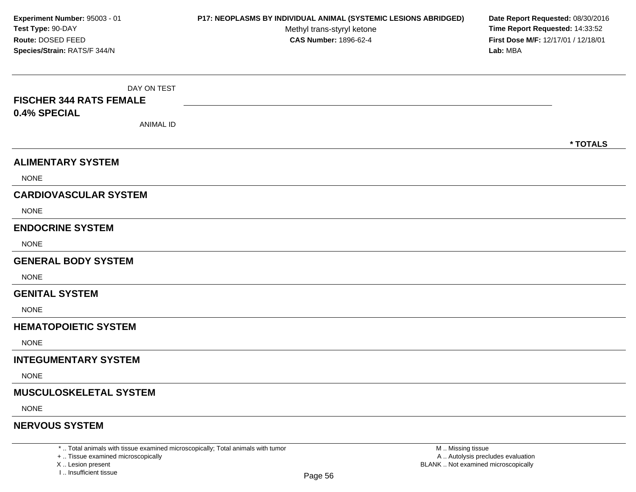DAY ON TEST**FISCHER 344 RATS FEMALE0.4% SPECIAL**ANIMAL ID**\* TOTALSALIMENTARY SYSTEM**NONE**CARDIOVASCULAR SYSTEM**NONE**ENDOCRINE SYSTEM**NONE**GENERAL BODY SYSTEMNONE GENITAL SYSTEM**NONE**HEMATOPOIETIC SYSTEMNONE INTEGUMENTARY SYSTEM**NONE**MUSCULOSKELETAL SYSTEM**NONE**NERVOUS SYSTEMExperiment Number:** 95003 - 01 **P17: NEOPLASMS BY INDIVIDUAL ANIMAL (SYSTEMIC LESIONS ABRIDGED) Date Report Requested:** 08/30/2016 **Test Type:** 90-DAYMethyl trans-styryl ketone<br>CAS Number: 1896-62-4 **Time Report Requested:** 14:33:52 **Route:** DOSED FEED**First Dose M/F:** 12/17/01 / 12/18/01<br>**Lab:** MBA **Species/Strain:** RATS/F 344/N**Lab:** MBA

\* .. Total animals with tissue examined microscopically; Total animals with tumor

+ .. Tissue examined microscopically

X .. Lesion present

I .. Insufficient tissue

M .. Missing tissue